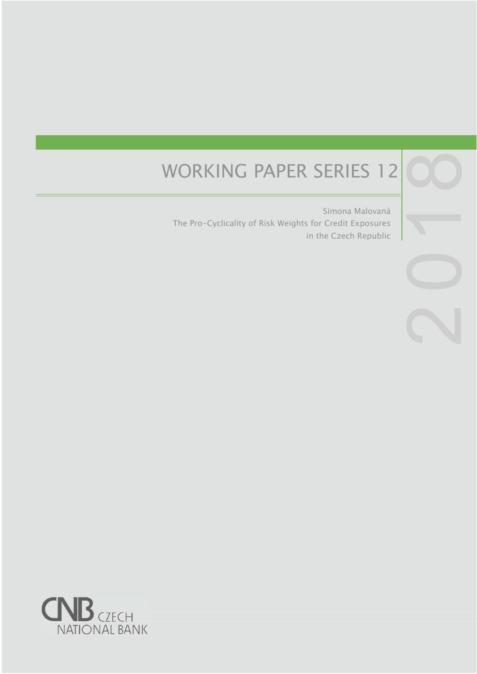# WORKING PAPER SERIES 12

Simona Malovaná The Pro-Cyclicality of Risk Weights for Credit Exposures in the Czech Republic

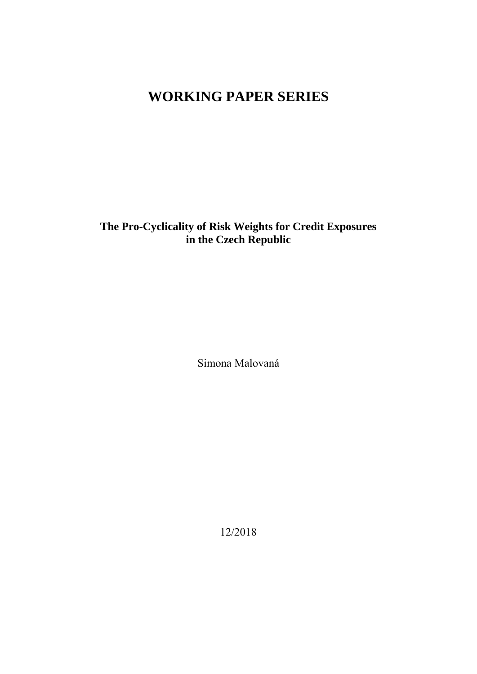# **WORKING PAPER SERIES**

**The Pro-Cyclicality of Risk Weights for Credit Exposures in the Czech Republic** 

Simona Malovaná

12/2018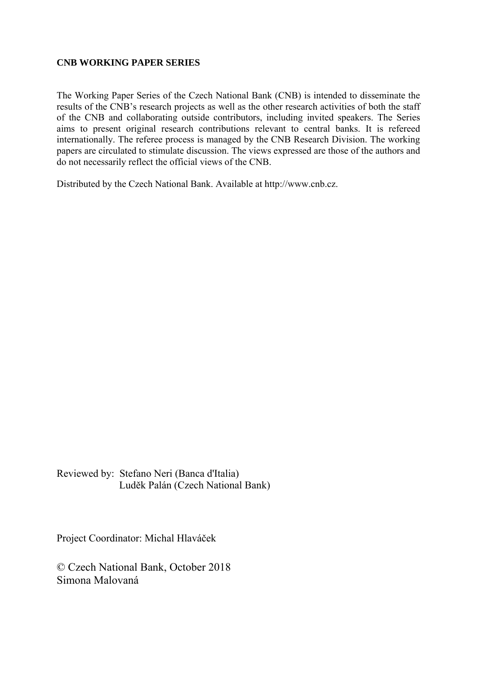#### **CNB WORKING PAPER SERIES**

The Working Paper Series of the Czech National Bank (CNB) is intended to disseminate the results of the CNB's research projects as well as the other research activities of both the staff of the CNB and collaborating outside contributors, including invited speakers. The Series aims to present original research contributions relevant to central banks. It is refereed internationally. The referee process is managed by the CNB Research Division. The working papers are circulated to stimulate discussion. The views expressed are those of the authors and do not necessarily reflect the official views of the CNB.

Distributed by the Czech National Bank. Available at http://www.cnb.cz.

Reviewed by: Stefano Neri (Banca d'Italia) Luděk Palán (Czech National Bank)

Project Coordinator: Michal Hlaváček

© Czech National Bank, October 2018 Simona Malovaná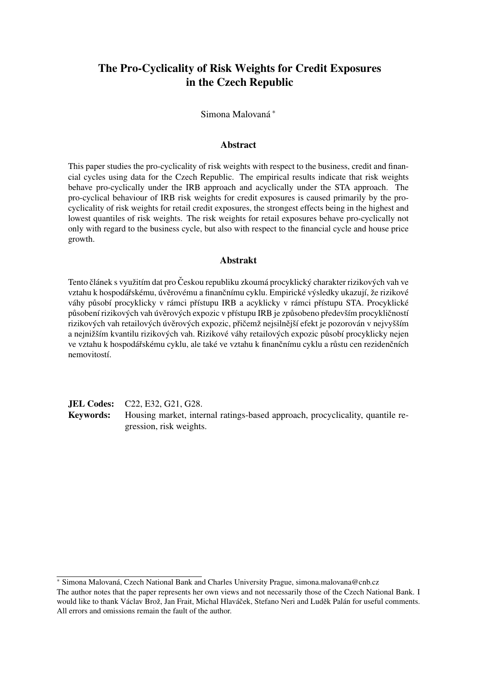# The Pro-Cyclicality of Risk Weights for Credit Exposures in the Czech Republic

Simona Malovaná <sup>∗</sup>

#### Abstract

This paper studies the pro-cyclicality of risk weights with respect to the business, credit and financial cycles using data for the Czech Republic. The empirical results indicate that risk weights behave pro-cyclically under the IRB approach and acyclically under the STA approach. The pro-cyclical behaviour of IRB risk weights for credit exposures is caused primarily by the procyclicality of risk weights for retail credit exposures, the strongest effects being in the highest and lowest quantiles of risk weights. The risk weights for retail exposures behave pro-cyclically not only with regard to the business cycle, but also with respect to the financial cycle and house price growth.

#### Abstrakt

Tento článek s využitím dat pro Českou republiku zkoumá procyklický charakter rizikových vah ve vztahu k hospodářskému, úvěrovému a finančnímu cyklu. Empirické výsledky ukazují, že rizikové váhy působí procyklicky v rámci přístupu IRB a acyklicky v rámci přístupu STA. Procyklické působení rizikových vah úvěrových expozic v přístupu IRB je způsobeno především procykličností rizikových vah retailových úvěrových expozic, přičemž nejsilnější efekt je pozorován v nejvyšším a nejnižším kvantilu rizikových vah. Rizikové váhy retailových expozic působí procyklicky nejen ve vztahu k hospodářskému cyklu, ale také ve vztahu k finančnímu cyklu a růstu cen rezidenčních nemovitostí.

JEL Codes: C22, E32, G21, G28. Keywords: Housing market, internal ratings-based approach, procyclicality, quantile regression, risk weights.

<sup>∗</sup> Simona Malovaná, Czech National Bank and Charles University Prague, simona.malovana@cnb.cz The author notes that the paper represents her own views and not necessarily those of the Czech National Bank. I would like to thank Václav Brož, Jan Frait, Michal Hlaváček, Stefano Neri and Luděk Palán for useful comments. All errors and omissions remain the fault of the author.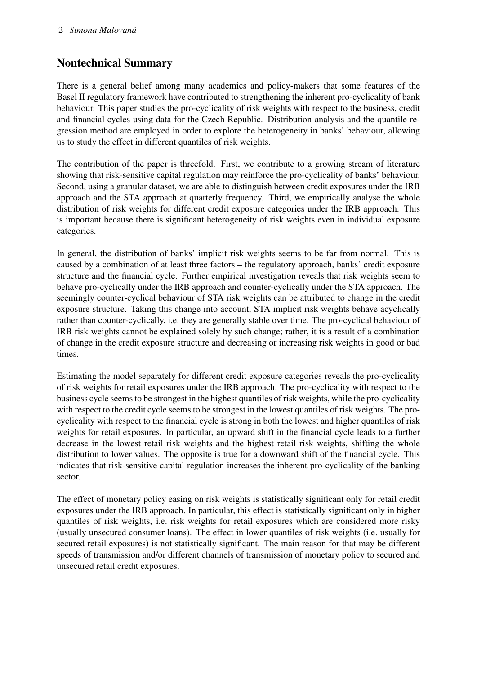# Nontechnical Summary

There is a general belief among many academics and policy-makers that some features of the Basel II regulatory framework have contributed to strengthening the inherent pro-cyclicality of bank behaviour. This paper studies the pro-cyclicality of risk weights with respect to the business, credit and financial cycles using data for the Czech Republic. Distribution analysis and the quantile regression method are employed in order to explore the heterogeneity in banks' behaviour, allowing us to study the effect in different quantiles of risk weights.

The contribution of the paper is threefold. First, we contribute to a growing stream of literature showing that risk-sensitive capital regulation may reinforce the pro-cyclicality of banks' behaviour. Second, using a granular dataset, we are able to distinguish between credit exposures under the IRB approach and the STA approach at quarterly frequency. Third, we empirically analyse the whole distribution of risk weights for different credit exposure categories under the IRB approach. This is important because there is significant heterogeneity of risk weights even in individual exposure categories.

In general, the distribution of banks' implicit risk weights seems to be far from normal. This is caused by a combination of at least three factors – the regulatory approach, banks' credit exposure structure and the financial cycle. Further empirical investigation reveals that risk weights seem to behave pro-cyclically under the IRB approach and counter-cyclically under the STA approach. The seemingly counter-cyclical behaviour of STA risk weights can be attributed to change in the credit exposure structure. Taking this change into account, STA implicit risk weights behave acyclically rather than counter-cyclically, i.e. they are generally stable over time. The pro-cyclical behaviour of IRB risk weights cannot be explained solely by such change; rather, it is a result of a combination of change in the credit exposure structure and decreasing or increasing risk weights in good or bad times.

Estimating the model separately for different credit exposure categories reveals the pro-cyclicality of risk weights for retail exposures under the IRB approach. The pro-cyclicality with respect to the business cycle seems to be strongest in the highest quantiles of risk weights, while the pro-cyclicality with respect to the credit cycle seems to be strongest in the lowest quantiles of risk weights. The procyclicality with respect to the financial cycle is strong in both the lowest and higher quantiles of risk weights for retail exposures. In particular, an upward shift in the financial cycle leads to a further decrease in the lowest retail risk weights and the highest retail risk weights, shifting the whole distribution to lower values. The opposite is true for a downward shift of the financial cycle. This indicates that risk-sensitive capital regulation increases the inherent pro-cyclicality of the banking sector.

The effect of monetary policy easing on risk weights is statistically significant only for retail credit exposures under the IRB approach. In particular, this effect is statistically significant only in higher quantiles of risk weights, i.e. risk weights for retail exposures which are considered more risky (usually unsecured consumer loans). The effect in lower quantiles of risk weights (i.e. usually for secured retail exposures) is not statistically significant. The main reason for that may be different speeds of transmission and/or different channels of transmission of monetary policy to secured and unsecured retail credit exposures.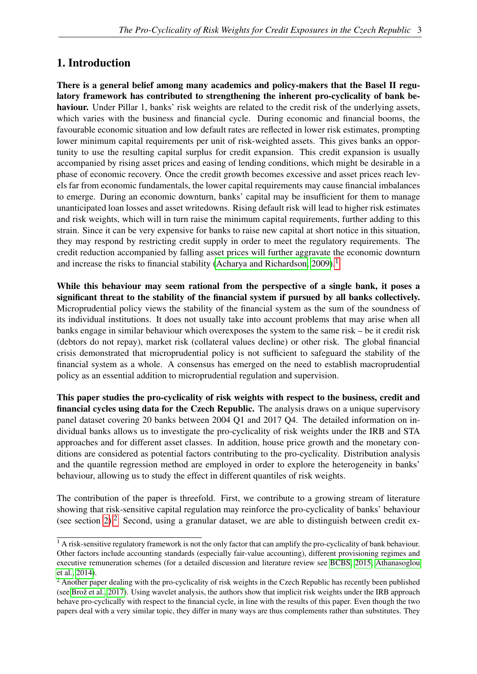# 1. Introduction

There is a general belief among many academics and policy-makers that the Basel II regulatory framework has contributed to strengthening the inherent pro-cyclicality of bank behaviour. Under Pillar 1, banks' risk weights are related to the credit risk of the underlying assets, which varies with the business and financial cycle. During economic and financial booms, the favourable economic situation and low default rates are reflected in lower risk estimates, prompting lower minimum capital requirements per unit of risk-weighted assets. This gives banks an opportunity to use the resulting capital surplus for credit expansion. This credit expansion is usually accompanied by rising asset prices and easing of lending conditions, which might be desirable in a phase of economic recovery. Once the credit growth becomes excessive and asset prices reach levels far from economic fundamentals, the lower capital requirements may cause financial imbalances to emerge. During an economic downturn, banks' capital may be insufficient for them to manage unanticipated loan losses and asset writedowns. Rising default risk will lead to higher risk estimates and risk weights, which will in turn raise the minimum capital requirements, further adding to this strain. Since it can be very expensive for banks to raise new capital at short notice in this situation, they may respond by restricting credit supply in order to meet the regulatory requirements. The credit reduction accompanied by falling asset prices will further aggravate the economic downturn and increase the risks to financial stability (Acharya and Richardson,  $2009$ ).<sup>[1](#page-6-0)</sup>

While this behaviour may seem rational from the perspective of a single bank, it poses a significant threat to the stability of the financial system if pursued by all banks collectively. Microprudential policy views the stability of the financial system as the sum of the soundness of its individual institutions. It does not usually take into account problems that may arise when all banks engage in similar behaviour which overexposes the system to the same risk – be it credit risk (debtors do not repay), market risk (collateral values decline) or other risk. The global financial crisis demonstrated that microprudential policy is not sufficient to safeguard the stability of the financial system as a whole. A consensus has emerged on the need to establish macroprudential policy as an essential addition to microprudential regulation and supervision.

This paper studies the pro-cyclicality of risk weights with respect to the business, credit and financial cycles using data for the Czech Republic. The analysis draws on a unique supervisory panel dataset covering 20 banks between 2004 Q1 and 2017 Q4. The detailed information on individual banks allows us to investigate the pro-cyclicality of risk weights under the IRB and STA approaches and for different asset classes. In addition, house price growth and the monetary conditions are considered as potential factors contributing to the pro-cyclicality. Distribution analysis and the quantile regression method are employed in order to explore the heterogeneity in banks' behaviour, allowing us to study the effect in different quantiles of risk weights.

The contribution of the paper is threefold. First, we contribute to a growing stream of literature showing that risk-sensitive capital regulation may reinforce the pro-cyclicality of banks' behaviour (see section [2\)](#page-7-0).<sup>[2](#page-6-1)</sup> Second, using a granular dataset, we are able to distinguish between credit ex-

<span id="page-6-0"></span><sup>&</sup>lt;sup>1</sup> A risk-sensitive regulatory framework is not the only factor that can amplify the pro-cyclicality of bank behaviour. Other factors include accounting standards (especially fair-value accounting), different provisioning regimes and executive remuneration schemes (for a detailed discussion and literature review see [BCBS, 2015;](#page-32-1) [Athanasoglou](#page-32-2) [et al., 2014\)](#page-32-2).

<span id="page-6-1"></span><sup>&</sup>lt;sup>2</sup> Another paper dealing with the pro-cyclicality of risk weights in the Czech Republic has recently been published (see [Brož et al., 2017\)](#page-32-3). Using wavelet analysis, the authors show that implicit risk weights under the IRB approach behave pro-cyclically with respect to the financial cycle, in line with the results of this paper. Even though the two papers deal with a very similar topic, they differ in many ways are thus complements rather than substitutes. They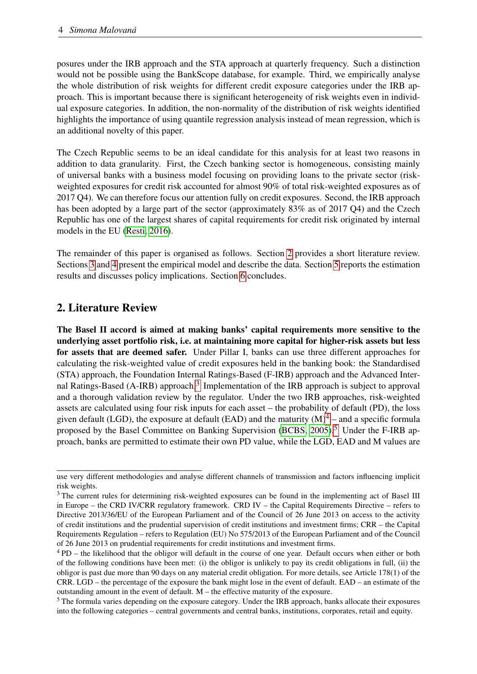posures under the IRB approach and the STA approach at quarterly frequency. Such a distinction would not be possible using the BankScope database, for example. Third, we empirically analyse the whole distribution of risk weights for different credit exposure categories under the IRB approach. This is important because there is significant heterogeneity of risk weights even in individual exposure categories. In addition, the non-normality of the distribution of risk weights identified highlights the importance of using quantile regression analysis instead of mean regression, which is an additional novelty of this paper.

The Czech Republic seems to be an ideal candidate for this analysis for at least two reasons in addition to data granularity. First, the Czech banking sector is homogeneous, consisting mainly of universal banks with a business model focusing on providing loans to the private sector (riskweighted exposures for credit risk accounted for almost 90% of total risk-weighted exposures as of 2017 Q4). We can therefore focus our attention fully on credit exposures. Second, the IRB approach has been adopted by a large part of the sector (approximately 83% as of 2017 Q4) and the Czech Republic has one of the largest shares of capital requirements for credit risk originated by internal models in the EU [\(Resti, 2016\)](#page-35-0).

The remainder of this paper is organised as follows. Section [2](#page-7-0) provides a short literature review. Sections [3](#page-10-0) and [4](#page-11-0) present the empirical model and describe the data. Section [5](#page-16-0) reports the estimation results and discusses policy implications. Section [6](#page-30-0) concludes.

# <span id="page-7-0"></span>2. Literature Review

The Basel II accord is aimed at making banks' capital requirements more sensitive to the underlying asset portfolio risk, i.e. at maintaining more capital for higher-risk assets but less for assets that are deemed safer. Under Pillar I, banks can use three different approaches for calculating the risk-weighted value of credit exposures held in the banking book: the Standardised (STA) approach, the Foundation Internal Ratings-Based (F-IRB) approach and the Advanced Inter-nal Ratings-Based (A-IRB) approach.<sup>[3](#page-7-1)</sup> Implementation of the IRB approach is subject to approval and a thorough validation review by the regulator. Under the two IRB approaches, risk-weighted assets are calculated using four risk inputs for each asset – the probability of default (PD), the loss given default (LGD), the exposure at default (EAD) and the maturity  $(M)^4$  $(M)^4$  – and a specific formula proposed by the Basel Committee on Banking Supervision (BCBS,  $2005$  $2005$ ).<sup>5</sup> Under the F-IRB approach, banks are permitted to estimate their own PD value, while the LGD, EAD and M values are

use very different methodologies and analyse different channels of transmission and factors influencing implicit risk weights.

<span id="page-7-1"></span><sup>&</sup>lt;sup>3</sup> The current rules for determining risk-weighted exposures can be found in the implementing act of Basel III in Europe – the CRD IV/CRR regulatory framework. CRD IV – the Capital Requirements Directive – refers to Directive 2013/36/EU of the European Parliament and of the Council of 26 June 2013 on access to the activity of credit institutions and the prudential supervision of credit institutions and investment firms; CRR – the Capital Requirements Regulation – refers to Regulation (EU) No 575/2013 of the European Parliament and of the Council of 26 June 2013 on prudential requirements for credit institutions and investment firms.

<span id="page-7-2"></span><sup>4</sup> PD – the likelihood that the obligor will default in the course of one year. Default occurs when either or both of the following conditions have been met: (i) the obligor is unlikely to pay its credit obligations in full, (ii) the obligor is past due more than 90 days on any material credit obligation. For more details, see Article 178(1) of the CRR. LGD – the percentage of the exposure the bank might lose in the event of default. EAD – an estimate of the outstanding amount in the event of default. M – the effective maturity of the exposure.

<span id="page-7-3"></span><sup>5</sup> The formula varies depending on the exposure category. Under the IRB approach, banks allocate their exposures into the following categories – central governments and central banks, institutions, corporates, retail and equity.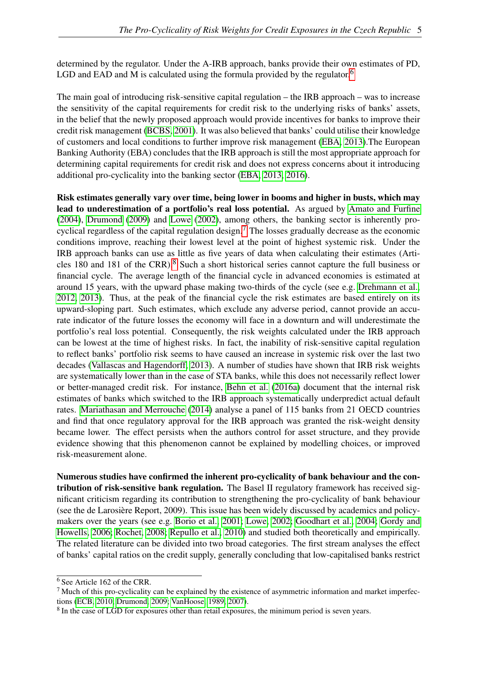determined by the regulator. Under the A-IRB approach, banks provide their own estimates of PD, LGD and EAD and M is calculated using the formula provided by the regulator.<sup>[6](#page-8-0)</sup>

The main goal of introducing risk-sensitive capital regulation – the IRB approach – was to increase the sensitivity of the capital requirements for credit risk to the underlying risks of banks' assets, in the belief that the newly proposed approach would provide incentives for banks to improve their credit risk management [\(BCBS, 2001\)](#page-32-5). It was also believed that banks' could utilise their knowledge of customers and local conditions to further improve risk management [\(EBA, 2013\)](#page-33-0).The European Banking Authority (EBA) concludes that the IRB approach is still the most appropriate approach for determining capital requirements for credit risk and does not express concerns about it introducing additional pro-cyclicality into the banking sector [\(EBA, 2013,](#page-33-0) [2016\)](#page-33-1).

Risk estimates generally vary over time, being lower in booms and higher in busts, which may lead to underestimation of a portfolio's real loss potential. As argued by [Amato and Furfine](#page-32-6) [\(2004\)](#page-32-6), [Drumond](#page-33-2) [\(2009\)](#page-33-2) and [Lowe](#page-35-1) [\(2002\)](#page-35-1), among others, the banking sector is inherently pro-cyclical regardless of the capital regulation design.<sup>[7](#page-8-1)</sup> The losses gradually decrease as the economic conditions improve, reaching their lowest level at the point of highest systemic risk. Under the IRB approach banks can use as little as five years of data when calculating their estimates (Articles 180 and 181 of the CRR).[8](#page-8-2) Such a short historical series cannot capture the full business or financial cycle. The average length of the financial cycle in advanced economies is estimated at around 15 years, with the upward phase making two-thirds of the cycle (see e.g. [Drehmann et al.,](#page-33-3) [2012,](#page-33-3) [2013\)](#page-33-4). Thus, at the peak of the financial cycle the risk estimates are based entirely on its upward-sloping part. Such estimates, which exclude any adverse period, cannot provide an accurate indicator of the future losses the economy will face in a downturn and will underestimate the portfolio's real loss potential. Consequently, the risk weights calculated under the IRB approach can be lowest at the time of highest risks. In fact, the inability of risk-sensitive capital regulation to reflect banks' portfolio risk seems to have caused an increase in systemic risk over the last two decades [\(Vallascas and Hagendorff, 2013\)](#page-35-2). A number of studies have shown that IRB risk weights are systematically lower than in the case of STA banks, while this does not necessarily reflect lower or better-managed credit risk. For instance, [Behn et al.](#page-32-7) [\(2016a\)](#page-32-7) document that the internal risk estimates of banks which switched to the IRB approach systematically underpredict actual default rates. [Mariathasan and Merrouche](#page-35-3) [\(2014\)](#page-35-3) analyse a panel of 115 banks from 21 OECD countries and find that once regulatory approval for the IRB approach was granted the risk-weight density became lower. The effect persists when the authors control for asset structure, and they provide evidence showing that this phenomenon cannot be explained by modelling choices, or improved risk-measurement alone.

Numerous studies have confirmed the inherent pro-cyclicality of bank behaviour and the contribution of risk-sensitive bank regulation. The Basel II regulatory framework has received significant criticism regarding its contribution to strengthening the pro-cyclicality of bank behaviour (see the de Larosière Report, 2009). This issue has been widely discussed by academics and policymakers over the years (see e.g. [Borio et al., 2001;](#page-32-8) [Lowe, 2002;](#page-35-1) [Goodhart et al., 2004;](#page-34-0) [Gordy and](#page-34-1) [Howells, 2006;](#page-34-1) [Rochet, 2008;](#page-35-4) [Repullo et al., 2010\)](#page-35-5) and studied both theoretically and empirically. The related literature can be divided into two broad categories. The first stream analyses the effect of banks' capital ratios on the credit supply, generally concluding that low-capitalised banks restrict

<span id="page-8-0"></span><sup>6</sup> See Article 162 of the CRR.

<span id="page-8-1"></span><sup>7</sup> Much of this pro-cyclicality can be explained by the existence of asymmetric information and market imperfections [\(ECB, 2010;](#page-33-5) [Drumond, 2009;](#page-33-2) [VanHoose, 1989,](#page-35-6) [2007\)](#page-36-0).

<span id="page-8-2"></span><sup>&</sup>lt;sup>8</sup> In the case of LGD for exposures other than retail exposures, the minimum period is seven years.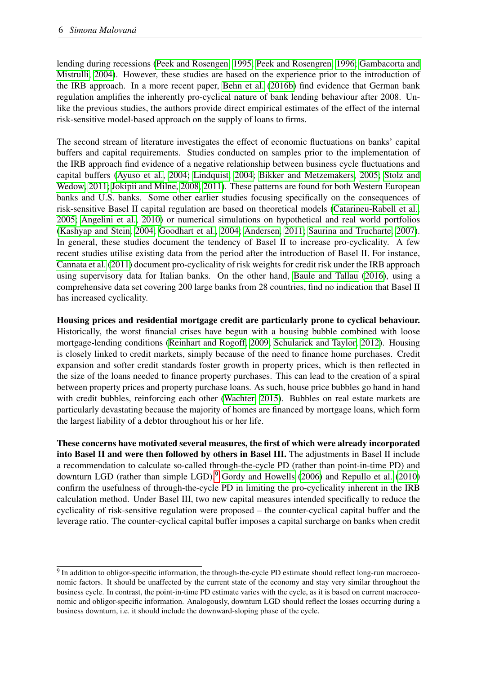lending during recessions [\(Peek and Rosengen, 1995;](#page-35-7) [Peek and Rosengren, 1996;](#page-35-8) [Gambacorta and](#page-34-2) [Mistrulli, 2004\)](#page-34-2). However, these studies are based on the experience prior to the introduction of the IRB approach. In a more recent paper, [Behn et al.](#page-32-9) [\(2016b\)](#page-32-9) find evidence that German bank regulation amplifies the inherently pro-cyclical nature of bank lending behaviour after 2008. Unlike the previous studies, the authors provide direct empirical estimates of the effect of the internal risk-sensitive model-based approach on the supply of loans to firms.

The second stream of literature investigates the effect of economic fluctuations on banks' capital buffers and capital requirements. Studies conducted on samples prior to the implementation of the IRB approach find evidence of a negative relationship between business cycle fluctuations and capital buffers [\(Ayuso et al., 2004;](#page-32-10) [Lindquist, 2004;](#page-35-9) [Bikker and Metzemakers, 2005;](#page-32-11) [Stolz and](#page-35-10) [Wedow, 2011;](#page-35-10) [Jokipii and Milne, 2008,](#page-34-3) [2011\)](#page-34-4). These patterns are found for both Western European banks and U.S. banks. Some other earlier studies focusing specifically on the consequences of risk-sensitive Basel II capital regulation are based on theoretical models [\(Catarineu-Rabell et al.,](#page-33-6) [2005;](#page-33-6) [Angelini et al., 2010\)](#page-32-12) or numerical simulations on hypothetical and real world portfolios [\(Kashyap and Stein, 2004;](#page-34-5) [Goodhart et al., 2004;](#page-34-0) [Andersen, 2011;](#page-32-13) [Saurina and Trucharte, 2007\)](#page-35-11). In general, these studies document the tendency of Basel II to increase pro-cyclicality. A few recent studies utilise existing data from the period after the introduction of Basel II. For instance, [Cannata et al.](#page-33-7) [\(2011\)](#page-33-7) document pro-cyclicality of risk weights for credit risk under the IRB approach using supervisory data for Italian banks. On the other hand, [Baule and Tallau](#page-32-14) [\(2016\)](#page-32-14), using a comprehensive data set covering 200 large banks from 28 countries, find no indication that Basel II has increased cyclicality.

Housing prices and residential mortgage credit are particularly prone to cyclical behaviour. Historically, the worst financial crises have begun with a housing bubble combined with loose mortgage-lending conditions [\(Reinhart and Rogoff, 2009;](#page-35-12) [Schularick and Taylor, 2012\)](#page-35-13). Housing is closely linked to credit markets, simply because of the need to finance home purchases. Credit expansion and softer credit standards foster growth in property prices, which is then reflected in the size of the loans needed to finance property purchases. This can lead to the creation of a spiral between property prices and property purchase loans. As such, house price bubbles go hand in hand with credit bubbles, reinforcing each other [\(Wachter, 2015\)](#page-36-1). Bubbles on real estate markets are particularly devastating because the majority of homes are financed by mortgage loans, which form the largest liability of a debtor throughout his or her life.

These concerns have motivated several measures, the first of which were already incorporated into Basel II and were then followed by others in Basel III. The adjustments in Basel II include a recommendation to calculate so-called through-the-cycle PD (rather than point-in-time PD) and downturn LGD (rather than simple LGD).<sup>[9](#page-9-0)</sup> [Gordy and Howells](#page-34-1) [\(2006\)](#page-34-1) and [Repullo et al.](#page-35-5) [\(2010\)](#page-35-5) confirm the usefulness of through-the-cycle PD in limiting the pro-cyclicality inherent in the IRB calculation method. Under Basel III, two new capital measures intended specifically to reduce the cyclicality of risk-sensitive regulation were proposed – the counter-cyclical capital buffer and the leverage ratio. The counter-cyclical capital buffer imposes a capital surcharge on banks when credit

<span id="page-9-0"></span><sup>&</sup>lt;sup>9</sup> In addition to obligor-specific information, the through-the-cycle PD estimate should reflect long-run macroeconomic factors. It should be unaffected by the current state of the economy and stay very similar throughout the business cycle. In contrast, the point-in-time PD estimate varies with the cycle, as it is based on current macroeconomic and obligor-specific information. Analogously, downturn LGD should reflect the losses occurring during a business downturn, i.e. it should include the downward-sloping phase of the cycle.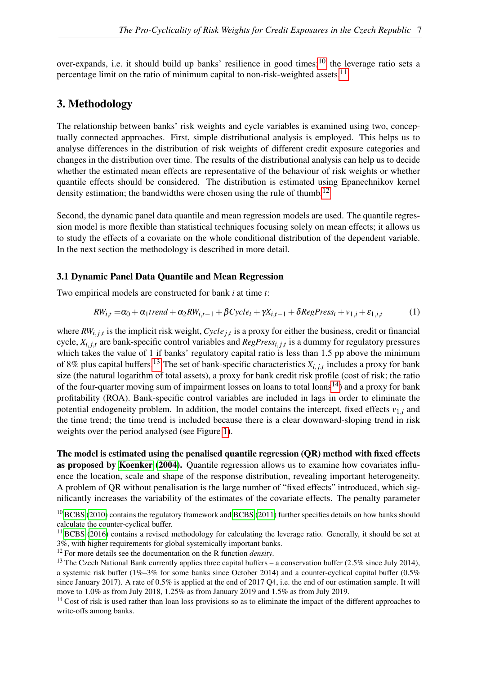over-expands, i.e. it should build up banks' resilience in good times;<sup>[10](#page-10-1)</sup> the leverage ratio sets a percentage limit on the ratio of minimum capital to non-risk-weighted assets.<sup>[11](#page-10-2)</sup>

## <span id="page-10-0"></span>3. Methodology

The relationship between banks' risk weights and cycle variables is examined using two, conceptually connected approaches. First, simple distributional analysis is employed. This helps us to analyse differences in the distribution of risk weights of different credit exposure categories and changes in the distribution over time. The results of the distributional analysis can help us to decide whether the estimated mean effects are representative of the behaviour of risk weights or whether quantile effects should be considered. The distribution is estimated using Epanechnikov kernel density estimation; the bandwidths were chosen using the rule of thumb.<sup>[12](#page-10-3)</sup>

Second, the dynamic panel data quantile and mean regression models are used. The quantile regression model is more flexible than statistical techniques focusing solely on mean effects; it allows us to study the effects of a covariate on the whole conditional distribution of the dependent variable. In the next section the methodology is described in more detail.

#### 3.1 Dynamic Panel Data Quantile and Mean Regression

Two empirical models are constructed for bank *i* at time *t*:

<span id="page-10-6"></span>
$$
RW_{i,t} = \alpha_0 + \alpha_1 trend + \alpha_2 RW_{i,t-1} + \beta Cycle_t + \gamma X_{i,t-1} + \delta RegPress_t + v_{1,i} + \varepsilon_{1,i,t}
$$
 (1)

where  $RW_{i,j,t}$  is the implicit risk weight,  $Cycle_{j,t}$  is a proxy for either the business, credit or financial cycle,  $X_{i,j,t}$  are bank-specific control variables and  $RegPress_{i,j,t}$  is a dummy for regulatory pressures which takes the value of 1 if banks' regulatory capital ratio is less than 1.5 pp above the minimum of 8% plus capital buffers.<sup>[13](#page-10-4)</sup> The set of bank-specific characteristics  $X_{i,j,t}$  includes a proxy for bank size (the natural logarithm of total assets), a proxy for bank credit risk profile (cost of risk; the ratio of the four-quarter moving sum of impairment losses on loans to total loans<sup>[14](#page-10-5)</sup>) and a proxy for bank profitability (ROA). Bank-specific control variables are included in lags in order to eliminate the potential endogeneity problem. In addition, the model contains the intercept, fixed effects  $v_{1,i}$  and the time trend; the time trend is included because there is a clear downward-sloping trend in risk weights over the period analysed (see Figure [1\)](#page-14-0).

The model is estimated using the penalised quantile regression (QR) method with fixed effects as proposed by [Koenker](#page-34-6) [\(2004\)](#page-34-6). Quantile regression allows us to examine how covariates influence the location, scale and shape of the response distribution, revealing important heterogeneity. A problem of QR without penalisation is the large number of "fixed effects" introduced, which significantly increases the variability of the estimates of the covariate effects. The penalty parameter

<span id="page-10-1"></span><sup>&</sup>lt;sup>10</sup> [BCBS](#page-32-15) [\(2010\)](#page-32-15) contains the regulatory framework and [BCBS](#page-32-16) [\(2011\)](#page-32-16) further specifies details on how banks should calculate the counter-cyclical buffer.

<span id="page-10-2"></span> $11$  [BCBS](#page-32-17) [\(2016\)](#page-32-17) contains a revised methodology for calculating the leverage ratio. Generally, it should be set at 3%, with higher requirements for global systemically important banks.

<span id="page-10-3"></span><sup>12</sup> For more details see the documentation on the R function *density*.

<span id="page-10-4"></span><sup>&</sup>lt;sup>13</sup> The Czech National Bank currently applies three capital buffers – a conservation buffer (2.5% since July 2014), a systemic risk buffer (1%–3% for some banks since October 2014) and a counter-cyclical capital buffer (0.5% since January 2017). A rate of 0.5% is applied at the end of 2017 Q4, i.e. the end of our estimation sample. It will move to 1.0% as from July 2018, 1.25% as from January 2019 and 1.5% as from July 2019.

<span id="page-10-5"></span><sup>&</sup>lt;sup>14</sup> Cost of risk is used rather than loan loss provisions so as to eliminate the impact of the different approaches to write-offs among banks.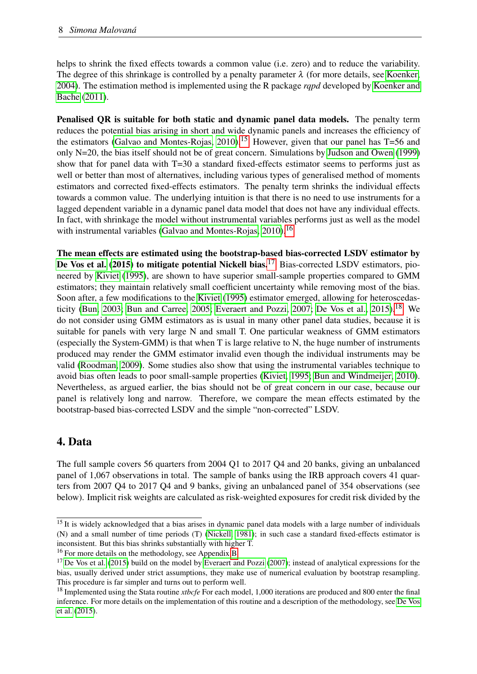helps to shrink the fixed effects towards a common value (i.e. zero) and to reduce the variability. The degree of this shrinkage is controlled by a penalty parameter  $\lambda$  (for more details, see [Koenker,](#page-34-6) [2004\)](#page-34-6). The estimation method is implemented using the R package *rqpd* developed by [Koenker and](#page-34-7) [Bache](#page-34-7) [\(2011\)](#page-34-7).

Penalised QR is suitable for both static and dynamic panel data models. The penalty term reduces the potential bias arising in short and wide dynamic panels and increases the efficiency of the estimators [\(Galvao and Montes-Rojas, 2010\)](#page-34-8).<sup>[15](#page-11-1)</sup> However, given that our panel has  $T=56$  and only N=20, the bias itself should not be of great concern. Simulations by [Judson and Owen](#page-34-9) [\(1999\)](#page-34-9) show that for panel data with T=30 a standard fixed-effects estimator seems to performs just as well or better than most of alternatives, including various types of generalised method of moments estimators and corrected fixed-effects estimators. The penalty term shrinks the individual effects towards a common value. The underlying intuition is that there is no need to use instruments for a lagged dependent variable in a dynamic panel data model that does not have any individual effects. In fact, with shrinkage the model without instrumental variables performs just as well as the model with instrumental variables [\(Galvao and Montes-Rojas, 2010\)](#page-34-8).<sup>[16](#page-11-2)</sup>

The mean effects are estimated using the bootstrap-based bias-corrected LSDV estimator by [De Vos et al.](#page-33-8) [\(2015\)](#page-33-8) to mitigate potential Nickell bias.<sup>[17](#page-11-3)</sup> Bias-corrected LSDV estimators, pioneered by [Kiviet](#page-34-10) [\(1995\)](#page-34-10), are shown to have superior small-sample properties compared to GMM estimators; they maintain relatively small coefficient uncertainty while removing most of the bias. Soon after, a few modifications to the [Kiviet](#page-34-10) [\(1995\)](#page-34-10) estimator emerged, allowing for heteroscedas-ticity [\(Bun, 2003;](#page-33-9) [Bun and Carree, 2005;](#page-33-10) [Everaert and Pozzi, 2007;](#page-34-11) [De Vos et al., 2015\)](#page-33-8).<sup>[18](#page-11-4)</sup> We do not consider using GMM estimators as is usual in many other panel data studies, because it is suitable for panels with very large N and small T. One particular weakness of GMM estimators (especially the System-GMM) is that when T is large relative to N, the huge number of instruments produced may render the GMM estimator invalid even though the individual instruments may be valid [\(Roodman, 2009\)](#page-35-14). Some studies also show that using the instrumental variables technique to avoid bias often leads to poor small-sample properties [\(Kiviet, 1995;](#page-34-10) [Bun and Windmeijer, 2010\)](#page-33-11). Nevertheless, as argued earlier, the bias should not be of great concern in our case, because our panel is relatively long and narrow. Therefore, we compare the mean effects estimated by the bootstrap-based bias-corrected LSDV and the simple "non-corrected" LSDV.

# <span id="page-11-0"></span>4. Data

The full sample covers 56 quarters from 2004 Q1 to 2017 Q4 and 20 banks, giving an unbalanced panel of 1,067 observations in total. The sample of banks using the IRB approach covers 41 quarters from 2007 Q4 to 2017 Q4 and 9 banks, giving an unbalanced panel of 354 observations (see below). Implicit risk weights are calculated as risk-weighted exposures for credit risk divided by the

<span id="page-11-1"></span> $15$  It is widely acknowledged that a bias arises in dynamic panel data models with a large number of individuals (N) and a small number of time periods (T) [\(Nickell, 1981\)](#page-35-15); in such case a standard fixed-effects estimator is inconsistent. But this bias shrinks substantially with higher T.

<span id="page-11-2"></span><sup>16</sup> For more details on the methodology, see Appendix [B.](#page-40-0)

<span id="page-11-3"></span> $17$  [De Vos et al.](#page-33-8) [\(2015\)](#page-33-8) build on the model by [Everaert and Pozzi](#page-34-11) [\(2007\)](#page-34-11); instead of analytical expressions for the bias, usually derived under strict assumptions, they make use of numerical evaluation by bootstrap resampling. This procedure is far simpler and turns out to perform well.

<span id="page-11-4"></span><sup>&</sup>lt;sup>18</sup> Implemented using the Stata routine *xtbcfe* For each model, 1,000 iterations are produced and 800 enter the final inference. For more details on the implementation of this routine and a description of the methodology, see [De Vos](#page-33-8) [et al.](#page-33-8) [\(2015\)](#page-33-8).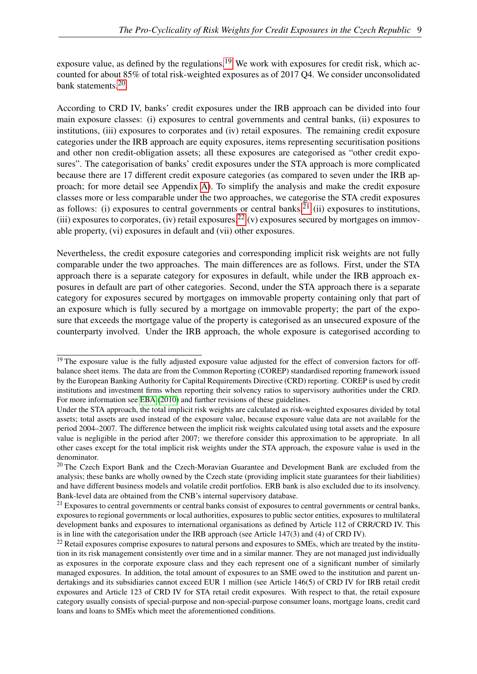exposure value, as defined by the regulations.<sup>[19](#page-12-0)</sup> We work with exposures for credit risk, which accounted for about 85% of total risk-weighted exposures as of 2017 Q4. We consider unconsolidated bank statements.[20](#page-12-1)

According to CRD IV, banks' credit exposures under the IRB approach can be divided into four main exposure classes: (i) exposures to central governments and central banks, (ii) exposures to institutions, (iii) exposures to corporates and (iv) retail exposures. The remaining credit exposure categories under the IRB approach are equity exposures, items representing securitisation positions and other non credit-obligation assets; all these exposures are categorised as "other credit exposures". The categorisation of banks' credit exposures under the STA approach is more complicated because there are 17 different credit exposure categories (as compared to seven under the IRB approach; for more detail see Appendix [A\)](#page-37-0). To simplify the analysis and make the credit exposure classes more or less comparable under the two approaches, we categorise the STA credit exposures as follows: (i) exposures to central governments or central banks, $2^{1}$  (ii) exposures to institutions, (iii) exposures to corporates, (iv) retail exposures,  $^{22}$  $^{22}$  $^{22}$  (v) exposures secured by mortgages on immovable property, (vi) exposures in default and (vii) other exposures.

Nevertheless, the credit exposure categories and corresponding implicit risk weights are not fully comparable under the two approaches. The main differences are as follows. First, under the STA approach there is a separate category for exposures in default, while under the IRB approach exposures in default are part of other categories. Second, under the STA approach there is a separate category for exposures secured by mortgages on immovable property containing only that part of an exposure which is fully secured by a mortgage on immovable property; the part of the exposure that exceeds the mortgage value of the property is categorised as an unsecured exposure of the counterparty involved. Under the IRB approach, the whole exposure is categorised according to

<span id="page-12-0"></span> $19$  The exposure value is the fully adjusted exposure value adjusted for the effect of conversion factors for offbalance sheet items. The data are from the Common Reporting (COREP) standardised reporting framework issued by the European Banking Authority for Capital Requirements Directive (CRD) reporting. COREP is used by credit institutions and investment firms when reporting their solvency ratios to supervisory authorities under the CRD. For more information see [EBA](#page-33-12) [\(2010\)](#page-33-12) and further revisions of these guidelines.

Under the STA approach, the total implicit risk weights are calculated as risk-weighted exposures divided by total assets; total assets are used instead of the exposure value, because exposure value data are not available for the period 2004–2007. The difference between the implicit risk weights calculated using total assets and the exposure value is negligible in the period after 2007; we therefore consider this approximation to be appropriate. In all other cases except for the total implicit risk weights under the STA approach, the exposure value is used in the denominator.

<span id="page-12-1"></span><sup>&</sup>lt;sup>20</sup> The Czech Export Bank and the Czech-Moravian Guarantee and Development Bank are excluded from the analysis; these banks are wholly owned by the Czech state (providing implicit state guarantees for their liabilities) and have different business models and volatile credit portfolios. ERB bank is also excluded due to its insolvency. Bank-level data are obtained from the CNB's internal supervisory database.

<span id="page-12-2"></span> $^{21}$  Exposures to central governments or central banks consist of exposures to central governments or central banks, exposures to regional governments or local authorities, exposures to public sector entities, exposures to multilateral development banks and exposures to international organisations as defined by Article 112 of CRR/CRD IV. This is in line with the categorisation under the IRB approach (see Article 147(3) and (4) of CRD IV).

<span id="page-12-3"></span><sup>&</sup>lt;sup>22</sup> Retail exposures comprise exposures to natural persons and exposures to SMEs, which are treated by the institution in its risk management consistently over time and in a similar manner. They are not managed just individually as exposures in the corporate exposure class and they each represent one of a significant number of similarly managed exposures. In addition, the total amount of exposures to an SME owed to the institution and parent undertakings and its subsidiaries cannot exceed EUR 1 million (see Article 146(5) of CRD IV for IRB retail credit exposures and Article 123 of CRD IV for STA retail credit exposures. With respect to that, the retail exposure category usually consists of special-purpose and non-special-purpose consumer loans, mortgage loans, credit card loans and loans to SMEs which meet the aforementioned conditions.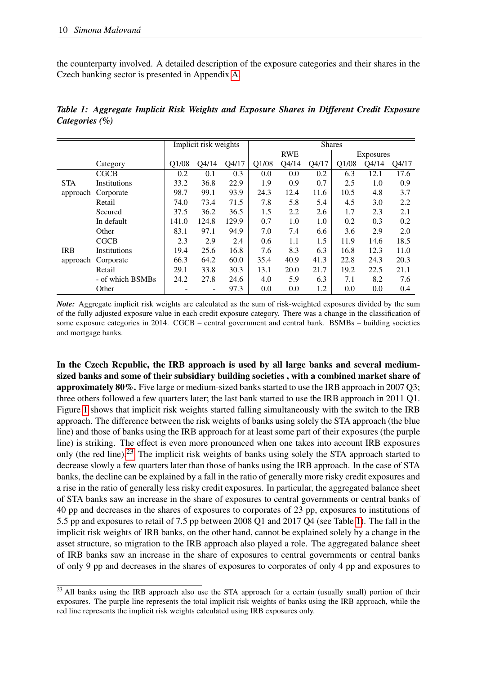the counterparty involved. A detailed description of the exposure categories and their shares in the Czech banking sector is presented in Appendix [A.](#page-37-0)

|            |                  |       | Implicit risk weights |       |       |            |       | <b>Shares</b> |           |       |
|------------|------------------|-------|-----------------------|-------|-------|------------|-------|---------------|-----------|-------|
|            |                  |       |                       |       |       | <b>RWE</b> |       |               | Exposures |       |
|            | Category         | Q1/08 | Q4/14                 | Q4/17 | Q1/08 | Q4/14      | Q4/17 | Q1/08         | O4/14     | Q4/17 |
|            | CGCB             | 0.2   | 0.1                   | 0.3   | 0.0   | 0.0        | 0.2   | 6.3           | 12.1      | 17.6  |
| <b>STA</b> | Institutions     | 33.2  | 36.8                  | 22.9  | 1.9   | 0.9        | 0.7   | 2.5           | 1.0       | 0.9   |
| approach   | Corporate        | 98.7  | 99.1                  | 93.9  | 24.3  | 12.4       | 11.6  | 10.5          | 4.8       | 3.7   |
|            | Retail           | 74.0  | 73.4                  | 71.5  | 7.8   | 5.8        | 5.4   | 4.5           | 3.0       | 2.2   |
|            | Secured          | 37.5  | 36.2                  | 36.5  | 1.5   | 2.2        | 2.6   | 1.7           | 2.3       | 2.1   |
|            | In default       | 141.0 | 124.8                 | 129.9 | 0.7   | 1.0        | 1.0   | 0.2           | 0.3       | 0.2   |
|            | Other            | 83.1  | 97.1                  | 94.9  | 7.0   | 7.4        | 6.6   | 3.6           | 2.9       | 2.0   |
|            | CGCB             | 2.3   | 2.9                   | 2.4   | 0.6   | 1.1        | 1.5   | 11.9          | 14.6      | 18.5  |
| <b>IRB</b> | Institutions     | 19.4  | 25.6                  | 16.8  | 7.6   | 8.3        | 6.3   | 16.8          | 12.3      | 11.0  |
| approach   | Corporate        | 66.3  | 64.2                  | 60.0  | 35.4  | 40.9       | 41.3  | 22.8          | 24.3      | 20.3  |
|            | Retail           | 29.1  | 33.8                  | 30.3  | 13.1  | 20.0       | 21.7  | 19.2          | 22.5      | 21.1  |
|            | - of which BSMBs | 24.2  | 27.8                  | 24.6  | 4.0   | 5.9        | 6.3   | 7.1           | 8.2       | 7.6   |
|            | Other            |       |                       | 97.3  | 0.0   | 0.0        | 1.2   | 0.0           | 0.0       | 0.4   |

<span id="page-13-1"></span>*Table 1: Aggregate Implicit Risk Weights and Exposure Shares in Different Credit Exposure Categories (%)*

*Note:* Aggregate implicit risk weights are calculated as the sum of risk-weighted exposures divided by the sum of the fully adjusted exposure value in each credit exposure category. There was a change in the classification of some exposure categories in 2014. CGCB – central government and central bank. BSMBs – building societies and mortgage banks.

In the Czech Republic, the IRB approach is used by all large banks and several mediumsized banks and some of their subsidiary building societies , with a combined market share of approximately 80%. Five large or medium-sized banks started to use the IRB approach in 2007 Q3; three others followed a few quarters later; the last bank started to use the IRB approach in 2011 Q1. Figure [1](#page-14-0) shows that implicit risk weights started falling simultaneously with the switch to the IRB approach. The difference between the risk weights of banks using solely the STA approach (the blue line) and those of banks using the IRB approach for at least some part of their exposures (the purple line) is striking. The effect is even more pronounced when one takes into account IRB exposures only (the red line).<sup>[23](#page-13-0)</sup> The implicit risk weights of banks using solely the STA approach started to decrease slowly a few quarters later than those of banks using the IRB approach. In the case of STA banks, the decline can be explained by a fall in the ratio of generally more risky credit exposures and a rise in the ratio of generally less risky credit exposures. In particular, the aggregated balance sheet of STA banks saw an increase in the share of exposures to central governments or central banks of 40 pp and decreases in the shares of exposures to corporates of 23 pp, exposures to institutions of 5.5 pp and exposures to retail of 7.5 pp between 2008 Q1 and 2017 Q4 (see Table [1\)](#page-13-1). The fall in the implicit risk weights of IRB banks, on the other hand, cannot be explained solely by a change in the asset structure, so migration to the IRB approach also played a role. The aggregated balance sheet of IRB banks saw an increase in the share of exposures to central governments or central banks of only 9 pp and decreases in the shares of exposures to corporates of only 4 pp and exposures to

<span id="page-13-0"></span><sup>&</sup>lt;sup>23</sup> All banks using the IRB approach also use the STA approach for a certain (usually small) portion of their exposures. The purple line represents the total implicit risk weights of banks using the IRB approach, while the red line represents the implicit risk weights calculated using IRB exposures only.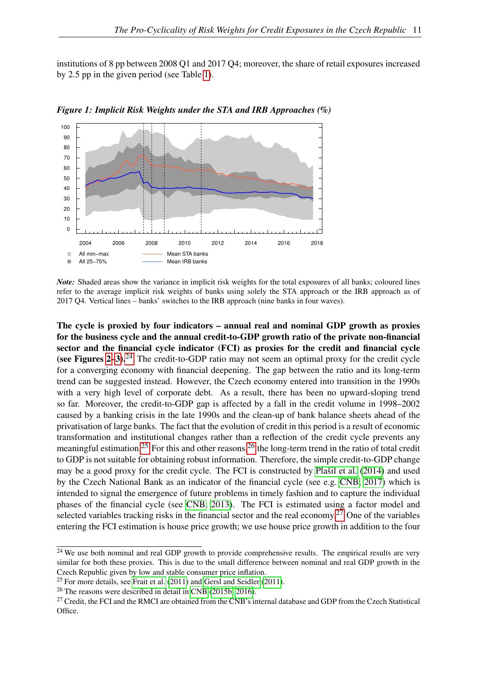institutions of 8 pp between 2008 Q1 and 2017 Q4; moreover, the share of retail exposures increased by 2.5 pp in the given period (see Table [1\)](#page-13-1).



<span id="page-14-0"></span>*Figure 1: Implicit Risk Weights under the STA and IRB Approaches (%)*

*Note:* Shaded areas show the variance in implicit risk weights for the total exposures of all banks; coloured lines refer to the average implicit risk weights of banks using solely the STA approach or the IRB approach as of 2017 Q4. Vertical lines – banks' switches to the IRB approach (nine banks in four waves).

The cycle is proxied by four indicators – annual real and nominal GDP growth as proxies for the business cycle and the annual credit-to-GDP growth ratio of the private non-financial sector and the financial cycle indicator (FCI) as proxies for the credit and financial cycle (see Figures  $2-3$ ).<sup>[24](#page-14-1)</sup> The credit-to-GDP ratio may not seem an optimal proxy for the credit cycle for a converging economy with financial deepening. The gap between the ratio and its long-term trend can be suggested instead. However, the Czech economy entered into transition in the 1990s with a very high level of corporate debt. As a result, there has been no upward-sloping trend so far. Moreover, the credit-to-GDP gap is affected by a fall in the credit volume in 1998–2002 caused by a banking crisis in the late 1990s and the clean-up of bank balance sheets ahead of the privatisation of large banks. The fact that the evolution of credit in this period is a result of economic transformation and institutional changes rather than a reflection of the credit cycle prevents any meaningful estimation.<sup>[25](#page-14-2)</sup> For this and other reasons,<sup>[26](#page-14-3)</sup> the long-term trend in the ratio of total credit to GDP is not suitable for obtaining robust information. Therefore, the simple credit-to-GDP change may be a good proxy for the credit cycle. The FCI is constructed by [Plašil et al.](#page-35-16) [\(2014\)](#page-35-16) and used by the Czech National Bank as an indicator of the financial cycle (see e.g. [CNB, 2017\)](#page-33-13) which is intended to signal the emergence of future problems in timely fashion and to capture the individual phases of the financial cycle (see [CNB, 2013\)](#page-33-14). The FCI is estimated using a factor model and selected variables tracking risks in the financial sector and the real economy.<sup>[27](#page-14-4)</sup> One of the variables entering the FCI estimation is house price growth; we use house price growth in addition to the four

<span id="page-14-1"></span><sup>&</sup>lt;sup>24</sup> We use both nominal and real GDP growth to provide comprehensive results. The empirical results are very similar for both these proxies. This is due to the small difference between nominal and real GDP growth in the Czech Republic given by low and stable consumer price inflation.

<span id="page-14-2"></span> $25$  For more details, see [Frait et al.](#page-34-12) [\(2011\)](#page-34-13) and [Gersl and Seidler](#page-34-13) (2011).

<span id="page-14-3"></span><sup>26</sup> The reasons were described in detail in [CNB](#page-33-15) [\(2015b,](#page-33-15) [2016\)](#page-33-16).

<span id="page-14-4"></span><sup>&</sup>lt;sup>27</sup> Credit, the FCI and the RMCI are obtained from the CNB's internal database and GDP from the Czech Statistical Office.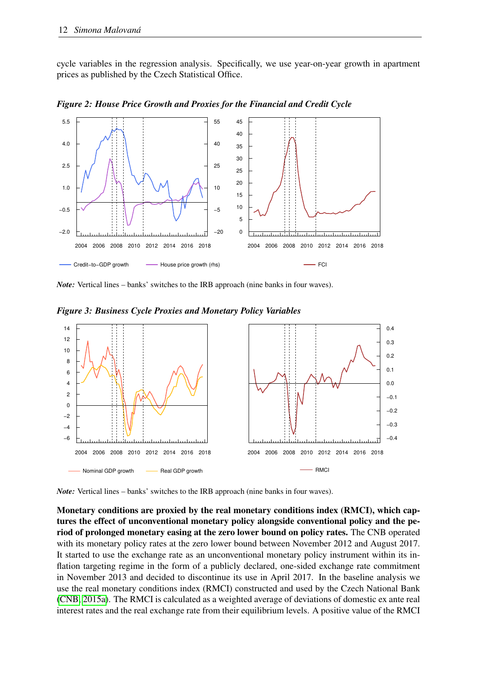cycle variables in the regression analysis. Specifically, we use year-on-year growth in apartment prices as published by the Czech Statistical Office.



<span id="page-15-0"></span>*Figure 2: House Price Growth and Proxies for the Financial and Credit Cycle*

<span id="page-15-1"></span>*Note:* Vertical lines – banks' switches to the IRB approach (nine banks in four waves).

*Figure 3: Business Cycle Proxies and Monetary Policy Variables*



*Note:* Vertical lines – banks' switches to the IRB approach (nine banks in four waves).

Monetary conditions are proxied by the real monetary conditions index (RMCI), which captures the effect of unconventional monetary policy alongside conventional policy and the period of prolonged monetary easing at the zero lower bound on policy rates. The CNB operated with its monetary policy rates at the zero lower bound between November 2012 and August 2017. It started to use the exchange rate as an unconventional monetary policy instrument within its inflation targeting regime in the form of a publicly declared, one-sided exchange rate commitment in November 2013 and decided to discontinue its use in April 2017. In the baseline analysis we use the real monetary conditions index (RMCI) constructed and used by the Czech National Bank [\(CNB, 2015a\)](#page-33-17). The RMCI is calculated as a weighted average of deviations of domestic ex ante real interest rates and the real exchange rate from their equilibrium levels. A positive value of the RMCI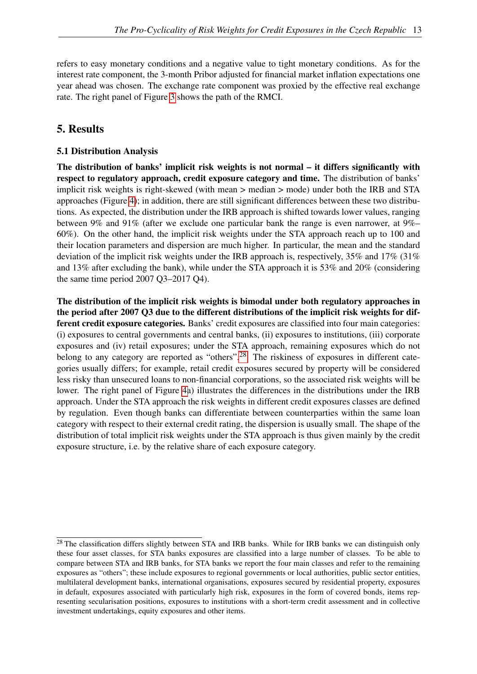refers to easy monetary conditions and a negative value to tight monetary conditions. As for the interest rate component, the 3-month Pribor adjusted for financial market inflation expectations one year ahead was chosen. The exchange rate component was proxied by the effective real exchange rate. The right panel of Figure [3](#page-15-1) shows the path of the RMCI.

# <span id="page-16-0"></span>5. Results

## 5.1 Distribution Analysis

The distribution of banks' implicit risk weights is not normal – it differs significantly with respect to regulatory approach, credit exposure category and time. The distribution of banks' implicit risk weights is right-skewed (with mean > median > mode) under both the IRB and STA approaches (Figure [4\)](#page-17-0); in addition, there are still significant differences between these two distributions. As expected, the distribution under the IRB approach is shifted towards lower values, ranging between 9% and 91% (after we exclude one particular bank the range is even narrower, at 9%– 60%). On the other hand, the implicit risk weights under the STA approach reach up to 100 and their location parameters and dispersion are much higher. In particular, the mean and the standard deviation of the implicit risk weights under the IRB approach is, respectively, 35% and 17% (31% and 13% after excluding the bank), while under the STA approach it is 53% and 20% (considering the same time period 2007 Q3–2017 Q4).

The distribution of the implicit risk weights is bimodal under both regulatory approaches in the period after 2007 Q3 due to the different distributions of the implicit risk weights for different credit exposure categories. Banks' credit exposures are classified into four main categories: (i) exposures to central governments and central banks, (ii) exposures to institutions, (iii) corporate exposures and (iv) retail exposures; under the STA approach, remaining exposures which do not belong to any category are reported as "others".<sup>[28](#page-16-1)</sup> The riskiness of exposures in different categories usually differs; for example, retail credit exposures secured by property will be considered less risky than unsecured loans to non-financial corporations, so the associated risk weights will be lower. The right panel of Figure [4a](#page-17-0)) illustrates the differences in the distributions under the IRB approach. Under the STA approach the risk weights in different credit exposures classes are defined by regulation. Even though banks can differentiate between counterparties within the same loan category with respect to their external credit rating, the dispersion is usually small. The shape of the distribution of total implicit risk weights under the STA approach is thus given mainly by the credit exposure structure, i.e. by the relative share of each exposure category.

<span id="page-16-1"></span><sup>&</sup>lt;sup>28</sup> The classification differs slightly between STA and IRB banks. While for IRB banks we can distinguish only these four asset classes, for STA banks exposures are classified into a large number of classes. To be able to compare between STA and IRB banks, for STA banks we report the four main classes and refer to the remaining exposures as "others"; these include exposures to regional governments or local authorities, public sector entities, multilateral development banks, international organisations, exposures secured by residential property, exposures in default, exposures associated with particularly high risk, exposures in the form of covered bonds, items representing secularisation positions, exposures to institutions with a short-term credit assessment and in collective investment undertakings, equity exposures and other items.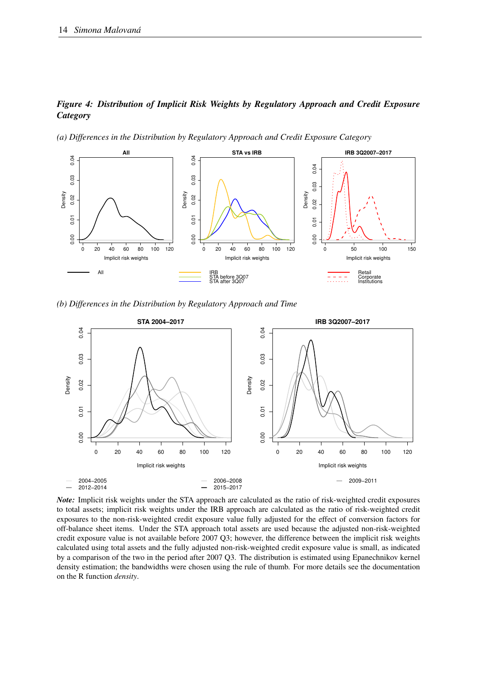#### <span id="page-17-0"></span>*Figure 4: Distribution of Implicit Risk Weights by Regulatory Approach and Credit Exposure Category*

*(a) Differences in the Distribution by Regulatory Approach and Credit Exposure Category*



*(b) Differences in the Distribution by Regulatory Approach and Time*



*Note:* Implicit risk weights under the STA approach are calculated as the ratio of risk-weighted credit exposures to total assets; implicit risk weights under the IRB approach are calculated as the ratio of risk-weighted credit exposures to the non-risk-weighted credit exposure value fully adjusted for the effect of conversion factors for off-balance sheet items. Under the STA approach total assets are used because the adjusted non-risk-weighted credit exposure value is not available before 2007 Q3; however, the difference between the implicit risk weights calculated using total assets and the fully adjusted non-risk-weighted credit exposure value is small, as indicated by a comparison of the two in the period after 2007 Q3. The distribution is estimated using Epanechnikov kernel density estimation; the bandwidths were chosen using the rule of thumb. For more details see the documentation on the R function *density*.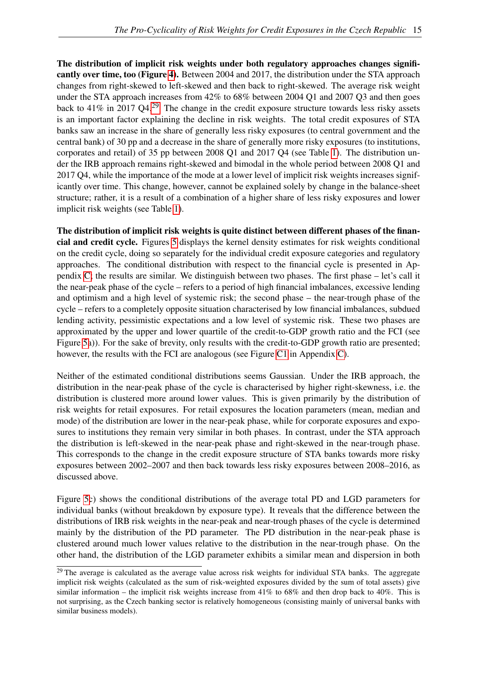The distribution of implicit risk weights under both regulatory approaches changes significantly over time, too (Figure [4\)](#page-17-0). Between 2004 and 2017, the distribution under the STA approach changes from right-skewed to left-skewed and then back to right-skewed. The average risk weight under the STA approach increases from 42% to 68% between 2004 Q1 and 2007 Q3 and then goes back to 41% in 2017 Q4.<sup>[29](#page-18-0)</sup> The change in the credit exposure structure towards less risky assets is an important factor explaining the decline in risk weights. The total credit exposures of STA banks saw an increase in the share of generally less risky exposures (to central government and the central bank) of 30 pp and a decrease in the share of generally more risky exposures (to institutions, corporates and retail) of 35 pp between 2008 Q1 and 2017 Q4 (see Table [1\)](#page-13-1). The distribution under the IRB approach remains right-skewed and bimodal in the whole period between 2008 Q1 and 2017 Q4, while the importance of the mode at a lower level of implicit risk weights increases significantly over time. This change, however, cannot be explained solely by change in the balance-sheet structure; rather, it is a result of a combination of a higher share of less risky exposures and lower implicit risk weights (see Table [1\)](#page-13-1).

The distribution of implicit risk weights is quite distinct between different phases of the financial and credit cycle. Figures [5](#page-19-0) displays the kernel density estimates for risk weights conditional on the credit cycle, doing so separately for the individual credit exposure categories and regulatory approaches. The conditional distribution with respect to the financial cycle is presented in Appendix [C;](#page-42-0) the results are similar. We distinguish between two phases. The first phase – let's call it the near-peak phase of the cycle – refers to a period of high financial imbalances, excessive lending and optimism and a high level of systemic risk; the second phase – the near-trough phase of the cycle – refers to a completely opposite situation characterised by low financial imbalances, subdued lending activity, pessimistic expectations and a low level of systemic risk. These two phases are approximated by the upper and lower quartile of the credit-to-GDP growth ratio and the FCI (see Figure [5a](#page-19-0))). For the sake of brevity, only results with the credit-to-GDP growth ratio are presented; however, the results with the FCI are analogous (see Figure [C1](#page-42-1) in Appendix [C\)](#page-42-0).

Neither of the estimated conditional distributions seems Gaussian. Under the IRB approach, the distribution in the near-peak phase of the cycle is characterised by higher right-skewness, i.e. the distribution is clustered more around lower values. This is given primarily by the distribution of risk weights for retail exposures. For retail exposures the location parameters (mean, median and mode) of the distribution are lower in the near-peak phase, while for corporate exposures and exposures to institutions they remain very similar in both phases. In contrast, under the STA approach the distribution is left-skewed in the near-peak phase and right-skewed in the near-trough phase. This corresponds to the change in the credit exposure structure of STA banks towards more risky exposures between 2002–2007 and then back towards less risky exposures between 2008–2016, as discussed above.

Figure [5c](#page-19-0)) shows the conditional distributions of the average total PD and LGD parameters for individual banks (without breakdown by exposure type). It reveals that the difference between the distributions of IRB risk weights in the near-peak and near-trough phases of the cycle is determined mainly by the distribution of the PD parameter. The PD distribution in the near-peak phase is clustered around much lower values relative to the distribution in the near-trough phase. On the other hand, the distribution of the LGD parameter exhibits a similar mean and dispersion in both

<span id="page-18-0"></span><sup>&</sup>lt;sup>29</sup> The average is calculated as the average value across risk weights for individual STA banks. The aggregate implicit risk weights (calculated as the sum of risk-weighted exposures divided by the sum of total assets) give similar information – the implicit risk weights increase from 41% to 68% and then drop back to 40%. This is not surprising, as the Czech banking sector is relatively homogeneous (consisting mainly of universal banks with similar business models).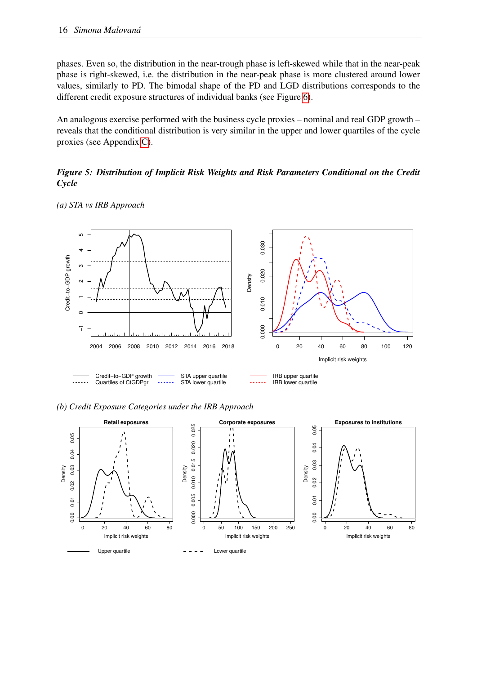phases. Even so, the distribution in the near-trough phase is left-skewed while that in the near-peak phase is right-skewed, i.e. the distribution in the near-peak phase is more clustered around lower values, similarly to PD. The bimodal shape of the PD and LGD distributions corresponds to the different credit exposure structures of individual banks (see Figure [6\)](#page-21-0).

An analogous exercise performed with the business cycle proxies – nominal and real GDP growth – reveals that the conditional distribution is very similar in the upper and lower quartiles of the cycle proxies (see Appendix [C\)](#page-42-0).

#### <span id="page-19-0"></span>*Figure 5: Distribution of Implicit Risk Weights and Risk Parameters Conditional on the Credit Cycle*



*(a) STA vs IRB Approach*

*(b) Credit Exposure Categories under the IRB Approach*

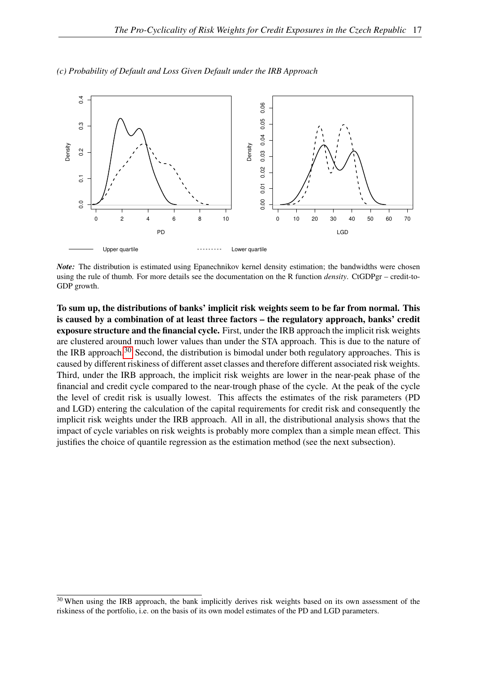

*(c) Probability of Default and Loss Given Default under the IRB Approach*

*Note:* The distribution is estimated using Epanechnikov kernel density estimation; the bandwidths were chosen using the rule of thumb. For more details see the documentation on the R function *density*. CtGDPgr – credit-to-GDP growth.

To sum up, the distributions of banks' implicit risk weights seem to be far from normal. This is caused by a combination of at least three factors – the regulatory approach, banks' credit exposure structure and the financial cycle. First, under the IRB approach the implicit risk weights are clustered around much lower values than under the STA approach. This is due to the nature of the IRB approach.<sup>[30](#page-20-0)</sup> Second, the distribution is bimodal under both regulatory approaches. This is caused by different riskiness of different asset classes and therefore different associated risk weights. Third, under the IRB approach, the implicit risk weights are lower in the near-peak phase of the financial and credit cycle compared to the near-trough phase of the cycle. At the peak of the cycle the level of credit risk is usually lowest. This affects the estimates of the risk parameters (PD and LGD) entering the calculation of the capital requirements for credit risk and consequently the implicit risk weights under the IRB approach. All in all, the distributional analysis shows that the impact of cycle variables on risk weights is probably more complex than a simple mean effect. This justifies the choice of quantile regression as the estimation method (see the next subsection).

<span id="page-20-0"></span><sup>&</sup>lt;sup>30</sup> When using the IRB approach, the bank implicitly derives risk weights based on its own assessment of the riskiness of the portfolio, i.e. on the basis of its own model estimates of the PD and LGD parameters.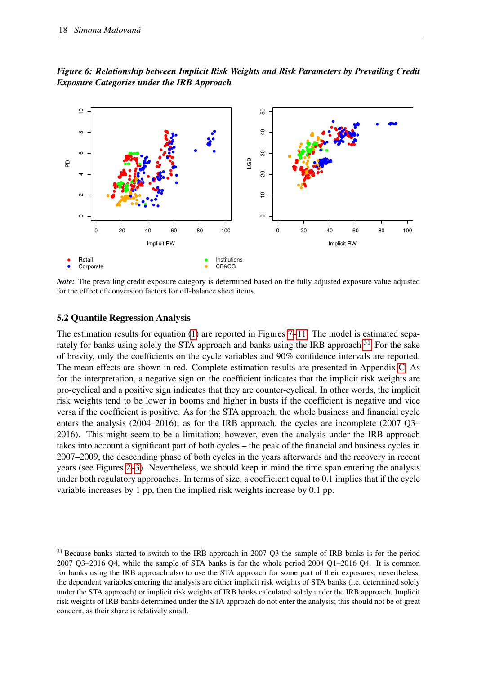<span id="page-21-0"></span>*Figure 6: Relationship between Implicit Risk Weights and Risk Parameters by Prevailing Credit Exposure Categories under the IRB Approach*



*Note:* The prevailing credit exposure category is determined based on the fully adjusted exposure value adjusted for the effect of conversion factors for off-balance sheet items.

#### 5.2 Quantile Regression Analysis

The estimation results for equation  $(1)$  are reported in Figures [7](#page-22-0)[–11.](#page-27-0) The model is estimated sepa-rately for banks using solely the STA approach and banks using the IRB approach.<sup>[31](#page-21-1)</sup> For the sake of brevity, only the coefficients on the cycle variables and 90% confidence intervals are reported. The mean effects are shown in red. Complete estimation results are presented in Appendix [C.](#page-42-0) As for the interpretation, a negative sign on the coefficient indicates that the implicit risk weights are pro-cyclical and a positive sign indicates that they are counter-cyclical. In other words, the implicit risk weights tend to be lower in booms and higher in busts if the coefficient is negative and vice versa if the coefficient is positive. As for the STA approach, the whole business and financial cycle enters the analysis (2004–2016); as for the IRB approach, the cycles are incomplete (2007 Q3– 2016). This might seem to be a limitation; however, even the analysis under the IRB approach takes into account a significant part of both cycles – the peak of the financial and business cycles in 2007–2009, the descending phase of both cycles in the years afterwards and the recovery in recent years (see Figures [2](#page-15-0)[–3\)](#page-15-1). Nevertheless, we should keep in mind the time span entering the analysis under both regulatory approaches. In terms of size, a coefficient equal to 0.1 implies that if the cycle variable increases by 1 pp, then the implied risk weights increase by 0.1 pp.

<span id="page-21-1"></span><sup>&</sup>lt;sup>31</sup> Because banks started to switch to the IRB approach in 2007 Q3 the sample of IRB banks is for the period 2007 Q3–2016 Q4, while the sample of STA banks is for the whole period 2004 Q1–2016 Q4. It is common for banks using the IRB approach also to use the STA approach for some part of their exposures; nevertheless, the dependent variables entering the analysis are either implicit risk weights of STA banks (i.e. determined solely under the STA approach) or implicit risk weights of IRB banks calculated solely under the IRB approach. Implicit risk weights of IRB banks determined under the STA approach do not enter the analysis; this should not be of great concern, as their share is relatively small.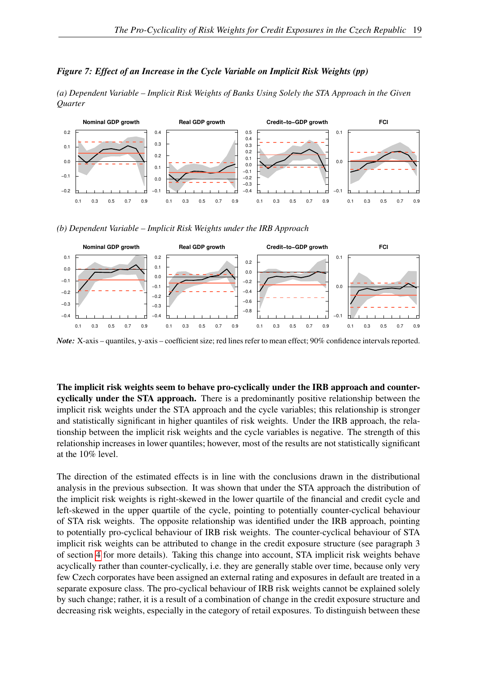#### <span id="page-22-0"></span>*Figure 7: Effect of an Increase in the Cycle Variable on Implicit Risk Weights (pp)*

*(a) Dependent Variable – Implicit Risk Weights of Banks Using Solely the STA Approach in the Given Quarter*



*(b) Dependent Variable – Implicit Risk Weights under the IRB Approach*



*Note:* X-axis – quantiles, y-axis – coefficient size; red lines refer to mean effect; 90% confidence intervals reported.

The implicit risk weights seem to behave pro-cyclically under the IRB approach and countercyclically under the STA approach. There is a predominantly positive relationship between the implicit risk weights under the STA approach and the cycle variables; this relationship is stronger and statistically significant in higher quantiles of risk weights. Under the IRB approach, the relationship between the implicit risk weights and the cycle variables is negative. The strength of this relationship increases in lower quantiles; however, most of the results are not statistically significant at the 10% level.

The direction of the estimated effects is in line with the conclusions drawn in the distributional analysis in the previous subsection. It was shown that under the STA approach the distribution of the implicit risk weights is right-skewed in the lower quartile of the financial and credit cycle and left-skewed in the upper quartile of the cycle, pointing to potentially counter-cyclical behaviour of STA risk weights. The opposite relationship was identified under the IRB approach, pointing to potentially pro-cyclical behaviour of IRB risk weights. The counter-cyclical behaviour of STA implicit risk weights can be attributed to change in the credit exposure structure (see paragraph 3 of section [4](#page-11-0) for more details). Taking this change into account, STA implicit risk weights behave acyclically rather than counter-cyclically, i.e. they are generally stable over time, because only very few Czech corporates have been assigned an external rating and exposures in default are treated in a separate exposure class. The pro-cyclical behaviour of IRB risk weights cannot be explained solely by such change; rather, it is a result of a combination of change in the credit exposure structure and decreasing risk weights, especially in the category of retail exposures. To distinguish between these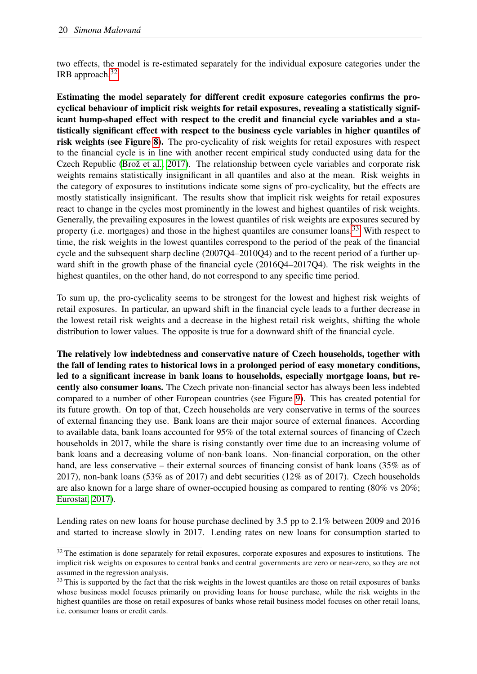two effects, the model is re-estimated separately for the individual exposure categories under the IRB approach.[32](#page-23-0)

Estimating the model separately for different credit exposure categories confirms the procyclical behaviour of implicit risk weights for retail exposures, revealing a statistically significant hump-shaped effect with respect to the credit and financial cycle variables and a statistically significant effect with respect to the business cycle variables in higher quantiles of risk weights (see Figure [8\)](#page-24-0). The pro-cyclicality of risk weights for retail exposures with respect to the financial cycle is in line with another recent empirical study conducted using data for the Czech Republic [\(Brož et al., 2017\)](#page-32-3). The relationship between cycle variables and corporate risk weights remains statistically insignificant in all quantiles and also at the mean. Risk weights in the category of exposures to institutions indicate some signs of pro-cyclicality, but the effects are mostly statistically insignificant. The results show that implicit risk weights for retail exposures react to change in the cycles most prominently in the lowest and highest quantiles of risk weights. Generally, the prevailing exposures in the lowest quantiles of risk weights are exposures secured by property (i.e. mortgages) and those in the highest quantiles are consumer loans.<sup>[33](#page-23-1)</sup> With respect to time, the risk weights in the lowest quantiles correspond to the period of the peak of the financial cycle and the subsequent sharp decline (2007Q4–2010Q4) and to the recent period of a further upward shift in the growth phase of the financial cycle (2016Q4–2017Q4). The risk weights in the highest quantiles, on the other hand, do not correspond to any specific time period.

To sum up, the pro-cyclicality seems to be strongest for the lowest and highest risk weights of retail exposures. In particular, an upward shift in the financial cycle leads to a further decrease in the lowest retail risk weights and a decrease in the highest retail risk weights, shifting the whole distribution to lower values. The opposite is true for a downward shift of the financial cycle.

The relatively low indebtedness and conservative nature of Czech households, together with the fall of lending rates to historical lows in a prolonged period of easy monetary conditions, led to a significant increase in bank loans to households, especially mortgage loans, but recently also consumer loans. The Czech private non-financial sector has always been less indebted compared to a number of other European countries (see Figure [9\)](#page-25-0). This has created potential for its future growth. On top of that, Czech households are very conservative in terms of the sources of external financing they use. Bank loans are their major source of external finances. According to available data, bank loans accounted for 95% of the total external sources of financing of Czech households in 2017, while the share is rising constantly over time due to an increasing volume of bank loans and a decreasing volume of non-bank loans. Non-financial corporation, on the other hand, are less conservative – their external sources of financing consist of bank loans (35% as of 2017), non-bank loans (53% as of 2017) and debt securities (12% as of 2017). Czech households are also known for a large share of owner-occupied housing as compared to renting (80% vs 20%; [Eurostat, 2017\)](#page-34-14).

Lending rates on new loans for house purchase declined by 3.5 pp to 2.1% between 2009 and 2016 and started to increase slowly in 2017. Lending rates on new loans for consumption started to

<span id="page-23-0"></span> $32$  The estimation is done separately for retail exposures, corporate exposures and exposures to institutions. The implicit risk weights on exposures to central banks and central governments are zero or near-zero, so they are not assumed in the regression analysis.

<span id="page-23-1"></span><sup>&</sup>lt;sup>33</sup> This is supported by the fact that the risk weights in the lowest quantiles are those on retail exposures of banks whose business model focuses primarily on providing loans for house purchase, while the risk weights in the highest quantiles are those on retail exposures of banks whose retail business model focuses on other retail loans, i.e. consumer loans or credit cards.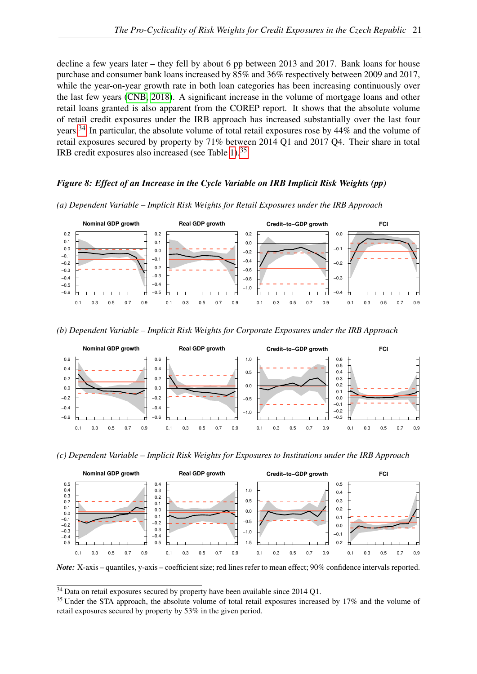decline a few years later – they fell by about 6 pp between 2013 and 2017. Bank loans for house purchase and consumer bank loans increased by 85% and 36% respectively between 2009 and 2017, while the year-on-year growth rate in both loan categories has been increasing continuously over the last few years [\(CNB, 2018\)](#page-33-18). A significant increase in the volume of mortgage loans and other retail loans granted is also apparent from the COREP report. It shows that the absolute volume of retail credit exposures under the IRB approach has increased substantially over the last four years.[34](#page-24-1) In particular, the absolute volume of total retail exposures rose by 44% and the volume of retail exposures secured by property by 71% between 2014 Q1 and 2017 Q4. Their share in total IRB credit exposures also increased (see Table [1\)](#page-13-1).[35](#page-24-2)

### <span id="page-24-0"></span>*Figure 8: Effect of an Increase in the Cycle Variable on IRB Implicit Risk Weights (pp)*



*(a) Dependent Variable – Implicit Risk Weights for Retail Exposures under the IRB Approach*

*(b) Dependent Variable – Implicit Risk Weights for Corporate Exposures under the IRB Approach*



*(c) Dependent Variable – Implicit Risk Weights for Exposures to Institutions under the IRB Approach*



*Note:* X-axis – quantiles, y-axis – coefficient size; red lines refer to mean effect; 90% confidence intervals reported.

<span id="page-24-1"></span><sup>&</sup>lt;sup>34</sup> Data on retail exposures secured by property have been available since 2014 Q1.

<span id="page-24-2"></span><sup>&</sup>lt;sup>35</sup> Under the STA approach, the absolute volume of total retail exposures increased by 17% and the volume of retail exposures secured by property by 53% in the given period.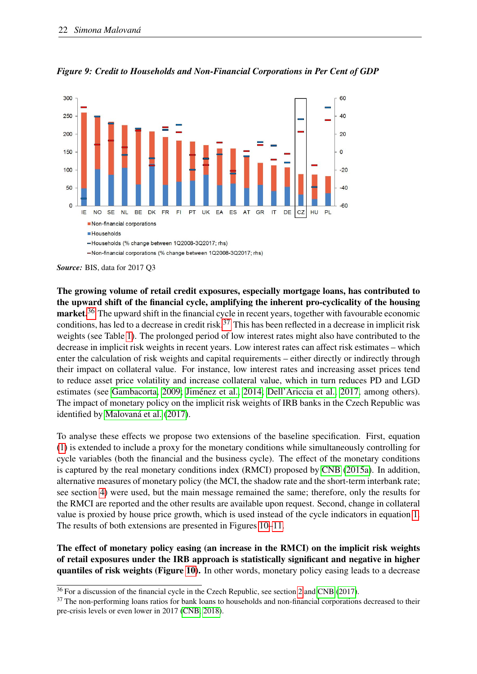

<span id="page-25-0"></span>*Figure 9: Credit to Households and Non-Financial Corporations in Per Cent of GDP*

*Source:* BIS, data for 2017 Q3

The growing volume of retail credit exposures, especially mortgage loans, has contributed to the upward shift of the financial cycle, amplifying the inherent pro-cyclicality of the housing market.<sup>[36](#page-25-1)</sup> The upward shift in the financial cycle in recent years, together with favourable economic conditions, has led to a decrease in credit risk.<sup>[37](#page-25-2)</sup> This has been reflected in a decrease in implicit risk weights (see Table [1\)](#page-13-1). The prolonged period of low interest rates might also have contributed to the decrease in implicit risk weights in recent years. Low interest rates can affect risk estimates – which enter the calculation of risk weights and capital requirements – either directly or indirectly through their impact on collateral value. For instance, low interest rates and increasing asset prices tend to reduce asset price volatility and increase collateral value, which in turn reduces PD and LGD estimates (see [Gambacorta, 2009;](#page-34-15) [Jiménez et al., 2014;](#page-34-16) [Dell'Ariccia et al., 2017,](#page-33-19) among others). The impact of monetary policy on the implicit risk weights of IRB banks in the Czech Republic was identified by [Malovaná et al.](#page-35-17) [\(2017\)](#page-35-17).

To analyse these effects we propose two extensions of the baseline specification. First, equation [\(1\)](#page-10-6) is extended to include a proxy for the monetary conditions while simultaneously controlling for cycle variables (both the financial and the business cycle). The effect of the monetary conditions is captured by the real monetary conditions index (RMCI) proposed by [CNB](#page-33-17) [\(2015a\)](#page-33-17). In addition, alternative measures of monetary policy (the MCI, the shadow rate and the short-term interbank rate; see section [4\)](#page-11-0) were used, but the main message remained the same; therefore, only the results for the RMCI are reported and the other results are available upon request. Second, change in collateral value is proxied by house price growth, which is used instead of the cycle indicators in equation [1.](#page-10-6) The results of both extensions are presented in Figures [10–](#page-26-0)[11.](#page-27-0)

The effect of monetary policy easing (an increase in the RMCI) on the implicit risk weights of retail exposures under the IRB approach is statistically significant and negative in higher quantiles of risk weights (Figure [10\)](#page-26-0). In other words, monetary policy easing leads to a decrease

<span id="page-25-1"></span><sup>&</sup>lt;sup>36</sup> For a discussion of the financial cycle in the Czech Republic, see section [2](#page-7-0) and [CNB](#page-33-13) [\(2017\)](#page-33-13).

<span id="page-25-2"></span><sup>&</sup>lt;sup>37</sup> The non-performing loans ratios for bank loans to households and non-financial corporations decreased to their pre-crisis levels or even lower in 2017 [\(CNB, 2018\)](#page-33-18).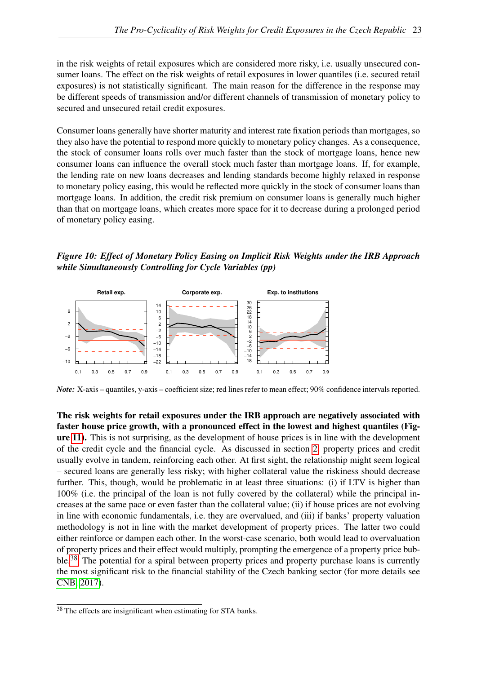in the risk weights of retail exposures which are considered more risky, i.e. usually unsecured consumer loans. The effect on the risk weights of retail exposures in lower quantiles (i.e. secured retail exposures) is not statistically significant. The main reason for the difference in the response may be different speeds of transmission and/or different channels of transmission of monetary policy to secured and unsecured retail credit exposures.

Consumer loans generally have shorter maturity and interest rate fixation periods than mortgages, so they also have the potential to respond more quickly to monetary policy changes. As a consequence, the stock of consumer loans rolls over much faster than the stock of mortgage loans, hence new consumer loans can influence the overall stock much faster than mortgage loans. If, for example, the lending rate on new loans decreases and lending standards become highly relaxed in response to monetary policy easing, this would be reflected more quickly in the stock of consumer loans than mortgage loans. In addition, the credit risk premium on consumer loans is generally much higher than that on mortgage loans, which creates more space for it to decrease during a prolonged period of monetary policy easing.

<span id="page-26-0"></span>*Figure 10: Effect of Monetary Policy Easing on Implicit Risk Weights under the IRB Approach while Simultaneously Controlling for Cycle Variables (pp)*



*Note:* X-axis – quantiles, y-axis – coefficient size; red lines refer to mean effect; 90% confidence intervals reported.

The risk weights for retail exposures under the IRB approach are negatively associated with faster house price growth, with a pronounced effect in the lowest and highest quantiles (Figure [11\)](#page-27-0). This is not surprising, as the development of house prices is in line with the development of the credit cycle and the financial cycle. As discussed in section [2,](#page-7-0) property prices and credit usually evolve in tandem, reinforcing each other. At first sight, the relationship might seem logical – secured loans are generally less risky; with higher collateral value the riskiness should decrease further. This, though, would be problematic in at least three situations: (i) if LTV is higher than 100% (i.e. the principal of the loan is not fully covered by the collateral) while the principal increases at the same pace or even faster than the collateral value; (ii) if house prices are not evolving in line with economic fundamentals, i.e. they are overvalued, and (iii) if banks' property valuation methodology is not in line with the market development of property prices. The latter two could either reinforce or dampen each other. In the worst-case scenario, both would lead to overvaluation of property prices and their effect would multiply, prompting the emergence of a property price bub-ble.<sup>[38](#page-26-1)</sup> The potential for a spiral between property prices and property purchase loans is currently the most significant risk to the financial stability of the Czech banking sector (for more details see [CNB, 2017\)](#page-33-13).

<span id="page-26-1"></span><sup>38</sup> The effects are insignificant when estimating for STA banks.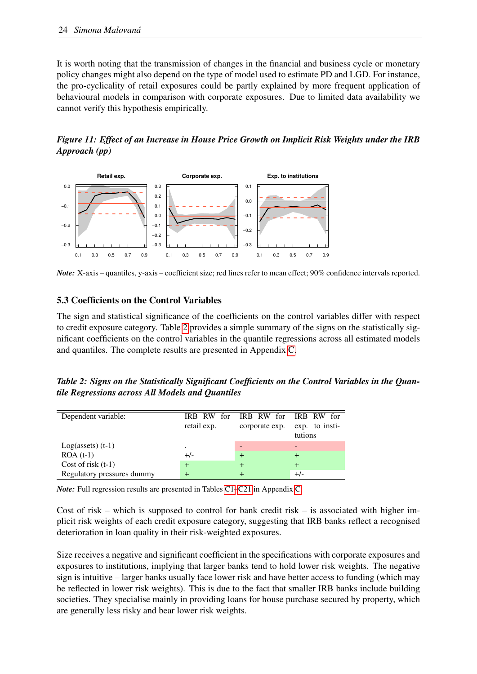It is worth noting that the transmission of changes in the financial and business cycle or monetary policy changes might also depend on the type of model used to estimate PD and LGD. For instance, the pro-cyclicality of retail exposures could be partly explained by more frequent application of behavioural models in comparison with corporate exposures. Due to limited data availability we cannot verify this hypothesis empirically.

<span id="page-27-0"></span>*Figure 11: Effect of an Increase in House Price Growth on Implicit Risk Weights under the IRB Approach (pp)*



*Note:* X-axis – quantiles, y-axis – coefficient size; red lines refer to mean effect; 90% confidence intervals reported.

### 5.3 Coefficients on the Control Variables

The sign and statistical significance of the coefficients on the control variables differ with respect to credit exposure category. Table [2](#page-27-1) provides a simple summary of the signs on the statistically significant coefficients on the control variables in the quantile regressions across all estimated models and quantiles. The complete results are presented in Appendix [C.](#page-42-0)

<span id="page-27-1"></span>*Table 2: Signs on the Statistically Significant Coefficients on the Control Variables in the Quantile Regressions across All Models and Quantiles*

| Dependent variable:        | retail exp. | IRB RW for IRB RW for IRB RW for<br>corporate exp. | exp. to insti-<br>tutions |
|----------------------------|-------------|----------------------------------------------------|---------------------------|
| $Log(asserts)$ (t-1)       | ٠           |                                                    |                           |
| $ROA(t-1)$                 | $+/-$       |                                                    |                           |
| Cost of risk $(t-1)$       |             |                                                    |                           |
| Regulatory pressures dummy |             |                                                    | $+/-$                     |

*Note:* Full regression results are presented in Tables [C1](#page-44-0)[–C21](#page-59-0) in Appendix [C.](#page-42-0)

Cost of risk – which is supposed to control for bank credit risk – is associated with higher implicit risk weights of each credit exposure category, suggesting that IRB banks reflect a recognised deterioration in loan quality in their risk-weighted exposures.

Size receives a negative and significant coefficient in the specifications with corporate exposures and exposures to institutions, implying that larger banks tend to hold lower risk weights. The negative sign is intuitive – larger banks usually face lower risk and have better access to funding (which may be reflected in lower risk weights). This is due to the fact that smaller IRB banks include building societies. They specialise mainly in providing loans for house purchase secured by property, which are generally less risky and bear lower risk weights.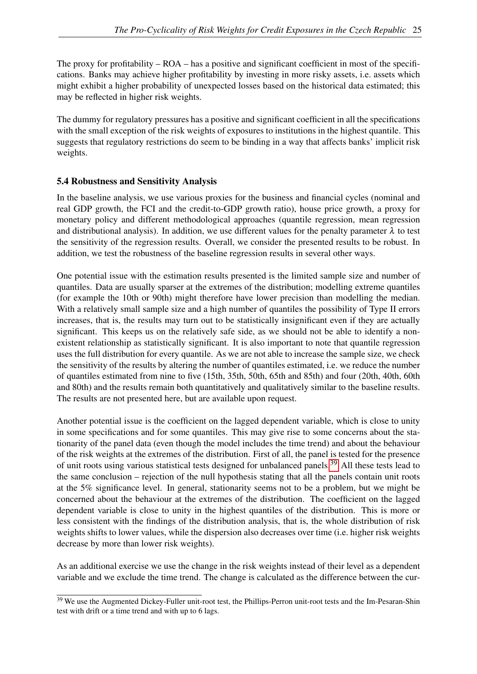The proxy for profitability – ROA – has a positive and significant coefficient in most of the specifications. Banks may achieve higher profitability by investing in more risky assets, i.e. assets which might exhibit a higher probability of unexpected losses based on the historical data estimated; this may be reflected in higher risk weights.

The dummy for regulatory pressures has a positive and significant coefficient in all the specifications with the small exception of the risk weights of exposures to institutions in the highest quantile. This suggests that regulatory restrictions do seem to be binding in a way that affects banks' implicit risk weights.

## 5.4 Robustness and Sensitivity Analysis

In the baseline analysis, we use various proxies for the business and financial cycles (nominal and real GDP growth, the FCI and the credit-to-GDP growth ratio), house price growth, a proxy for monetary policy and different methodological approaches (quantile regression, mean regression and distributional analysis). In addition, we use different values for the penalty parameter  $\lambda$  to test the sensitivity of the regression results. Overall, we consider the presented results to be robust. In addition, we test the robustness of the baseline regression results in several other ways.

One potential issue with the estimation results presented is the limited sample size and number of quantiles. Data are usually sparser at the extremes of the distribution; modelling extreme quantiles (for example the 10th or 90th) might therefore have lower precision than modelling the median. With a relatively small sample size and a high number of quantiles the possibility of Type II errors increases, that is, the results may turn out to be statistically insignificant even if they are actually significant. This keeps us on the relatively safe side, as we should not be able to identify a nonexistent relationship as statistically significant. It is also important to note that quantile regression uses the full distribution for every quantile. As we are not able to increase the sample size, we check the sensitivity of the results by altering the number of quantiles estimated, i.e. we reduce the number of quantiles estimated from nine to five (15th, 35th, 50th, 65th and 85th) and four (20th, 40th, 60th and 80th) and the results remain both quantitatively and qualitatively similar to the baseline results. The results are not presented here, but are available upon request.

Another potential issue is the coefficient on the lagged dependent variable, which is close to unity in some specifications and for some quantiles. This may give rise to some concerns about the stationarity of the panel data (even though the model includes the time trend) and about the behaviour of the risk weights at the extremes of the distribution. First of all, the panel is tested for the presence of unit roots using various statistical tests designed for unbalanced panels.[39](#page-28-0) All these tests lead to the same conclusion – rejection of the null hypothesis stating that all the panels contain unit roots at the 5% significance level. In general, stationarity seems not to be a problem, but we might be concerned about the behaviour at the extremes of the distribution. The coefficient on the lagged dependent variable is close to unity in the highest quantiles of the distribution. This is more or less consistent with the findings of the distribution analysis, that is, the whole distribution of risk weights shifts to lower values, while the dispersion also decreases over time (i.e. higher risk weights decrease by more than lower risk weights).

As an additional exercise we use the change in the risk weights instead of their level as a dependent variable and we exclude the time trend. The change is calculated as the difference between the cur-

<span id="page-28-0"></span><sup>&</sup>lt;sup>39</sup> We use the Augmented Dickey-Fuller unit-root test, the Phillips-Perron unit-root tests and the Im-Pesaran-Shin test with drift or a time trend and with up to 6 lags.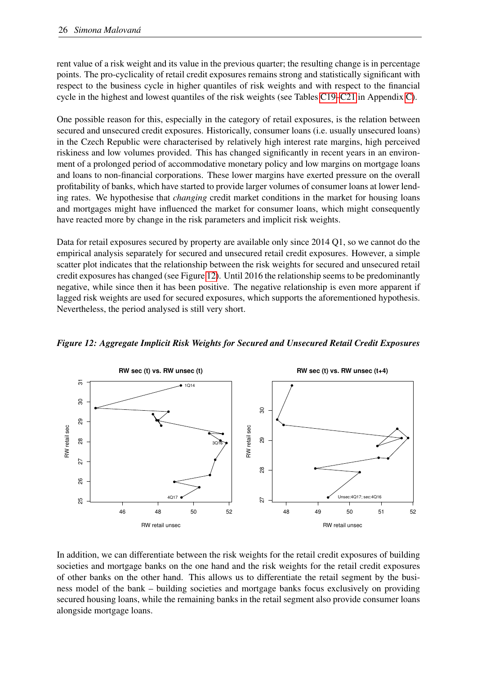rent value of a risk weight and its value in the previous quarter; the resulting change is in percentage points. The pro-cyclicality of retail credit exposures remains strong and statistically significant with respect to the business cycle in higher quantiles of risk weights and with respect to the financial cycle in the highest and lowest quantiles of the risk weights (see Tables [C19](#page-57-0)[–C21](#page-59-0) in Appendix [C\)](#page-42-0).

One possible reason for this, especially in the category of retail exposures, is the relation between secured and unsecured credit exposures. Historically, consumer loans (i.e. usually unsecured loans) in the Czech Republic were characterised by relatively high interest rate margins, high perceived riskiness and low volumes provided. This has changed significantly in recent years in an environment of a prolonged period of accommodative monetary policy and low margins on mortgage loans and loans to non-financial corporations. These lower margins have exerted pressure on the overall profitability of banks, which have started to provide larger volumes of consumer loans at lower lending rates. We hypothesise that *changing* credit market conditions in the market for housing loans and mortgages might have influenced the market for consumer loans, which might consequently have reacted more by change in the risk parameters and implicit risk weights.

Data for retail exposures secured by property are available only since 2014 Q1, so we cannot do the empirical analysis separately for secured and unsecured retail credit exposures. However, a simple scatter plot indicates that the relationship between the risk weights for secured and unsecured retail credit exposures has changed (see Figure [12\)](#page-29-0). Until 2016 the relationship seems to be predominantly negative, while since then it has been positive. The negative relationship is even more apparent if lagged risk weights are used for secured exposures, which supports the aforementioned hypothesis. Nevertheless, the period analysed is still very short.



<span id="page-29-0"></span>*Figure 12: Aggregate Implicit Risk Weights for Secured and Unsecured Retail Credit Exposures*

In addition, we can differentiate between the risk weights for the retail credit exposures of building societies and mortgage banks on the one hand and the risk weights for the retail credit exposures of other banks on the other hand. This allows us to differentiate the retail segment by the business model of the bank – building societies and mortgage banks focus exclusively on providing secured housing loans, while the remaining banks in the retail segment also provide consumer loans alongside mortgage loans.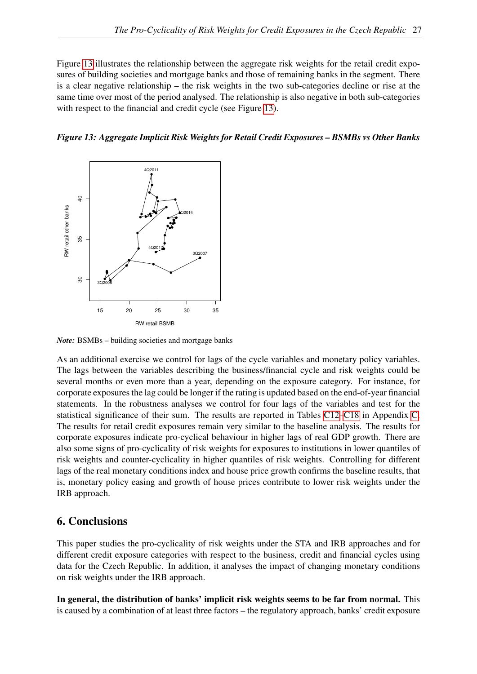Figure [13](#page-30-1) illustrates the relationship between the aggregate risk weights for the retail credit exposures of building societies and mortgage banks and those of remaining banks in the segment. There is a clear negative relationship – the risk weights in the two sub-categories decline or rise at the same time over most of the period analysed. The relationship is also negative in both sub-categories with respect to the financial and credit cycle (see Figure [13\)](#page-30-1).

<span id="page-30-1"></span>



*Note:* BSMBs – building societies and mortgage banks

As an additional exercise we control for lags of the cycle variables and monetary policy variables. The lags between the variables describing the business/financial cycle and risk weights could be several months or even more than a year, depending on the exposure category. For instance, for corporate exposures the lag could be longer if the rating is updated based on the end-of-year financial statements. In the robustness analyses we control for four lags of the variables and test for the statistical significance of their sum. The results are reported in Tables [C12–](#page-52-0)[C18](#page-56-0) in Appendix [C.](#page-42-0) The results for retail credit exposures remain very similar to the baseline analysis. The results for corporate exposures indicate pro-cyclical behaviour in higher lags of real GDP growth. There are also some signs of pro-cyclicality of risk weights for exposures to institutions in lower quantiles of risk weights and counter-cyclicality in higher quantiles of risk weights. Controlling for different lags of the real monetary conditions index and house price growth confirms the baseline results, that is, monetary policy easing and growth of house prices contribute to lower risk weights under the IRB approach.

# <span id="page-30-0"></span>6. Conclusions

This paper studies the pro-cyclicality of risk weights under the STA and IRB approaches and for different credit exposure categories with respect to the business, credit and financial cycles using data for the Czech Republic. In addition, it analyses the impact of changing monetary conditions on risk weights under the IRB approach.

In general, the distribution of banks' implicit risk weights seems to be far from normal. This is caused by a combination of at least three factors – the regulatory approach, banks' credit exposure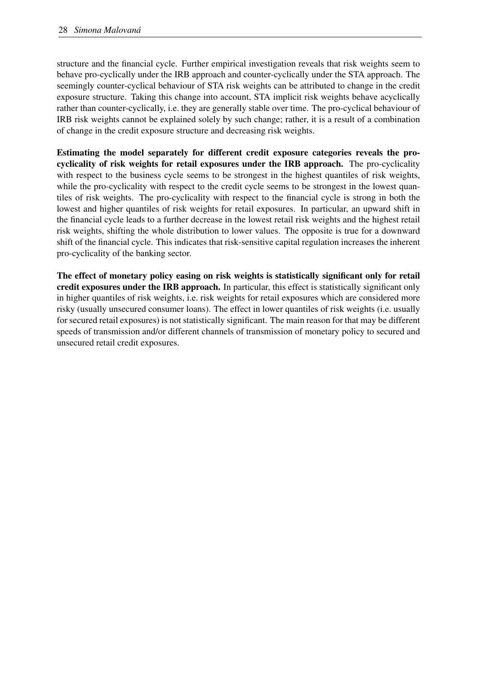structure and the financial cycle. Further empirical investigation reveals that risk weights seem to behave pro-cyclically under the IRB approach and counter-cyclically under the STA approach. The seemingly counter-cyclical behaviour of STA risk weights can be attributed to change in the credit exposure structure. Taking this change into account, STA implicit risk weights behave acyclically rather than counter-cyclically, i.e. they are generally stable over time. The pro-cyclical behaviour of IRB risk weights cannot be explained solely by such change; rather, it is a result of a combination of change in the credit exposure structure and decreasing risk weights.

Estimating the model separately for different credit exposure categories reveals the procyclicality of risk weights for retail exposures under the IRB approach. The pro-cyclicality with respect to the business cycle seems to be strongest in the highest quantiles of risk weights, while the pro-cyclicality with respect to the credit cycle seems to be strongest in the lowest quantiles of risk weights. The pro-cyclicality with respect to the financial cycle is strong in both the lowest and higher quantiles of risk weights for retail exposures. In particular, an upward shift in the financial cycle leads to a further decrease in the lowest retail risk weights and the highest retail risk weights, shifting the whole distribution to lower values. The opposite is true for a downward shift of the financial cycle. This indicates that risk-sensitive capital regulation increases the inherent pro-cyclicality of the banking sector.

The effect of monetary policy easing on risk weights is statistically significant only for retail credit exposures under the IRB approach. In particular, this effect is statistically significant only in higher quantiles of risk weights, i.e. risk weights for retail exposures which are considered more risky (usually unsecured consumer loans). The effect in lower quantiles of risk weights (i.e. usually for secured retail exposures) is not statistically significant. The main reason for that may be different speeds of transmission and/or different channels of transmission of monetary policy to secured and unsecured retail credit exposures.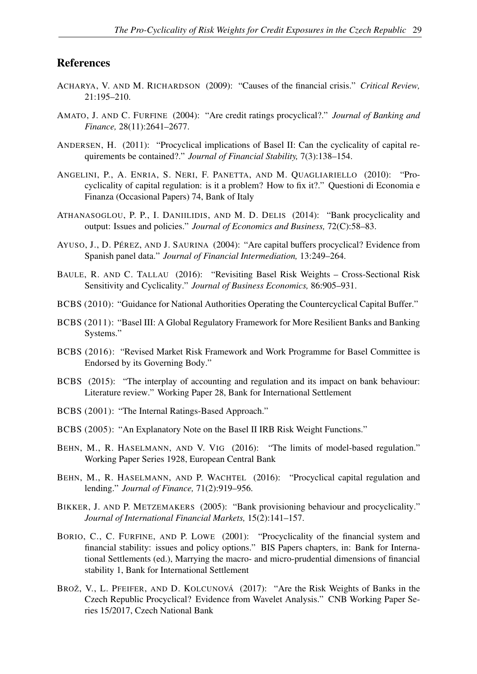## References

- <span id="page-32-0"></span>ACHARYA, V. AND M. RICHARDSON (2009): "Causes of the financial crisis." *Critical Review,* 21:195–210.
- <span id="page-32-6"></span>AMATO, J. AND C. FURFINE (2004): "Are credit ratings procyclical?." *Journal of Banking and Finance,* 28(11):2641–2677.
- <span id="page-32-13"></span>ANDERSEN, H. (2011): "Procyclical implications of Basel II: Can the cyclicality of capital requirements be contained?." *Journal of Financial Stability,* 7(3):138–154.
- <span id="page-32-12"></span>ANGELINI, P., A. ENRIA, S. NERI, F. PANETTA, AND M. QUAGLIARIELLO (2010): "Procyclicality of capital regulation: is it a problem? How to fix it?." Questioni di Economia e Finanza (Occasional Papers) 74, Bank of Italy
- <span id="page-32-2"></span>ATHANASOGLOU, P. P., I. DANIILIDIS, AND M. D. DELIS (2014): "Bank procyclicality and output: Issues and policies." *Journal of Economics and Business,* 72(C):58–83.
- <span id="page-32-10"></span>AYUSO, J., D. PÉREZ, AND J. SAURINA (2004): "Are capital buffers procyclical? Evidence from Spanish panel data." *Journal of Financial Intermediation,* 13:249–264.
- <span id="page-32-14"></span>BAULE, R. AND C. TALLAU (2016): "Revisiting Basel Risk Weights – Cross-Sectional Risk Sensitivity and Cyclicality." *Journal of Business Economics,* 86:905–931.
- <span id="page-32-15"></span>BCBS (2010): "Guidance for National Authorities Operating the Countercyclical Capital Buffer."
- <span id="page-32-16"></span>BCBS (2011): "Basel III: A Global Regulatory Framework for More Resilient Banks and Banking Systems."
- <span id="page-32-17"></span>BCBS (2016): "Revised Market Risk Framework and Work Programme for Basel Committee is Endorsed by its Governing Body."
- <span id="page-32-1"></span>BCBS (2015): "The interplay of accounting and regulation and its impact on bank behaviour: Literature review." Working Paper 28, Bank for International Settlement
- <span id="page-32-5"></span>BCBS (2001): "The Internal Ratings-Based Approach."
- <span id="page-32-4"></span>BCBS (2005): "An Explanatory Note on the Basel II IRB Risk Weight Functions."
- <span id="page-32-7"></span>BEHN, M., R. HASELMANN, AND V. VIG (2016): "The limits of model-based regulation." Working Paper Series 1928, European Central Bank
- <span id="page-32-9"></span>BEHN, M., R. HASELMANN, AND P. WACHTEL (2016): "Procyclical capital regulation and lending." *Journal of Finance,* 71(2):919–956.
- <span id="page-32-11"></span>BIKKER, J. AND P. METZEMAKERS (2005): "Bank provisioning behaviour and procyclicality." *Journal of International Financial Markets,* 15(2):141–157.
- <span id="page-32-8"></span>BORIO, C., C. FURFINE, AND P. LOWE (2001): "Procyclicality of the financial system and financial stability: issues and policy options." BIS Papers chapters, in: Bank for International Settlements (ed.), Marrying the macro- and micro-prudential dimensions of financial stability 1, Bank for International Settlement
- <span id="page-32-3"></span>BROŽ, V., L. PFEIFER, AND D. KOLCUNOVÁ (2017): "Are the Risk Weights of Banks in the Czech Republic Procyclical? Evidence from Wavelet Analysis." CNB Working Paper Series 15/2017, Czech National Bank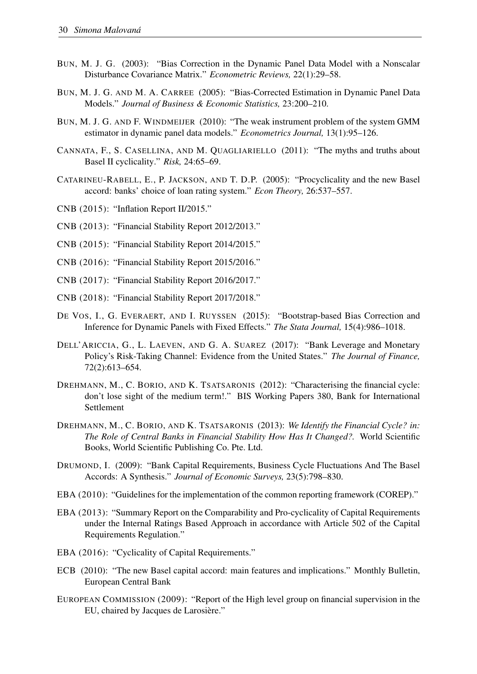- <span id="page-33-9"></span>BUN, M. J. G. (2003): "Bias Correction in the Dynamic Panel Data Model with a Nonscalar Disturbance Covariance Matrix." *Econometric Reviews,* 22(1):29–58.
- <span id="page-33-10"></span>BUN, M. J. G. AND M. A. CARREE (2005): "Bias-Corrected Estimation in Dynamic Panel Data Models." *Journal of Business & Economic Statistics,* 23:200–210.
- <span id="page-33-11"></span>BUN, M. J. G. AND F. WINDMEIJER (2010): "The weak instrument problem of the system GMM estimator in dynamic panel data models." *Econometrics Journal,* 13(1):95–126.
- <span id="page-33-7"></span>CANNATA, F., S. CASELLINA, AND M. QUAGLIARIELLO (2011): "The myths and truths about Basel II cyclicality." *Risk,* 24:65–69.
- <span id="page-33-6"></span>CATARINEU-RABELL, E., P. JACKSON, AND T. D.P. (2005): "Procyclicality and the new Basel accord: banks' choice of loan rating system." *Econ Theory,* 26:537–557.
- <span id="page-33-17"></span>CNB (2015): "Inflation Report II/2015."
- <span id="page-33-14"></span>CNB (2013): "Financial Stability Report 2012/2013."
- <span id="page-33-15"></span>CNB (2015): "Financial Stability Report 2014/2015."
- <span id="page-33-16"></span>CNB (2016): "Financial Stability Report 2015/2016."
- <span id="page-33-13"></span>CNB (2017): "Financial Stability Report 2016/2017."
- <span id="page-33-18"></span>CNB (2018): "Financial Stability Report 2017/2018."
- <span id="page-33-8"></span>DE VOS, I., G. EVERAERT, AND I. RUYSSEN (2015): "Bootstrap-based Bias Correction and Inference for Dynamic Panels with Fixed Effects." *The Stata Journal,* 15(4):986–1018.
- <span id="page-33-19"></span>DELL'ARICCIA, G., L. LAEVEN, AND G. A. SUAREZ (2017): "Bank Leverage and Monetary Policy's Risk-Taking Channel: Evidence from the United States." *The Journal of Finance,* 72(2):613–654.
- <span id="page-33-3"></span>DREHMANN, M., C. BORIO, AND K. TSATSARONIS (2012): "Characterising the financial cycle: don't lose sight of the medium term!." BIS Working Papers 380, Bank for International Settlement
- <span id="page-33-4"></span>DREHMANN, M., C. BORIO, AND K. TSATSARONIS (2013): *We Identify the Financial Cycle? in: The Role of Central Banks in Financial Stability How Has It Changed?.* World Scientific Books, World Scientific Publishing Co. Pte. Ltd.
- <span id="page-33-2"></span>DRUMOND, I. (2009): "Bank Capital Requirements, Business Cycle Fluctuations And The Basel Accords: A Synthesis." *Journal of Economic Surveys,* 23(5):798–830.
- <span id="page-33-12"></span>EBA (2010): "Guidelines for the implementation of the common reporting framework (COREP)."
- <span id="page-33-0"></span>EBA (2013): "Summary Report on the Comparability and Pro-cyclicality of Capital Requirements under the Internal Ratings Based Approach in accordance with Article 502 of the Capital Requirements Regulation."
- <span id="page-33-1"></span>EBA (2016): "Cyclicality of Capital Requirements."
- <span id="page-33-5"></span>ECB (2010): "The new Basel capital accord: main features and implications." Monthly Bulletin, European Central Bank
- EUROPEAN COMMISSION (2009): "Report of the High level group on financial supervision in the EU, chaired by Jacques de Larosière."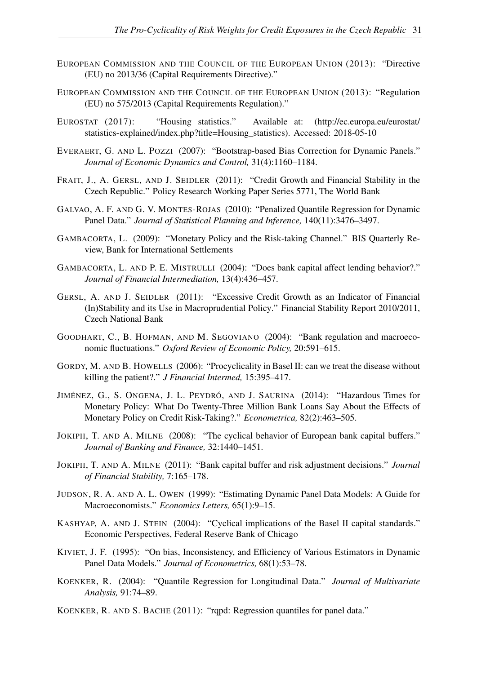- EUROPEAN COMMISSION AND THE COUNCIL OF THE EUROPEAN UNION (2013): "Directive (EU) no 2013/36 (Capital Requirements Directive)."
- EUROPEAN COMMISSION AND THE COUNCIL OF THE EUROPEAN UNION (2013): "Regulation (EU) no 575/2013 (Capital Requirements Regulation)."
- <span id="page-34-14"></span>EUROSTAT (2017): "Housing statistics." Available at: (http://ec.europa.eu/eurostat/ statistics-explained/index.php?title=Housing\_statistics). Accessed: 2018-05-10
- <span id="page-34-11"></span>EVERAERT, G. AND L. POZZI (2007): "Bootstrap-based Bias Correction for Dynamic Panels." *Journal of Economic Dynamics and Control,* 31(4):1160–1184.
- <span id="page-34-12"></span>FRAIT, J., A. GERSL, AND J. SEIDLER (2011): "Credit Growth and Financial Stability in the Czech Republic." Policy Research Working Paper Series 5771, The World Bank
- <span id="page-34-8"></span>GALVAO, A. F. AND G. V. MONTES-ROJAS (2010): "Penalized Quantile Regression for Dynamic Panel Data." *Journal of Statistical Planning and Inference,* 140(11):3476–3497.
- <span id="page-34-15"></span>GAMBACORTA, L. (2009): "Monetary Policy and the Risk-taking Channel." BIS Quarterly Review, Bank for International Settlements
- <span id="page-34-2"></span>GAMBACORTA, L. AND P. E. MISTRULLI (2004): "Does bank capital affect lending behavior?." *Journal of Financial Intermediation,* 13(4):436–457.
- <span id="page-34-13"></span>GERSL, A. AND J. SEIDLER (2011): "Excessive Credit Growth as an Indicator of Financial (In)Stability and its Use in Macroprudential Policy." Financial Stability Report 2010/2011, Czech National Bank
- <span id="page-34-0"></span>GOODHART, C., B. HOFMAN, AND M. SEGOVIANO (2004): "Bank regulation and macroeconomic fluctuations." *Oxford Review of Economic Policy,* 20:591–615.
- <span id="page-34-1"></span>GORDY, M. AND B. HOWELLS (2006): "Procyclicality in Basel II: can we treat the disease without killing the patient?." *J Financial Intermed,* 15:395–417.
- <span id="page-34-16"></span>JIMÉNEZ, G., S. ONGENA, J. L. PEYDRÓ, AND J. SAURINA (2014): "Hazardous Times for Monetary Policy: What Do Twenty-Three Million Bank Loans Say About the Effects of Monetary Policy on Credit Risk-Taking?." *Econometrica,* 82(2):463–505.
- <span id="page-34-3"></span>JOKIPII, T. AND A. MILNE (2008): "The cyclical behavior of European bank capital buffers." *Journal of Banking and Finance,* 32:1440–1451.
- <span id="page-34-4"></span>JOKIPII, T. AND A. MILNE (2011): "Bank capital buffer and risk adjustment decisions." *Journal of Financial Stability,* 7:165–178.
- <span id="page-34-9"></span>JUDSON, R. A. AND A. L. OWEN (1999): "Estimating Dynamic Panel Data Models: A Guide for Macroeconomists." *Economics Letters,* 65(1):9–15.
- <span id="page-34-5"></span>KASHYAP, A. AND J. STEIN (2004): "Cyclical implications of the Basel II capital standards." Economic Perspectives, Federal Reserve Bank of Chicago
- <span id="page-34-10"></span>KIVIET, J. F. (1995): "On bias, Inconsistency, and Efficiency of Various Estimators in Dynamic Panel Data Models." *Journal of Econometrics,* 68(1):53–78.
- <span id="page-34-6"></span>KOENKER, R. (2004): "Quantile Regression for Longitudinal Data." *Journal of Multivariate Analysis,* 91:74–89.
- <span id="page-34-7"></span>KOENKER, R. AND S. BACHE (2011): "rqpd: Regression quantiles for panel data."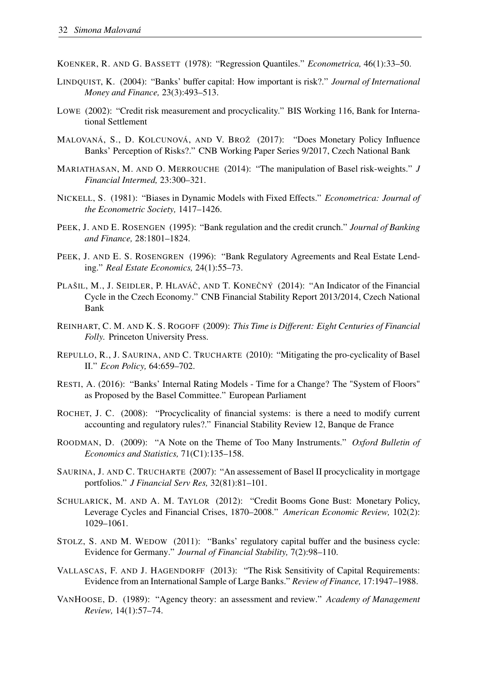- <span id="page-35-18"></span>KOENKER, R. AND G. BASSETT (1978): "Regression Quantiles." *Econometrica,* 46(1):33–50.
- <span id="page-35-9"></span>LINDQUIST, K. (2004): "Banks' buffer capital: How important is risk?." *Journal of International Money and Finance,* 23(3):493–513.
- <span id="page-35-1"></span>LOWE (2002): "Credit risk measurement and procyclicality." BIS Working 116, Bank for International Settlement
- <span id="page-35-17"></span>MALOVANÁ, S., D. KOLCUNOVÁ, AND V. BROŽ (2017): "Does Monetary Policy Influence Banks' Perception of Risks?." CNB Working Paper Series 9/2017, Czech National Bank
- <span id="page-35-3"></span>MARIATHASAN, M. AND O. MERROUCHE (2014): "The manipulation of Basel risk-weights." *J Financial Intermed,* 23:300–321.
- <span id="page-35-15"></span>NICKELL, S. (1981): "Biases in Dynamic Models with Fixed Effects." *Econometrica: Journal of the Econometric Society,* 1417–1426.
- <span id="page-35-7"></span>PEEK, J. AND E. ROSENGEN (1995): "Bank regulation and the credit crunch." *Journal of Banking and Finance,* 28:1801–1824.
- <span id="page-35-8"></span>PEEK, J. AND E. S. ROSENGREN (1996): "Bank Regulatory Agreements and Real Estate Lending." *Real Estate Economics,* 24(1):55–73.
- <span id="page-35-16"></span>PLAŠIL, M., J. SEIDLER, P. HLAVÁČ, AND T. KONEČNÝ (2014): "An Indicator of the Financial Cycle in the Czech Economy." CNB Financial Stability Report 2013/2014, Czech National Bank
- <span id="page-35-12"></span>REINHART, C. M. AND K. S. ROGOFF (2009): *This Time is Different: Eight Centuries of Financial Folly.* Princeton University Press.
- <span id="page-35-5"></span>REPULLO, R., J. SAURINA, AND C. TRUCHARTE (2010): "Mitigating the pro-cyclicality of Basel II." *Econ Policy,* 64:659–702.
- <span id="page-35-0"></span>RESTI, A. (2016): "Banks' Internal Rating Models - Time for a Change? The "System of Floors" as Proposed by the Basel Committee." European Parliament
- <span id="page-35-4"></span>ROCHET, J. C. (2008): "Procyclicality of financial systems: is there a need to modify current accounting and regulatory rules?." Financial Stability Review 12, Banque de France
- <span id="page-35-14"></span>ROODMAN, D. (2009): "A Note on the Theme of Too Many Instruments." *Oxford Bulletin of Economics and Statistics,* 71(C1):135–158.
- <span id="page-35-11"></span>SAURINA, J. AND C. TRUCHARTE (2007): "An assessement of Basel II procyclicality in mortgage portfolios." *J Financial Serv Res,* 32(81):81–101.
- <span id="page-35-13"></span>SCHULARICK, M. AND A. M. TAYLOR (2012): "Credit Booms Gone Bust: Monetary Policy, Leverage Cycles and Financial Crises, 1870–2008." *American Economic Review,* 102(2): 1029–1061.
- <span id="page-35-10"></span>STOLZ, S. AND M. WEDOW (2011): "Banks' regulatory capital buffer and the business cycle: Evidence for Germany." *Journal of Financial Stability,* 7(2):98–110.
- <span id="page-35-2"></span>VALLASCAS, F. AND J. HAGENDORFF (2013): "The Risk Sensitivity of Capital Requirements: Evidence from an International Sample of Large Banks." *Review of Finance,* 17:1947–1988.
- <span id="page-35-6"></span>VANHOOSE, D. (1989): "Agency theory: an assessment and review." *Academy of Management Review,* 14(1):57–74.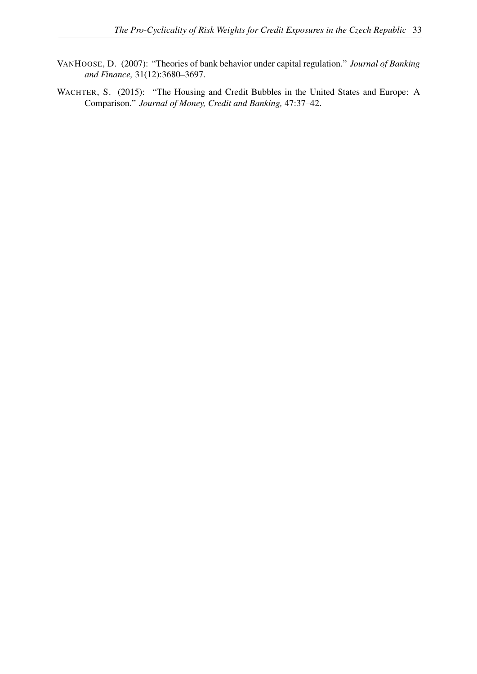- <span id="page-36-0"></span>VANHOOSE, D. (2007): "Theories of bank behavior under capital regulation." *Journal of Banking and Finance,* 31(12):3680–3697.
- <span id="page-36-1"></span>WACHTER, S. (2015): "The Housing and Credit Bubbles in the United States and Europe: A Comparison." *Journal of Money, Credit and Banking,* 47:37–42.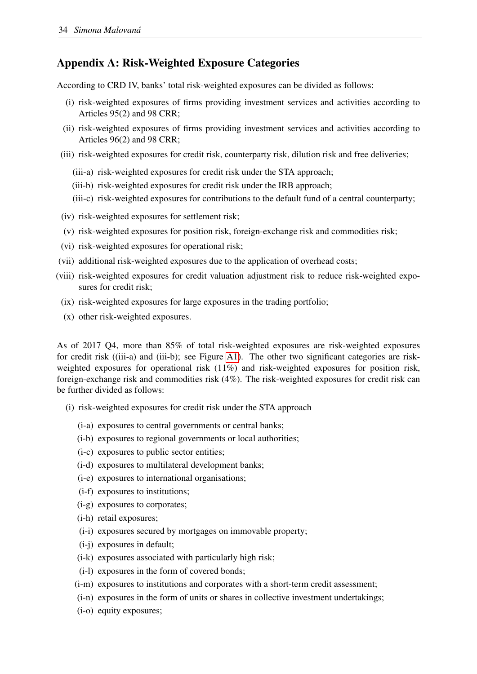## <span id="page-37-0"></span>Appendix A: Risk-Weighted Exposure Categories

According to CRD IV, banks' total risk-weighted exposures can be divided as follows:

- (i) risk-weighted exposures of firms providing investment services and activities according to Articles 95(2) and 98 CRR;
- (ii) risk-weighted exposures of firms providing investment services and activities according to Articles 96(2) and 98 CRR;
- (iii) risk-weighted exposures for credit risk, counterparty risk, dilution risk and free deliveries;
	- (iii-a) risk-weighted exposures for credit risk under the STA approach;
	- (iii-b) risk-weighted exposures for credit risk under the IRB approach;
	- (iii-c) risk-weighted exposures for contributions to the default fund of a central counterparty;
- (iv) risk-weighted exposures for settlement risk;
- (v) risk-weighted exposures for position risk, foreign-exchange risk and commodities risk;
- (vi) risk-weighted exposures for operational risk;
- (vii) additional risk-weighted exposures due to the application of overhead costs;
- (viii) risk-weighted exposures for credit valuation adjustment risk to reduce risk-weighted exposures for credit risk;
	- (ix) risk-weighted exposures for large exposures in the trading portfolio;
	- (x) other risk-weighted exposures.

As of 2017 Q4, more than 85% of total risk-weighted exposures are risk-weighted exposures for credit risk ((iii-a) and (iii-b); see Figure [A1\)](#page-39-0). The other two significant categories are riskweighted exposures for operational risk (11%) and risk-weighted exposures for position risk, foreign-exchange risk and commodities risk (4%). The risk-weighted exposures for credit risk can be further divided as follows:

- (i) risk-weighted exposures for credit risk under the STA approach
	- (i-a) exposures to central governments or central banks;
	- (i-b) exposures to regional governments or local authorities;
	- (i-c) exposures to public sector entities;
	- (i-d) exposures to multilateral development banks;
	- (i-e) exposures to international organisations;
	- (i-f) exposures to institutions;
	- (i-g) exposures to corporates;
	- (i-h) retail exposures;
	- (i-i) exposures secured by mortgages on immovable property;
	- (i-j) exposures in default;
	- (i-k) exposures associated with particularly high risk;
	- (i-l) exposures in the form of covered bonds;
	- (i-m) exposures to institutions and corporates with a short-term credit assessment;
	- (i-n) exposures in the form of units or shares in collective investment undertakings;
	- (i-o) equity exposures;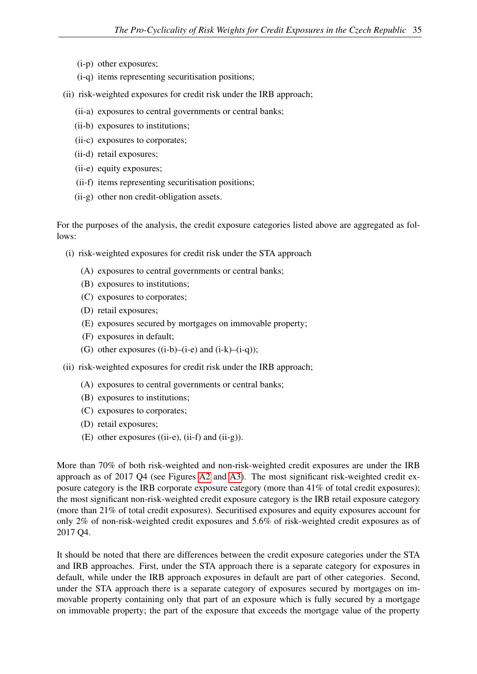- (i-p) other exposures;
- (i-q) items representing securitisation positions;
- (ii) risk-weighted exposures for credit risk under the IRB approach;
	- (ii-a) exposures to central governments or central banks;
	- (ii-b) exposures to institutions;
	- (ii-c) exposures to corporates;
	- (ii-d) retail exposures;
	- (ii-e) equity exposures;
	- (ii-f) items representing securitisation positions;
	- (ii-g) other non credit-obligation assets.

For the purposes of the analysis, the credit exposure categories listed above are aggregated as follows:

- (i) risk-weighted exposures for credit risk under the STA approach
	- (A) exposures to central governments or central banks;
	- (B) exposures to institutions;
	- (C) exposures to corporates;
	- (D) retail exposures;
	- (E) exposures secured by mortgages on immovable property;
	- (F) exposures in default;
	- (G) other exposures  $((i-b)-(i-e)$  and  $(i-k)-(i-q));$
- (ii) risk-weighted exposures for credit risk under the IRB approach;
	- (A) exposures to central governments or central banks;
	- (B) exposures to institutions;
	- (C) exposures to corporates;
	- (D) retail exposures;
	- (E) other exposures ((ii-e), (ii-f) and (ii-g)).

More than 70% of both risk-weighted and non-risk-weighted credit exposures are under the IRB approach as of 2017 Q4 (see Figures [A2](#page-39-1) and [A3\)](#page-40-1). The most significant risk-weighted credit exposure category is the IRB corporate exposure category (more than 41% of total credit exposures); the most significant non-risk-weighted credit exposure category is the IRB retail exposure category (more than 21% of total credit exposures). Securitised exposures and equity exposures account for only 2% of non-risk-weighted credit exposures and 5.6% of risk-weighted credit exposures as of 2017 Q4.

It should be noted that there are differences between the credit exposure categories under the STA and IRB approaches. First, under the STA approach there is a separate category for exposures in default, while under the IRB approach exposures in default are part of other categories. Second, under the STA approach there is a separate category of exposures secured by mortgages on immovable property containing only that part of an exposure which is fully secured by a mortgage on immovable property; the part of the exposure that exceeds the mortgage value of the property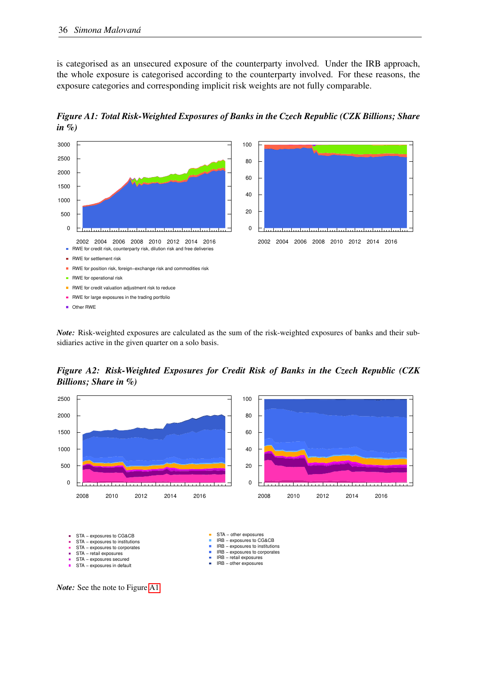is categorised as an unsecured exposure of the counterparty involved. Under the IRB approach, the whole exposure is categorised according to the counterparty involved. For these reasons, the exposure categories and corresponding implicit risk weights are not fully comparable.

<span id="page-39-0"></span>*Figure A1: Total Risk-Weighted Exposures of Banks in the Czech Republic (CZK Billions; Share in %)*



*Note:* Risk-weighted exposures are calculated as the sum of the risk-weighted exposures of banks and their subsidiaries active in the given quarter on a solo basis.

<span id="page-39-1"></span>*Figure A2: Risk-Weighted Exposures for Credit Risk of Banks in the Czech Republic (CZK Billions; Share in %)*





*Note:* See the note to Figure [A1.](#page-39-0)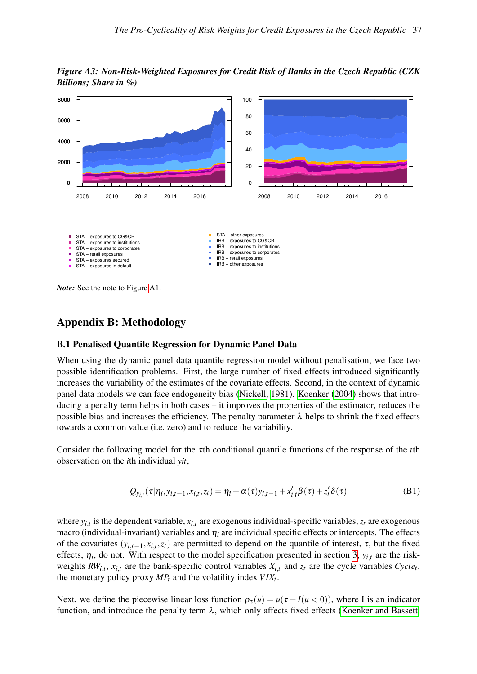<span id="page-40-1"></span>*Figure A3: Non-Risk-Weighted Exposures for Credit Risk of Banks in the Czech Republic (CZK Billions; Share in %)*



<span id="page-40-0"></span>*Note:* See the note to Figure [A1.](#page-39-0)

## Appendix B: Methodology

#### B.1 Penalised Quantile Regression for Dynamic Panel Data

When using the dynamic panel data quantile regression model without penalisation, we face two possible identification problems. First, the large number of fixed effects introduced significantly increases the variability of the estimates of the covariate effects. Second, in the context of dynamic panel data models we can face endogeneity bias [\(Nickell, 1981\)](#page-35-15). [Koenker](#page-34-6) [\(2004\)](#page-34-6) shows that introducing a penalty term helps in both cases – it improves the properties of the estimator, reduces the possible bias and increases the efficiency. The penalty parameter  $\lambda$  helps to shrink the fixed effects towards a common value (i.e. zero) and to reduce the variability.

Consider the following model for the τth conditional quantile functions of the response of the *t*th observation on the *i*th individual *yit*,

$$
Q_{y_{i,t}}(\tau|\eta_i, y_{i,t-1}, x_{i,t}, z_t) = \eta_i + \alpha(\tau)y_{i,t-1} + x'_{i,t}\beta(\tau) + z'_t\delta(\tau)
$$
\n(B1)

where  $y_{i,t}$  is the dependent variable,  $x_{i,t}$  are exogenous individual-specific variables,  $z_t$  are exogenous macro (individual-invariant) variables and  $\eta_i$  are individual specific effects or intercepts. The effects of the covariates  $(y_{i,t-1}, x_{i,t}, z_t)$  are permitted to depend on the quantile of interest,  $\tau$ , but the fixed effects,  $\eta_i$ , do not. With respect to the model specification presented in section [3,](#page-10-0)  $y_{i,t}$  are the riskweights  $RW_{i,t}$ ,  $x_{i,t}$  are the bank-specific control variables  $X_{i,t}$  and  $z_t$  are the cycle variables  $Cycle_t$ , the monetary policy proxy  $MP_t$  and the volatility index  $VIX_t$ .

Next, we define the piecewise linear loss function  $\rho_{\tau}(u) = u(\tau - I(u < 0))$ , where I is an indicator function, and introduce the penalty term  $\lambda$ , which only affects fixed effects [\(Koenker and Bassett,](#page-35-18)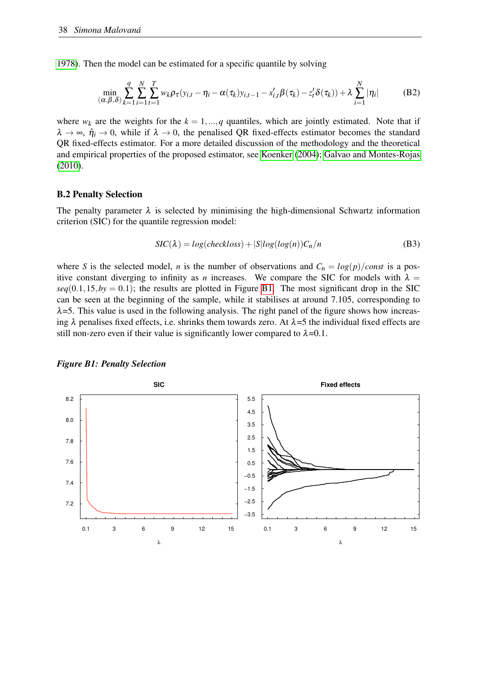[1978\)](#page-35-18). Then the model can be estimated for a specific quantile by solving

$$
\min_{(\alpha,\beta,\delta)} \sum_{k=1}^{q} \sum_{i=1}^{N} \sum_{t=1}^{T} w_k \rho_\tau (y_{i,t} - \eta_i - \alpha(\tau_k) y_{i,t-1} - x_{i,t}' \beta(\tau_k) - z_t' \delta(\tau_k)) + \lambda \sum_{i=1}^{N} |\eta_i|
$$
(B2)

where  $w_k$  are the weights for the  $k = 1, ..., q$  quantiles, which are jointly estimated. Note that if  $\lambda \to \infty$ ,  $\hat{\eta}_i \to 0$ , while if  $\lambda \to 0$ , the penalised QR fixed-effects estimator becomes the standard QR fixed-effects estimator. For a more detailed discussion of the methodology and the theoretical and empirical properties of the proposed estimator, see [Koenker](#page-34-6) [\(2004\)](#page-34-6); [Galvao and Montes-Rojas](#page-34-8) [\(2010\)](#page-34-8).

#### B.2 Penalty Selection

The penalty parameter  $\lambda$  is selected by minimising the high-dimensional Schwartz information criterion (SIC) for the quantile regression model:

$$
SIC(\lambda) = log(checkloss) + |S|log(log(n))C_n/n
$$
 (B3)

where *S* is the selected model, *n* is the number of observations and  $C_n = \log(p)/\text{const}$  is a positive constant diverging to infinity as *n* increases. We compare the SIC for models with  $\lambda =$  $seq(0.1, 15, by = 0.1)$ ; the results are plotted in Figure [B1.](#page-41-0) The most significant drop in the SIC can be seen at the beginning of the sample, while it stabilises at around 7.105, corresponding to  $\lambda$ =5. This value is used in the following analysis. The right panel of the figure shows how increasing  $\lambda$  penalises fixed effects, i.e. shrinks them towards zero. At  $\lambda$ =5 the individual fixed effects are still non-zero even if their value is significantly lower compared to  $\lambda$ =0.1.



#### <span id="page-41-0"></span>*Figure B1: Penalty Selection*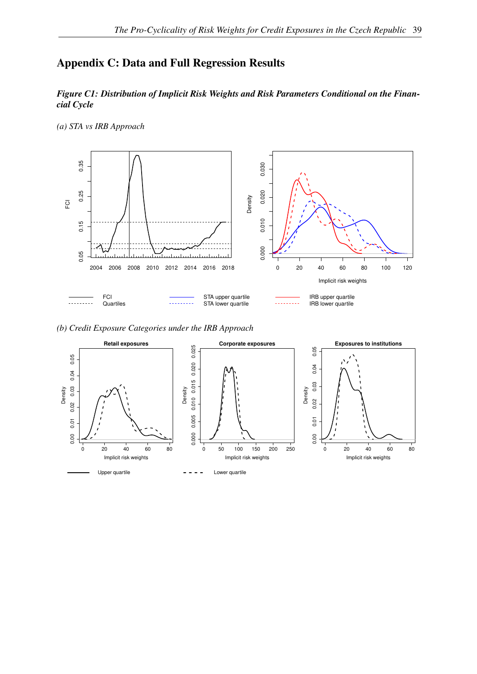# <span id="page-42-1"></span><span id="page-42-0"></span>Appendix C: Data and Full Regression Results

#### *Figure C1: Distribution of Implicit Risk Weights and Risk Parameters Conditional on the Financial Cycle*

*(a) STA vs IRB Approach*



*(b) Credit Exposure Categories under the IRB Approach*

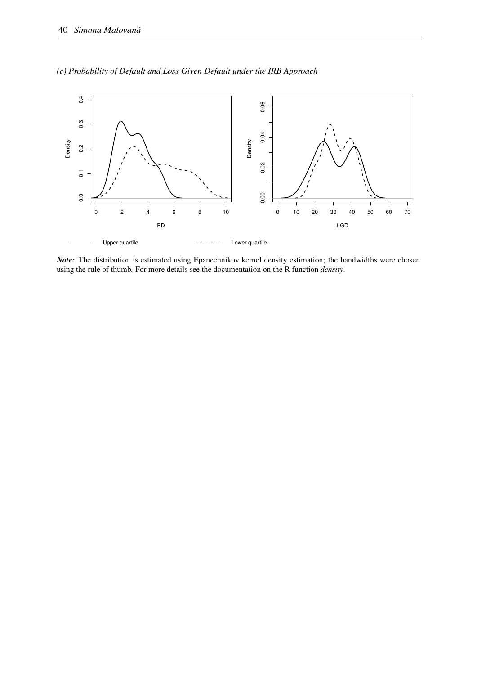



*Note:* The distribution is estimated using Epanechnikov kernel density estimation; the bandwidths were chosen using the rule of thumb. For more details see the documentation on the R function *density*.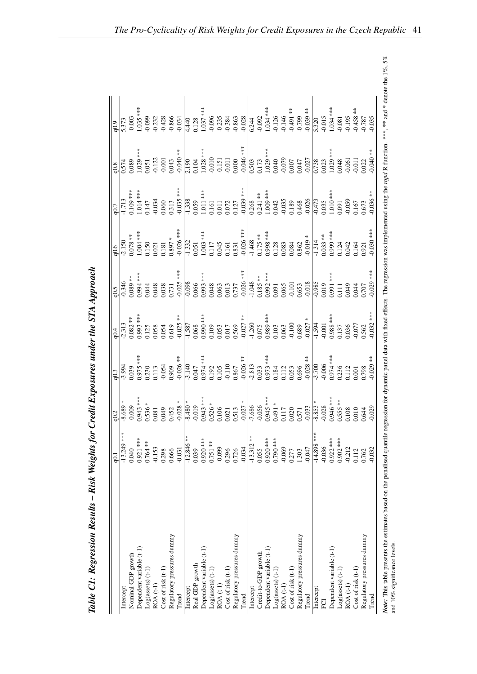<span id="page-44-0"></span>

|                            | ر و          | q0.2                                                                                                                                                                                                                                                                                                                   | 10.3                                                                                                                                                                                                                                                                                                | 10.4                                                                      | $-0.5$     | 0.6                                                                                                                                                                                                                                                                                               | 10.7                                                                                                                                                                                                                                                                                                                                      | 0.8                                                                                                                                                                                                                                                                                                                                                                                                               | 0.9 |
|----------------------------|--------------|------------------------------------------------------------------------------------------------------------------------------------------------------------------------------------------------------------------------------------------------------------------------------------------------------------------------|-----------------------------------------------------------------------------------------------------------------------------------------------------------------------------------------------------------------------------------------------------------------------------------------------------|---------------------------------------------------------------------------|------------|---------------------------------------------------------------------------------------------------------------------------------------------------------------------------------------------------------------------------------------------------------------------------------------------------|-------------------------------------------------------------------------------------------------------------------------------------------------------------------------------------------------------------------------------------------------------------------------------------------------------------------------------------------|-------------------------------------------------------------------------------------------------------------------------------------------------------------------------------------------------------------------------------------------------------------------------------------------------------------------------------------------------------------------------------------------------------------------|-----|
| Intercept                  | $-13.249$ ** |                                                                                                                                                                                                                                                                                                                        |                                                                                                                                                                                                                                                                                                     |                                                                           |            | 2.150                                                                                                                                                                                                                                                                                             | 1.713                                                                                                                                                                                                                                                                                                                                     |                                                                                                                                                                                                                                                                                                                                                                                                                   |     |
| Nominal GDP growth         | 0.040        | $-8.689$                                                                                                                                                                                                                                                                                                               |                                                                                                                                                                                                                                                                                                     |                                                                           |            |                                                                                                                                                                                                                                                                                                   |                                                                                                                                                                                                                                                                                                                                           |                                                                                                                                                                                                                                                                                                                                                                                                                   |     |
| Dependent variable (t-1)   | $0.921$ ***  | $0.943***$                                                                                                                                                                                                                                                                                                             |                                                                                                                                                                                                                                                                                                     |                                                                           |            |                                                                                                                                                                                                                                                                                                   |                                                                                                                                                                                                                                                                                                                                           |                                                                                                                                                                                                                                                                                                                                                                                                                   |     |
| $Log(assets)$ $(t-1)$      | $0.764**$    |                                                                                                                                                                                                                                                                                                                        |                                                                                                                                                                                                                                                                                                     |                                                                           |            |                                                                                                                                                                                                                                                                                                   |                                                                                                                                                                                                                                                                                                                                           |                                                                                                                                                                                                                                                                                                                                                                                                                   |     |
| ROA (t-1)                  | $-0.153$     | $0.536 * 0.081$                                                                                                                                                                                                                                                                                                        |                                                                                                                                                                                                                                                                                                     |                                                                           |            |                                                                                                                                                                                                                                                                                                   |                                                                                                                                                                                                                                                                                                                                           |                                                                                                                                                                                                                                                                                                                                                                                                                   |     |
| Cost of risk (t-1)         | 0.298        |                                                                                                                                                                                                                                                                                                                        |                                                                                                                                                                                                                                                                                                     |                                                                           |            |                                                                                                                                                                                                                                                                                                   |                                                                                                                                                                                                                                                                                                                                           |                                                                                                                                                                                                                                                                                                                                                                                                                   |     |
| Regulatory pressures dummy | 0.666        |                                                                                                                                                                                                                                                                                                                        |                                                                                                                                                                                                                                                                                                     |                                                                           |            |                                                                                                                                                                                                                                                                                                   |                                                                                                                                                                                                                                                                                                                                           |                                                                                                                                                                                                                                                                                                                                                                                                                   |     |
| Trend                      | $-0.031$     | $0.049$<br>$0.452$<br>$-0.028$                                                                                                                                                                                                                                                                                         |                                                                                                                                                                                                                                                                                                     | $-2.313$<br>0.082 ***<br>0.093 ***<br>0.053<br>0.054<br>0.054<br>0.055 ** |            |                                                                                                                                                                                                                                                                                                   |                                                                                                                                                                                                                                                                                                                                           |                                                                                                                                                                                                                                                                                                                                                                                                                   |     |
| Intercept                  | $-12.846**$  |                                                                                                                                                                                                                                                                                                                        |                                                                                                                                                                                                                                                                                                     |                                                                           |            |                                                                                                                                                                                                                                                                                                   |                                                                                                                                                                                                                                                                                                                                           |                                                                                                                                                                                                                                                                                                                                                                                                                   |     |
| Real GDP growth            | 0.039        |                                                                                                                                                                                                                                                                                                                        |                                                                                                                                                                                                                                                                                                     |                                                                           |            |                                                                                                                                                                                                                                                                                                   |                                                                                                                                                                                                                                                                                                                                           |                                                                                                                                                                                                                                                                                                                                                                                                                   |     |
| Dependent variable (t-1)   | $0.920$ ***  |                                                                                                                                                                                                                                                                                                                        |                                                                                                                                                                                                                                                                                                     |                                                                           |            |                                                                                                                                                                                                                                                                                                   |                                                                                                                                                                                                                                                                                                                                           |                                                                                                                                                                                                                                                                                                                                                                                                                   |     |
| Log(assert)                | $0.751***$   |                                                                                                                                                                                                                                                                                                                        |                                                                                                                                                                                                                                                                                                     |                                                                           |            |                                                                                                                                                                                                                                                                                                   |                                                                                                                                                                                                                                                                                                                                           |                                                                                                                                                                                                                                                                                                                                                                                                                   |     |
| ROA (t-1)                  | $-0.099$     |                                                                                                                                                                                                                                                                                                                        |                                                                                                                                                                                                                                                                                                     |                                                                           |            |                                                                                                                                                                                                                                                                                                   |                                                                                                                                                                                                                                                                                                                                           |                                                                                                                                                                                                                                                                                                                                                                                                                   |     |
| $Cost of risk (t-1)$       | 0.296        |                                                                                                                                                                                                                                                                                                                        |                                                                                                                                                                                                                                                                                                     |                                                                           |            |                                                                                                                                                                                                                                                                                                   |                                                                                                                                                                                                                                                                                                                                           |                                                                                                                                                                                                                                                                                                                                                                                                                   |     |
| Regulatory pressures dummy | 0.726        |                                                                                                                                                                                                                                                                                                                        |                                                                                                                                                                                                                                                                                                     |                                                                           |            |                                                                                                                                                                                                                                                                                                   |                                                                                                                                                                                                                                                                                                                                           |                                                                                                                                                                                                                                                                                                                                                                                                                   |     |
| Trend                      | $-0.034$     | $\begin{array}{l l} \hline 4,80\, * \atop +\, 0.19\, * \atop +\, 0.94\, * \atop +\, 0.95\, * \atop +\, 0.95\, * \atop +\, 0.95\, * \atop +\, 0.95\, * \atop +\, 0.95\, * \atop +\, 0.95\, * \atop +\, 0.95\, * \atop +\, 0.95\, * \atop +\, 0.95\, * \atop +\, 0.95\, * \atop +\, 0.95\, * \atop +\, 0.95\, * \atop +$ |                                                                                                                                                                                                                                                                                                     |                                                                           |            |                                                                                                                                                                                                                                                                                                   |                                                                                                                                                                                                                                                                                                                                           |                                                                                                                                                                                                                                                                                                                                                                                                                   |     |
| Intercept                  | $-13.312**$  |                                                                                                                                                                                                                                                                                                                        |                                                                                                                                                                                                                                                                                                     |                                                                           |            |                                                                                                                                                                                                                                                                                                   |                                                                                                                                                                                                                                                                                                                                           |                                                                                                                                                                                                                                                                                                                                                                                                                   |     |
| Credit-to-GDP growth       | 0.055        |                                                                                                                                                                                                                                                                                                                        |                                                                                                                                                                                                                                                                                                     |                                                                           |            |                                                                                                                                                                                                                                                                                                   |                                                                                                                                                                                                                                                                                                                                           |                                                                                                                                                                                                                                                                                                                                                                                                                   |     |
| Dependent variable (t-1)   | $0.920***$   |                                                                                                                                                                                                                                                                                                                        |                                                                                                                                                                                                                                                                                                     |                                                                           |            |                                                                                                                                                                                                                                                                                                   |                                                                                                                                                                                                                                                                                                                                           |                                                                                                                                                                                                                                                                                                                                                                                                                   |     |
| $Log(assets)$ (t-1)        | 0.790 ***    |                                                                                                                                                                                                                                                                                                                        |                                                                                                                                                                                                                                                                                                     |                                                                           |            |                                                                                                                                                                                                                                                                                                   |                                                                                                                                                                                                                                                                                                                                           |                                                                                                                                                                                                                                                                                                                                                                                                                   |     |
| ROA (t-1)                  | $-0.069$     |                                                                                                                                                                                                                                                                                                                        |                                                                                                                                                                                                                                                                                                     |                                                                           |            |                                                                                                                                                                                                                                                                                                   |                                                                                                                                                                                                                                                                                                                                           |                                                                                                                                                                                                                                                                                                                                                                                                                   |     |
| Cost of risk (t-1)         | 0.277        |                                                                                                                                                                                                                                                                                                                        |                                                                                                                                                                                                                                                                                                     |                                                                           |            |                                                                                                                                                                                                                                                                                                   |                                                                                                                                                                                                                                                                                                                                           |                                                                                                                                                                                                                                                                                                                                                                                                                   |     |
| Regulatory pressures dummy | 1.303        |                                                                                                                                                                                                                                                                                                                        |                                                                                                                                                                                                                                                                                                     |                                                                           |            |                                                                                                                                                                                                                                                                                                   |                                                                                                                                                                                                                                                                                                                                           |                                                                                                                                                                                                                                                                                                                                                                                                                   |     |
| Trend                      | $-0.047$     |                                                                                                                                                                                                                                                                                                                        | $\begin{array}{r} 1.994 \\ 0.039 \\ 0.039 \\ 0.039 \\ 0.036 \\ 0.037 \\ 0.034 \\ 0.034 \\ 0.034 \\ 0.034 \\ 0.034 \\ 0.035 \\ 0.036 \\ 0.010 \\ 0.010 \\ 0.035 \\ 0.033 \\ 0.033 \\ 0.033 \\ 0.033 \\ 0.033 \\ 0.033 \\ 0.033 \\ 0.033 \\ 0.033 \\ 0.033 \\ 0.033 \\ 0.033 \\ 0.033 \\ 0.033 \\ 0.$ |                                                                           |            | $\begin{array}{r} 0.078**\\ 1.004***\\ 0.150\\ 0.181\\ 0.051\\ 0.051\\ -0.026***\\ 0.037**\\ -0.051\\ -1.322\\ -0.051\\ -1.468\\ -0.031\\ -0.045\\ -0.045\\ -0.045\\ -0.045\\ -0.045\\ -0.045\\ -0.045\\ -0.045\\ -0.045\\ -0.045\\ -0.045\\ -0.003\\ -0.004\\ -0.003\\ -0.004\\ -0.003\\ -0.004$ | $\begin{array}{r} 0.109***\\ 1.04***\\ 1.04***\\ 0.034\\ 0.059\\ -0.035***\\ -1.038\\ -0.035***\\ -1.011***\\ -1.011***\\ -1.011***\\ -1.011***\\ -1.011***\\ -1.009***\\ -1.009***\\ -1.009***\\ -1.009***\\ -1.009***\\ -1.009***\\ -1.009***\\ -1.009***\\ -1.009***\\ -1.009***\\ -1.009***\\ -1.009***\\ -1.009***\\ -1.009***\\ -1$ | $\begin{array}{c l l} & & & & \\ \hline\n0.574 & & & & & & \\ \hline\n0.089 & & & & & & \\ \hline\n1.029 & & & & & & \\ \hline\n0.051 & & & & & & \\ \hline\n0.071 & & & & & & \\ \hline\n0.040 & & & & & & \\ \hline\n0.040 & & & & & & \\ \hline\n0.040 & & & & & & \\ \hline\n0.010 & & & & & & \\ \hline\n0.011 & & & & & & \\ \hline\n0.011 & & & & & & \\ \hline\n0.000 & & & & & & \\ \hline\n0.000 & & &$ |     |
| Intercept                  | $-14.898**$  |                                                                                                                                                                                                                                                                                                                        |                                                                                                                                                                                                                                                                                                     |                                                                           |            |                                                                                                                                                                                                                                                                                                   |                                                                                                                                                                                                                                                                                                                                           |                                                                                                                                                                                                                                                                                                                                                                                                                   |     |
| ECI                        | $-0.036$     |                                                                                                                                                                                                                                                                                                                        |                                                                                                                                                                                                                                                                                                     |                                                                           |            |                                                                                                                                                                                                                                                                                                   |                                                                                                                                                                                                                                                                                                                                           |                                                                                                                                                                                                                                                                                                                                                                                                                   |     |
| Dependent variable (t-1)   | $0.922***$   |                                                                                                                                                                                                                                                                                                                        |                                                                                                                                                                                                                                                                                                     |                                                                           |            |                                                                                                                                                                                                                                                                                                   |                                                                                                                                                                                                                                                                                                                                           |                                                                                                                                                                                                                                                                                                                                                                                                                   |     |
| $Log(assets)$ $(t-1)$      | 0.902 ***    |                                                                                                                                                                                                                                                                                                                        |                                                                                                                                                                                                                                                                                                     |                                                                           |            |                                                                                                                                                                                                                                                                                                   |                                                                                                                                                                                                                                                                                                                                           |                                                                                                                                                                                                                                                                                                                                                                                                                   |     |
| $ROA(t-1)$                 | $-0.212$     |                                                                                                                                                                                                                                                                                                                        |                                                                                                                                                                                                                                                                                                     |                                                                           |            |                                                                                                                                                                                                                                                                                                   |                                                                                                                                                                                                                                                                                                                                           |                                                                                                                                                                                                                                                                                                                                                                                                                   |     |
| Cost of risk (t-1)         | 0.112        | $-8.853$ *<br>-0.028<br>-0.0346 ***<br>0.555 **<br>0.010<br>0.044                                                                                                                                                                                                                                                      | $-3.700$<br>$-0.006$<br>$0.974$ ***<br>$0.236$<br>$0.112$<br>$0.001$<br>$0.798$<br>$0.798$                                                                                                                                                                                                          |                                                                           |            |                                                                                                                                                                                                                                                                                                   |                                                                                                                                                                                                                                                                                                                                           |                                                                                                                                                                                                                                                                                                                                                                                                                   |     |
| Regulatory pressures dummy | 0.762        |                                                                                                                                                                                                                                                                                                                        |                                                                                                                                                                                                                                                                                                     |                                                                           |            |                                                                                                                                                                                                                                                                                                   |                                                                                                                                                                                                                                                                                                                                           |                                                                                                                                                                                                                                                                                                                                                                                                                   |     |
| Trend                      | $-0.032$     |                                                                                                                                                                                                                                                                                                                        |                                                                                                                                                                                                                                                                                                     |                                                                           | $0.029***$ |                                                                                                                                                                                                                                                                                                   |                                                                                                                                                                                                                                                                                                                                           | $-0.040**$                                                                                                                                                                                                                                                                                                                                                                                                        |     |

Table C1: Regression Results - Risk Weights for Credit Exposures under the STA Approach Table C1: Regression Results – Risk Weights for Credit Exposures under the STA Approach Note: This table presents the estimates based on the penalised quantile regression for dynamic panel data with fixed effects. The regression was implemented using the rqpd R function. \*\*\*, \*\*\* and \* denote the 1%, 5% and 1 Note: This table presents the estimates based on the penalised operalised quantile regression for dynamic panel data with fixed effects. The regression was implemented using the rapid R function. \*\*\* and \* denote the 1%, and 10% significance levels.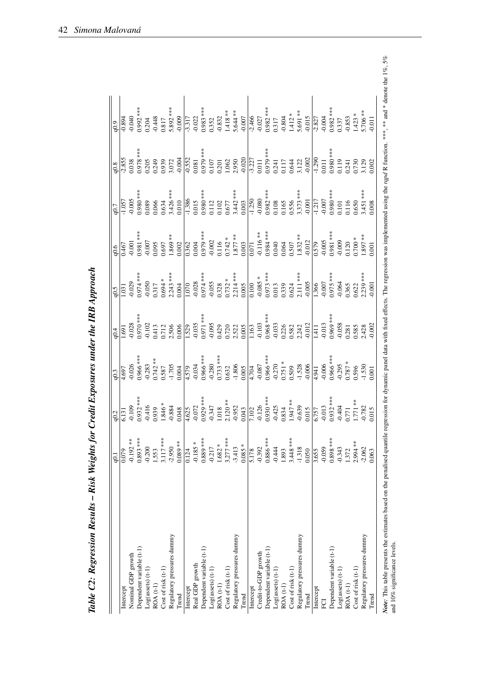|                            | q0.1        | $\frac{q0.2}{6.131}$                                                                                                                                                                                                                                                    | $\overline{0.3}$                                                                                           | q0.4                           | 6.5                   | q0.6                                                                                                                                                                                                                                                      | q0.7                                 | q0.8                   | q0.9                                          |
|----------------------------|-------------|-------------------------------------------------------------------------------------------------------------------------------------------------------------------------------------------------------------------------------------------------------------------------|------------------------------------------------------------------------------------------------------------|--------------------------------|-----------------------|-----------------------------------------------------------------------------------------------------------------------------------------------------------------------------------------------------------------------------------------------------------|--------------------------------------|------------------------|-----------------------------------------------|
| Intercept                  | 0.079       |                                                                                                                                                                                                                                                                         | 4.697                                                                                                      | $-691$                         | 1.031                 | 0.467                                                                                                                                                                                                                                                     | 1.057                                | 2.855                  | $0.\overline{894}$                            |
| Nominal GDP growth         | $-0.192**$  |                                                                                                                                                                                                                                                                         | 0.026                                                                                                      | $-0.028$<br>0.970 ***          | 0.029                 | $-0.001$                                                                                                                                                                                                                                                  | 0.005                                |                        | 0.040                                         |
| Dependent variable (t-1)   | $0.893***$  |                                                                                                                                                                                                                                                                         | $0.966$ ***                                                                                                |                                | $0.974***$            | $0.981$ ***                                                                                                                                                                                                                                               | $0.980$ ***                          | $0.038$<br>$0.978***$  | $0.992***$                                    |
| $Log(assets)$ $(t-1)$      | $-0.200$    |                                                                                                                                                                                                                                                                         | $-0.283$                                                                                                   | $-0.102$                       | $-0.050$              | $-0.007$                                                                                                                                                                                                                                                  | 0.089                                | 0.205                  | 0.204                                         |
| $ROA(t-1)$                 | 1.553       |                                                                                                                                                                                                                                                                         | $0.742**$                                                                                                  | $\frac{0.413}{0.712}$          |                       | 0.095                                                                                                                                                                                                                                                     | 0.066                                | 0.249                  | $-0.448$                                      |
| Cost of risk (t-1)         | 3.117 ***   |                                                                                                                                                                                                                                                                         | 0.587                                                                                                      |                                | $0.317$<br>$0.694 *$  | 0.697                                                                                                                                                                                                                                                     | 0.634                                | 0.939                  | 0.817                                         |
| Regulatory pressures dummy | $-2.950$    |                                                                                                                                                                                                                                                                         | $-1.705$                                                                                                   | 2.506                          | $2.243***$            | 1.869 **                                                                                                                                                                                                                                                  | $3.426$ ***                          | 3.072                  | 5.892 ***                                     |
| Trend                      | $0.089**$   | $\begin{array}{r} 1,09\\0.932**\\0.933**\\0.9416\\0.939\\0.048\\-0.048\\-0.048\\-0.048\\-0.048\\-0.048\\-0.048\\-0.048\\-0.049\\-0.049\\-0.049\\-0.040\\-0.040\\-0.040\\-0.040\\-0.012\\-0.013\\-0.013\\-0.013\\-0.013\\-0.013\\-0.013\\-0.013\\-0.013\\-0.013\\-0.013$ | 0.004                                                                                                      | 0.006                          | 0.004                 | $0.002$                                                                                                                                                                                                                                                   | 0.010                                | $-0.004$               | $-0.009$                                      |
| Intercept                  | 0.124       |                                                                                                                                                                                                                                                                         | 4.579                                                                                                      | 1.529                          | 1.070                 |                                                                                                                                                                                                                                                           | $-1.386$                             | $-0.552$               | $-3.317$                                      |
| Real GDP growth            | $-0.185$ *  |                                                                                                                                                                                                                                                                         | $-0.034$                                                                                                   |                                |                       | 0.362<br>0.004                                                                                                                                                                                                                                            | 0.015                                | $\bf 0.081$            | $-0.022$                                      |
| Dependent variable (t-1)   | $0.889$ *** |                                                                                                                                                                                                                                                                         |                                                                                                            |                                | $-0.028$<br>0.974 *** | $0.979***$                                                                                                                                                                                                                                                | $0.980***$                           | 0.979 ***              | $0.983***$                                    |
| Log(assets) (t-1)          | $-0.217$    |                                                                                                                                                                                                                                                                         | $0.966***$<br>$-0.280$                                                                                     | $-0.035$<br>0.971 ***<br>0.095 | $-0.055$              | $-0.002$                                                                                                                                                                                                                                                  | 0.112                                | $0.107\,$              | 0.352                                         |
| ROA (t-1)                  | $1.682 *$   |                                                                                                                                                                                                                                                                         | $0.733$ ***                                                                                                | 0.429                          | 0.328                 |                                                                                                                                                                                                                                                           |                                      | 0.201                  | $-0.832$                                      |
| Cost of risk (t-1)         | $3.277***$  |                                                                                                                                                                                                                                                                         | 0.632                                                                                                      | 0.720                          | $0.732 *$             | $0.116$<br>$0.742$ *                                                                                                                                                                                                                                      | $0.102$<br>$0.677$                   | 1.062                  | $1.418**$                                     |
| Regulatory pressures dummy | $-3.413$    |                                                                                                                                                                                                                                                                         | $-1.806$                                                                                                   | 2.522<br>0.005                 | $2.214***$<br>0.005   |                                                                                                                                                                                                                                                           |                                      |                        | $5.644***$                                    |
| Trend                      | $0.085 *$   |                                                                                                                                                                                                                                                                         | 0.005                                                                                                      |                                |                       | $1.877$ **<br>0.003                                                                                                                                                                                                                                       | $3.442$ ***<br>0.003                 | $\frac{0.020}{-3.227}$ | $-0.007$                                      |
| Intercept                  | 5.178       |                                                                                                                                                                                                                                                                         |                                                                                                            |                                | 0.100                 |                                                                                                                                                                                                                                                           |                                      |                        | $\frac{-2.466}{-0.027}$<br>0.982 ***<br>0.987 |
| Credit-to-GDP growth       | $-0.392$    |                                                                                                                                                                                                                                                                         |                                                                                                            | 1.163<br>-0.103                | $-0.085$ *            |                                                                                                                                                                                                                                                           |                                      |                        |                                               |
| Dependent variable (t-1)   | $0.886***$  |                                                                                                                                                                                                                                                                         |                                                                                                            | $0.968***$                     |                       |                                                                                                                                                                                                                                                           | $-1.250$<br>$-0.080$<br>$0.982$ **** | 0.979 ***              |                                               |
| Log(assert)                | $-0.444$    |                                                                                                                                                                                                                                                                         |                                                                                                            | $-0.033$                       | $0.973***$<br>0.013   |                                                                                                                                                                                                                                                           | $0.108\,$                            |                        |                                               |
| ROA (t-1)                  | 1.893       |                                                                                                                                                                                                                                                                         | $\begin{array}{c c} & 4.704 \ \hline 4.087 \ -0.966*** \ 0.966*** \ -0.270 \ 0.751** \ 0.0509 \end{array}$ | 0.226                          | 0.339                 | $\begin{array}{c c} \hline 0.071 & \multicolumn{1}{c}{0.071} \\ -0.116 & \multicolumn{1}{c}{\ast} \ast \\ 0.984 & \multicolumn{1}{c}{\ast} \ast \\ 0.040 & \multicolumn{1}{c}{\ast} \ast \\ 0.0040 & \multicolumn{1}{c}{\ast} \ast \\ \hline \end{array}$ | 0.165                                | $0.241$<br>$0.117$     | $-0.804$<br>1.412 *                           |
| Cost of risk (t-1)         | $3.448***$  |                                                                                                                                                                                                                                                                         |                                                                                                            | 0.582                          | 0.624                 | $0.507$                                                                                                                                                                                                                                                   | 0.556                                | 0.644                  |                                               |
| Regulatory pressures dummy | $-1.318$    |                                                                                                                                                                                                                                                                         | $-1.528$                                                                                                   | 2.242                          | $2.111***$            | $1.832***$                                                                                                                                                                                                                                                | $3.373**$                            | 3.122                  | 5.691 **                                      |
| Trend                      | 0.050       |                                                                                                                                                                                                                                                                         | $-0.006$                                                                                                   | $-0.012$                       | $-0.005$              | $-0.012$                                                                                                                                                                                                                                                  | $-0.001$                             | $-0.002$               | $-0.015$                                      |
| Intercept                  | 3.655       |                                                                                                                                                                                                                                                                         | $\frac{1}{4.941}$                                                                                          | 1.411                          | 1.366                 | 0.579                                                                                                                                                                                                                                                     | $-1.217$                             | $\frac{1.290}{2}$      |                                               |
| <b>PO</b>                  | $-0.059$    |                                                                                                                                                                                                                                                                         | $-0.006$                                                                                                   | $-0.013$                       | $-0.007$              | $-0.005$                                                                                                                                                                                                                                                  | $-0.007$                             | $0.011$                | $-2.827$<br>$-0.004$                          |
| Dependent variable (t-1)   | $0.898***$  |                                                                                                                                                                                                                                                                         | $0.966$ ***                                                                                                | $0.969***$                     | $0.975***$            | $0.981***$                                                                                                                                                                                                                                                | 1.980 ***                            | $0.980***$             |                                               |
| $Log(assets)$ $(t-1)$      | $-0.343$    |                                                                                                                                                                                                                                                                         | $-0.295$                                                                                                   | $-0.058$                       | $-0.064$              | $-0.009$                                                                                                                                                                                                                                                  | $0.101\,$                            | $0.119$<br>$0.241$     | $\frac{0.982***}{0.337}$                      |
| ROA (t-1)                  | 1.372       |                                                                                                                                                                                                                                                                         | $0.787 *$                                                                                                  | 0.281                          | 0.365                 | 0.120                                                                                                                                                                                                                                                     | 0.116                                |                        | $-0.853$                                      |
| Cost of risk (t-1)         | 2.994 **    |                                                                                                                                                                                                                                                                         | 0.596                                                                                                      | 0.585                          | 0.622                 | $0.700 *$                                                                                                                                                                                                                                                 | 0.650                                | 0.730                  | $1.423 *$                                     |
| Regulatory pressures dummy | $-2.062$    |                                                                                                                                                                                                                                                                         | $-1.530$                                                                                                   | 2.428                          | $2.239***$            | $1.897$ **                                                                                                                                                                                                                                                | 3.451 ***                            | 3.129                  | $5.706***$                                    |
| Trend                      | 0.063       |                                                                                                                                                                                                                                                                         | 0.001                                                                                                      | 0.002                          | $-0.001$              | 0.001                                                                                                                                                                                                                                                     | 0.008                                |                        |                                               |

Table C2: Regression Results - Risk Weights for Credit Exposures under the IRB Approach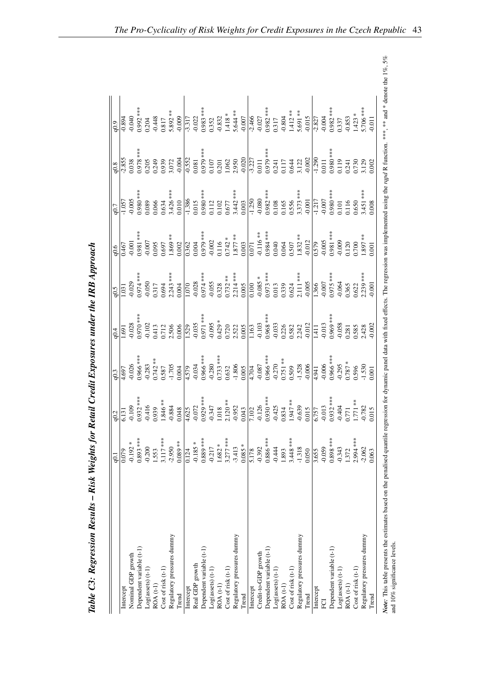|                            | $\overline{6}$ |                       |                                                                                                                                                                                                                                                                                                                                                                                                                |                                                                                  |                                                                                                                                                                                        | 0.7                                                                                                                                                                                                                                                                     | $rac{6}{10.894}$                                                                                                                                                                                                                                                                               |
|----------------------------|----------------|-----------------------|----------------------------------------------------------------------------------------------------------------------------------------------------------------------------------------------------------------------------------------------------------------------------------------------------------------------------------------------------------------------------------------------------------------|----------------------------------------------------------------------------------|----------------------------------------------------------------------------------------------------------------------------------------------------------------------------------------|-------------------------------------------------------------------------------------------------------------------------------------------------------------------------------------------------------------------------------------------------------------------------|------------------------------------------------------------------------------------------------------------------------------------------------------------------------------------------------------------------------------------------------------------------------------------------------|
| Intercept                  | 0.079          | $4.\overline{697}$    | .691                                                                                                                                                                                                                                                                                                                                                                                                           | $\overline{.031}$                                                                |                                                                                                                                                                                        | 1.057                                                                                                                                                                                                                                                                   |                                                                                                                                                                                                                                                                                                |
| Nominal GDP growth         | $-0.192 *$     |                       |                                                                                                                                                                                                                                                                                                                                                                                                                |                                                                                  |                                                                                                                                                                                        | 0.005                                                                                                                                                                                                                                                                   |                                                                                                                                                                                                                                                                                                |
| Dependent variable (t-1)   | 0.893 ***      | $-0.026$<br>0.966 *** | $-0.028$<br>0.970 ***                                                                                                                                                                                                                                                                                                                                                                                          |                                                                                  |                                                                                                                                                                                        |                                                                                                                                                                                                                                                                         |                                                                                                                                                                                                                                                                                                |
| $Log(assets)$ (t-1)        | $-0.200$       |                       |                                                                                                                                                                                                                                                                                                                                                                                                                | $-0.029$<br>$0.974***$<br>$0.050$<br>$0.317$<br>$0.694$<br>$2.243***$<br>$2.243$ |                                                                                                                                                                                        |                                                                                                                                                                                                                                                                         |                                                                                                                                                                                                                                                                                                |
| ROA (t-1)                  | 1.553          |                       |                                                                                                                                                                                                                                                                                                                                                                                                                |                                                                                  |                                                                                                                                                                                        |                                                                                                                                                                                                                                                                         |                                                                                                                                                                                                                                                                                                |
| Cost of risk (t-1)         | 3.117 ***      |                       |                                                                                                                                                                                                                                                                                                                                                                                                                |                                                                                  |                                                                                                                                                                                        |                                                                                                                                                                                                                                                                         |                                                                                                                                                                                                                                                                                                |
| Regulatory pressures dummy | $-2.950$       |                       |                                                                                                                                                                                                                                                                                                                                                                                                                |                                                                                  |                                                                                                                                                                                        |                                                                                                                                                                                                                                                                         |                                                                                                                                                                                                                                                                                                |
| Trend                      | $0.089**$      |                       |                                                                                                                                                                                                                                                                                                                                                                                                                |                                                                                  |                                                                                                                                                                                        |                                                                                                                                                                                                                                                                         |                                                                                                                                                                                                                                                                                                |
| Intercept                  | 0.124          |                       |                                                                                                                                                                                                                                                                                                                                                                                                                |                                                                                  |                                                                                                                                                                                        |                                                                                                                                                                                                                                                                         |                                                                                                                                                                                                                                                                                                |
| Real GDP growth            | $-0.185*$      |                       |                                                                                                                                                                                                                                                                                                                                                                                                                |                                                                                  |                                                                                                                                                                                        |                                                                                                                                                                                                                                                                         |                                                                                                                                                                                                                                                                                                |
| Dependent variable (t-1)   | 0.889 ***      |                       |                                                                                                                                                                                                                                                                                                                                                                                                                |                                                                                  |                                                                                                                                                                                        |                                                                                                                                                                                                                                                                         |                                                                                                                                                                                                                                                                                                |
| $Log(assets)$ $(t-1)$      | $-0.217$       |                       |                                                                                                                                                                                                                                                                                                                                                                                                                |                                                                                  |                                                                                                                                                                                        |                                                                                                                                                                                                                                                                         |                                                                                                                                                                                                                                                                                                |
| ROA (t-1)                  | $1.682 *$      |                       |                                                                                                                                                                                                                                                                                                                                                                                                                |                                                                                  |                                                                                                                                                                                        |                                                                                                                                                                                                                                                                         |                                                                                                                                                                                                                                                                                                |
| Cost of risk (t-1)         | $3.277***$     |                       |                                                                                                                                                                                                                                                                                                                                                                                                                |                                                                                  |                                                                                                                                                                                        |                                                                                                                                                                                                                                                                         |                                                                                                                                                                                                                                                                                                |
| Regulatory pressures dummy | $-3.413$       |                       |                                                                                                                                                                                                                                                                                                                                                                                                                |                                                                                  |                                                                                                                                                                                        |                                                                                                                                                                                                                                                                         |                                                                                                                                                                                                                                                                                                |
| Trend                      | $0.085 *$      |                       |                                                                                                                                                                                                                                                                                                                                                                                                                |                                                                                  |                                                                                                                                                                                        |                                                                                                                                                                                                                                                                         |                                                                                                                                                                                                                                                                                                |
| Intercept                  | 5.178          |                       |                                                                                                                                                                                                                                                                                                                                                                                                                |                                                                                  |                                                                                                                                                                                        |                                                                                                                                                                                                                                                                         |                                                                                                                                                                                                                                                                                                |
| Credit-to-GDP growth       | $-0.392$       |                       |                                                                                                                                                                                                                                                                                                                                                                                                                |                                                                                  |                                                                                                                                                                                        |                                                                                                                                                                                                                                                                         |                                                                                                                                                                                                                                                                                                |
| Dependent variable (t-1)   | $0.886$ ***    |                       |                                                                                                                                                                                                                                                                                                                                                                                                                |                                                                                  |                                                                                                                                                                                        |                                                                                                                                                                                                                                                                         |                                                                                                                                                                                                                                                                                                |
| $Log(assets)$ $(t-1)$      | $-0.444$       |                       |                                                                                                                                                                                                                                                                                                                                                                                                                |                                                                                  |                                                                                                                                                                                        |                                                                                                                                                                                                                                                                         |                                                                                                                                                                                                                                                                                                |
| ROA (t-1)                  | 1.893          |                       |                                                                                                                                                                                                                                                                                                                                                                                                                |                                                                                  |                                                                                                                                                                                        |                                                                                                                                                                                                                                                                         |                                                                                                                                                                                                                                                                                                |
| Cost of risk (t-1)         | 3.448 ***      |                       |                                                                                                                                                                                                                                                                                                                                                                                                                |                                                                                  |                                                                                                                                                                                        |                                                                                                                                                                                                                                                                         |                                                                                                                                                                                                                                                                                                |
| Regulatory pressures dummy | $-1.318$       |                       |                                                                                                                                                                                                                                                                                                                                                                                                                |                                                                                  |                                                                                                                                                                                        |                                                                                                                                                                                                                                                                         |                                                                                                                                                                                                                                                                                                |
| Trend                      | 0.050          |                       | $\begin{array}{l l l} \multicolumn{1}{l}{\text{\bf 11.5.96}} & \multicolumn{1}{l}{\text{\bf 21.5.96}} & \multicolumn{1}{l}{\text{\bf 31.5.96}} & \multicolumn{1}{l}{\text{\bf 42.5.96}} & \multicolumn{1}{l}{\text{\bf 52.5.96}} & \multicolumn{1}{l}{\text{\bf 63.5.96}} & \multicolumn{1}{l}{\text{\bf 73.5.96}} & \multicolumn{1}{l}{\text{\bf 84.5.96}} & \multicolumn{1}{l}{\text{\bf 9.5.96}} & \multic$ |                                                                                  |                                                                                                                                                                                        | $\begin{array}{r} 0.980**\\ 0.089\\ 0.066\\ 0.0634**\\ 0.010\\ 0.015\\ 0.010\\ 0.015\\ 0.010\\ 0.015\\ 0.012\\ 0.000\\ 0.000\\ 0.000\\ 0.000\\ 0.000\\ 0.000\\ 0.000\\ 0.000\\ 0.000\\ 0.000\\ 0.000\\ 0.000\\ 0.000\\ 0.000\\ 0.000\\ 0.000\\ 0.000\\ 0.000\\ 0.000\\$ | $\begin{array}{r} 0.040\\ 0.921\\ 0.817\\ 0.832\\ 4.43\\ 0.600\\ -0.000\\ -0.000\\ -0.000\\ -0.000\\ -0.000\\ -0.000\\ -0.000\\ -0.000\\ -0.000\\ -0.000\\ -0.000\\ -0.000\\ -0.000\\ -0.000\\ -0.000\\ -0.000\\ -0.000\\ -0.000\\ -0.000\\ -0.000\\ -0.000\\ -0.000\\ -0.000\\ -0.000\\ -0.0$ |
| Intercept                  | 3.655          |                       |                                                                                                                                                                                                                                                                                                                                                                                                                |                                                                                  |                                                                                                                                                                                        |                                                                                                                                                                                                                                                                         |                                                                                                                                                                                                                                                                                                |
| ECI                        | $-0.059$       |                       |                                                                                                                                                                                                                                                                                                                                                                                                                |                                                                                  |                                                                                                                                                                                        |                                                                                                                                                                                                                                                                         |                                                                                                                                                                                                                                                                                                |
| Dependent variable (t-1)   | $0.898***$     |                       |                                                                                                                                                                                                                                                                                                                                                                                                                |                                                                                  |                                                                                                                                                                                        |                                                                                                                                                                                                                                                                         |                                                                                                                                                                                                                                                                                                |
| $Log(assets)$ $(t-1)$      | $-0.343$       |                       |                                                                                                                                                                                                                                                                                                                                                                                                                |                                                                                  |                                                                                                                                                                                        |                                                                                                                                                                                                                                                                         |                                                                                                                                                                                                                                                                                                |
| $ROA(t-1)$                 | 1.372          |                       |                                                                                                                                                                                                                                                                                                                                                                                                                |                                                                                  |                                                                                                                                                                                        |                                                                                                                                                                                                                                                                         |                                                                                                                                                                                                                                                                                                |
| Cost of risk (t-1)         | 2.994 ***      |                       |                                                                                                                                                                                                                                                                                                                                                                                                                |                                                                                  | $\begin{array}{r l} \hline 0.579 \ \hline 0.905 \ 0.981 & \text{***} \ 0.981 & \text{***} \ 0.009 \ \hline 0.120 \ 0.120 \ 0.700 \ 0.1897 & \text{**} \ 1.897 & \text{**} \end{array}$ |                                                                                                                                                                                                                                                                         |                                                                                                                                                                                                                                                                                                |
| Regulatory pressures dummy | $-2.062$       |                       |                                                                                                                                                                                                                                                                                                                                                                                                                |                                                                                  |                                                                                                                                                                                        |                                                                                                                                                                                                                                                                         |                                                                                                                                                                                                                                                                                                |
| Trend                      | 0.063          |                       |                                                                                                                                                                                                                                                                                                                                                                                                                | $0.001\,$                                                                        |                                                                                                                                                                                        |                                                                                                                                                                                                                                                                         |                                                                                                                                                                                                                                                                                                |

Table C3: Regression Results - Risk Weights for Retail Credit Exposures under the IRB Approach Table C3: Regression Results – Risk Weights for Retail Credit Exposures under the IRB Approach Note: This table presents the estimates based on the penalised quantile regression for dynamic panel data with fixed effects. The regression was implemented using the rqpd R function. \*\*\*, \*\*\* and \* denote the 1%, 5% and 1 Note: This table presents the estimates based on the penalised operalised quantile regression for dynamic panel data with fixed effects. The regression was implemented using the rapid R function. \*\*\* and \* denote the 1%, and 10% significance levels.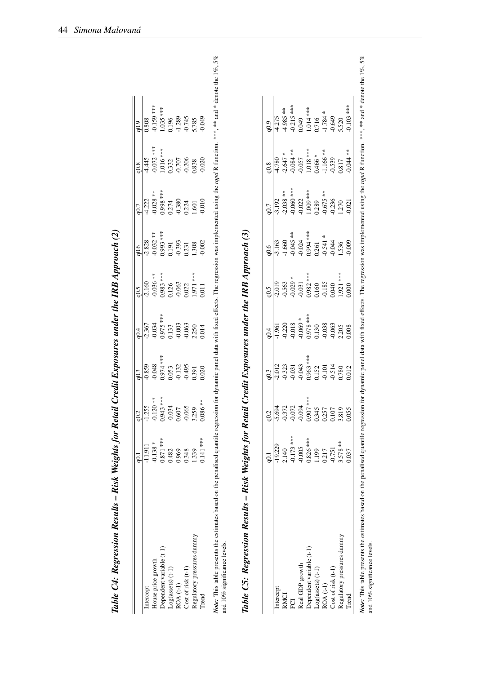| Table C4: Regression Results – Risk Weights for Retail Credit Exposures under the IRB Approach (2)                                                                                                                                                       |                |            |            |             |            |            |           |             |                  |  |
|----------------------------------------------------------------------------------------------------------------------------------------------------------------------------------------------------------------------------------------------------------|----------------|------------|------------|-------------|------------|------------|-----------|-------------|------------------|--|
|                                                                                                                                                                                                                                                          |                | q0.2       | q0.3       | $q$ 0.4     | 6.5        | 6.6        | q0.7      | q0.8        | 6.0              |  |
| Intercept                                                                                                                                                                                                                                                | $-11.91$       | $-1.255$   | $-0.859$   | $-2.367$    | $-2.160$   | $-2.828$   | $-4.222$  | $-4.445$    | 0.808            |  |
| House price growth                                                                                                                                                                                                                                       | $-0.138 *$     | $-0.120**$ | $-0.048$   | $-0.034$    | $-0.036**$ | $-0.032**$ | $0.028**$ | $0.072$ *** | $-0.159$ ***     |  |
| Dependent variable (t-1)                                                                                                                                                                                                                                 | $0.871$ ***    | 0.943 ***  | $0.974***$ | $0.975$ *** | $0.983***$ | 1.993 ***  | 1.998 *** | 1.016 ***   | 1.035 ***        |  |
| Log(assets) (t-1)                                                                                                                                                                                                                                        | 0.482          | $-0.034$   | 0.053      | 0.133       | 0.126      | 0.191      | 0.274     | 1332        | 0.196            |  |
| $ROA(t-1)$                                                                                                                                                                                                                                               | 0.969          | 0.607      | $-0.132$   | $-0.003$    | $-0.063$   | $-0.393$   | $-0.380$  | $-0.707$    | $-1.289$         |  |
| $Cost of risk(t-1)$                                                                                                                                                                                                                                      | 0.348          | $-0.065$   | $-0.495$   | $-0.063$    | 0.022      | 0.231      | 0.224     | 0.206       | 0.745            |  |
| Regulatory pressures dummy                                                                                                                                                                                                                               | 1.339          | 3.259      | 0.391      | 2.250       | 1.971 ***  | 1.308      | 1.601     | 0.838       | 5.785            |  |
| Trend                                                                                                                                                                                                                                                    | $0.141$ ***    | $0.086**$  | 0.020      | 0.014       | 0.011      | 0.002      | $-0.010$  | 0.020       | $6*0.0.$         |  |
| Note: This table presents the estimates based on the penalised quantile regression for dynamic panel data with fixed effects. The regression was implemented using the rapd R function. ***, *** and * denote the 1%, 5%<br>and 10% significance levels. |                |            |            |             |            |            |           |             |                  |  |
| Table C5: Regression Results – Risk Weights for Retail Credit Exposures under the IRB Approach (3)                                                                                                                                                       |                |            |            |             |            |            |           |             |                  |  |
|                                                                                                                                                                                                                                                          | $\overline{6}$ | $q^{0.2}$  | q0.3       | q0.4        | q0.5       | $-0.6$     | q0.7      | q0.8        | 6.0 <sub>p</sub> |  |
| Intercept                                                                                                                                                                                                                                                | $-19.229$      | $-5.694$   | $-2.012$   | $-1.961$    | $-2.019$   | $-3.163$   | $-3.192$  | $-4.780$    | $-4.275$         |  |

|                            | .<br>อู.                                                                  |                                                                                                                   |                                                                                                                                                                                                                                                                                                                                                |                                                                                                                                                    |                                                                                                                         |                                                                                                                                              |                                                                                                                                      |                                                                                                                         |                                                                                                                                                          |
|----------------------------|---------------------------------------------------------------------------|-------------------------------------------------------------------------------------------------------------------|------------------------------------------------------------------------------------------------------------------------------------------------------------------------------------------------------------------------------------------------------------------------------------------------------------------------------------------------|----------------------------------------------------------------------------------------------------------------------------------------------------|-------------------------------------------------------------------------------------------------------------------------|----------------------------------------------------------------------------------------------------------------------------------------------|--------------------------------------------------------------------------------------------------------------------------------------|-------------------------------------------------------------------------------------------------------------------------|----------------------------------------------------------------------------------------------------------------------------------------------------------|
| Intercept                  | $-19.229$                                                                 |                                                                                                                   |                                                                                                                                                                                                                                                                                                                                                |                                                                                                                                                    |                                                                                                                         |                                                                                                                                              |                                                                                                                                      |                                                                                                                         | $rac{q0.9}{4.275}$                                                                                                                                       |
| <b>RMCI</b>                | .140                                                                      |                                                                                                                   |                                                                                                                                                                                                                                                                                                                                                |                                                                                                                                                    |                                                                                                                         |                                                                                                                                              |                                                                                                                                      |                                                                                                                         |                                                                                                                                                          |
| FCI                        | $-0.173$ ***<br>$-0.005$<br>$0.826$ ***<br>$1.199$<br>$0.217$<br>$-0.751$ | $\frac{102}{90}$<br>$-5.694$<br>$-6.372$<br>$-6.072$<br>$-6.094$<br>$-6.094$<br>$-6.094$<br>$-6.0345$<br>$-6.257$ | $\frac{1}{9}$<br>$\frac{1}{12}$<br>$\frac{1}{12}$<br>$\frac{1}{12}$<br>$\frac{1}{12}$<br>$\frac{1}{12}$<br>$\frac{1}{12}$<br>$\frac{1}{12}$<br>$\frac{1}{12}$<br>$\frac{1}{12}$<br>$\frac{1}{12}$<br>$\frac{1}{12}$<br>$\frac{1}{12}$<br>$\frac{1}{12}$<br>$\frac{1}{12}$<br>$\frac{1}{12}$<br>$\frac{1}{12}$<br>$\frac{1}{12}$<br>$\frac{1}{$ | $\frac{1}{901}$<br>$-1.961$<br>$-1.960$<br>$-0.018$<br>$-0.069$ , $-0.050$<br>$-0.038$<br>$-0.038$<br>$-0.038$<br>$-0.038$<br>$-0.038$<br>$-0.006$ | $\frac{q0.5}{q.019}$<br>$-2.019$<br>$-0.563$<br>$-0.029$ ***<br>$-0.031$<br>$-0.185$<br>$-0.185$<br>$-0.040$<br>$0.040$ | $\frac{165}{163}$<br>$-1.660$<br>$-1.660$<br>$-0.045$ **<br>$-1.541$<br>$-0.034$<br>$-0.541$<br>$-0.541$<br>$-0.541$<br>$-0.045$<br>$-0.045$ | $\frac{1}{90}$<br>$-3.192$<br>$-3.038$ ***<br>$-3.038$ ***<br>$-1.006$ ***<br>$-0.022$<br>$-1.009$ ***<br>$-0.675$ **<br>$-0.575$ ** | $\frac{1}{4.780}$<br>$-4.780$<br>$-3.647$ *<br>$-3.647$ *<br>$-1.084$ ***<br>$-1.018$ ***<br>$-1.166$ **<br>$-1.166$ ** | $\begin{array}{l} 4.985**\\ -0.215***\\ -0.049\\ 0.104***\\ -1.784\\ -1.784\\ -1.649\\ -0.649\\ -0.649\\ -0.6101***\\ -0.103***\\ -0.103*** \end{array}$ |
| <b>Real GDP</b> growth     |                                                                           |                                                                                                                   |                                                                                                                                                                                                                                                                                                                                                |                                                                                                                                                    |                                                                                                                         |                                                                                                                                              |                                                                                                                                      |                                                                                                                         |                                                                                                                                                          |
| Dependent variable (t-1)   |                                                                           |                                                                                                                   |                                                                                                                                                                                                                                                                                                                                                |                                                                                                                                                    |                                                                                                                         |                                                                                                                                              |                                                                                                                                      |                                                                                                                         |                                                                                                                                                          |
| Log(assets) (t-1)          |                                                                           |                                                                                                                   |                                                                                                                                                                                                                                                                                                                                                |                                                                                                                                                    |                                                                                                                         |                                                                                                                                              |                                                                                                                                      |                                                                                                                         |                                                                                                                                                          |
| ROA (t-1)                  |                                                                           |                                                                                                                   |                                                                                                                                                                                                                                                                                                                                                |                                                                                                                                                    |                                                                                                                         |                                                                                                                                              |                                                                                                                                      |                                                                                                                         |                                                                                                                                                          |
| Cost of risk (t-1)         |                                                                           |                                                                                                                   |                                                                                                                                                                                                                                                                                                                                                |                                                                                                                                                    |                                                                                                                         |                                                                                                                                              |                                                                                                                                      |                                                                                                                         |                                                                                                                                                          |
| tegulatory pressures dummy | $3.578**$                                                                 | 3.819                                                                                                             |                                                                                                                                                                                                                                                                                                                                                |                                                                                                                                                    |                                                                                                                         |                                                                                                                                              |                                                                                                                                      |                                                                                                                         |                                                                                                                                                          |
| Trend                      | 1.037                                                                     | 055                                                                                                               |                                                                                                                                                                                                                                                                                                                                                |                                                                                                                                                    | 000                                                                                                                     |                                                                                                                                              |                                                                                                                                      | $0.044**$                                                                                                               |                                                                                                                                                          |

Note: This table presents the estimates based on the penalised quantile regression data with fixed effects. The regression was implemented using the rqpd R function. \*\*\*, \*\*\* and \* denote the 1%, 5% and 1%, 5% Note: This table presents the estimates based on the penalised operalised quantile regression for dynamic panel data with fixed effects. The regression was implemented using the rapd R function. \*\*\* and \* denote the 1%, 5 and 10% significance levels.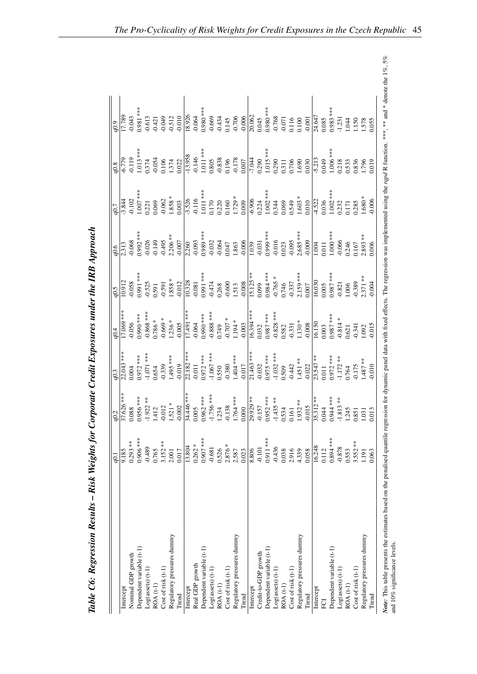|                            | $\overline{9}$ | 10.2                                                                                                                                                                                                                                                                                                                             |                                                                                                                                                                                                                      |                                                                                                                                                                                                                                                                                                                                                                                                                                                                     | 6.5                                                                                                                                                      |                                                                                                                                                                                     | 0.7                                                                                                                                                                                 | 0.8                                                                                                                                                                   |                                                                                                                                                                                                                             |
|----------------------------|----------------|----------------------------------------------------------------------------------------------------------------------------------------------------------------------------------------------------------------------------------------------------------------------------------------------------------------------------------|----------------------------------------------------------------------------------------------------------------------------------------------------------------------------------------------------------------------|---------------------------------------------------------------------------------------------------------------------------------------------------------------------------------------------------------------------------------------------------------------------------------------------------------------------------------------------------------------------------------------------------------------------------------------------------------------------|----------------------------------------------------------------------------------------------------------------------------------------------------------|-------------------------------------------------------------------------------------------------------------------------------------------------------------------------------------|-------------------------------------------------------------------------------------------------------------------------------------------------------------------------------------|-----------------------------------------------------------------------------------------------------------------------------------------------------------------------|-----------------------------------------------------------------------------------------------------------------------------------------------------------------------------------------------------------------------------|
| Intercept                  | 9.185          |                                                                                                                                                                                                                                                                                                                                  |                                                                                                                                                                                                                      |                                                                                                                                                                                                                                                                                                                                                                                                                                                                     |                                                                                                                                                          |                                                                                                                                                                                     |                                                                                                                                                                                     |                                                                                                                                                                       |                                                                                                                                                                                                                             |
| Nominal GDP growth         | $0.293***$     |                                                                                                                                                                                                                                                                                                                                  |                                                                                                                                                                                                                      | 17.069 ***<br>-0.056                                                                                                                                                                                                                                                                                                                                                                                                                                                |                                                                                                                                                          |                                                                                                                                                                                     |                                                                                                                                                                                     |                                                                                                                                                                       |                                                                                                                                                                                                                             |
| Dependent variable (t-1)   | $0.906***$     |                                                                                                                                                                                                                                                                                                                                  |                                                                                                                                                                                                                      |                                                                                                                                                                                                                                                                                                                                                                                                                                                                     |                                                                                                                                                          |                                                                                                                                                                                     |                                                                                                                                                                                     |                                                                                                                                                                       |                                                                                                                                                                                                                             |
| Log(assert)                | $-0.489$       |                                                                                                                                                                                                                                                                                                                                  | $\frac{22.043***}{0.004}$<br>0.972 ***<br>1.071 ***                                                                                                                                                                  | $0.990***$<br>-0.868 ***                                                                                                                                                                                                                                                                                                                                                                                                                                            |                                                                                                                                                          |                                                                                                                                                                                     |                                                                                                                                                                                     |                                                                                                                                                                       |                                                                                                                                                                                                                             |
| ROA (t-1)                  | 0.765          |                                                                                                                                                                                                                                                                                                                                  |                                                                                                                                                                                                                      |                                                                                                                                                                                                                                                                                                                                                                                                                                                                     |                                                                                                                                                          |                                                                                                                                                                                     |                                                                                                                                                                                     |                                                                                                                                                                       |                                                                                                                                                                                                                             |
| $Cost of risk (t-1)$       | $3.152**$      |                                                                                                                                                                                                                                                                                                                                  |                                                                                                                                                                                                                      | $0.786**$<br>-0.669 *                                                                                                                                                                                                                                                                                                                                                                                                                                               |                                                                                                                                                          |                                                                                                                                                                                     |                                                                                                                                                                                     |                                                                                                                                                                       |                                                                                                                                                                                                                             |
| Regulatory pressures dummy | 2.001          |                                                                                                                                                                                                                                                                                                                                  |                                                                                                                                                                                                                      |                                                                                                                                                                                                                                                                                                                                                                                                                                                                     |                                                                                                                                                          |                                                                                                                                                                                     |                                                                                                                                                                                     |                                                                                                                                                                       |                                                                                                                                                                                                                             |
| Trend                      | 0.017          | $\begin{array}{l} \bar{37.626}^{***} \\ 0.088 \\ 0.956^{***} \\ 0.956^{***} \\ -1.922^{**} \\ 1.412 \\ -0.012 \\ -0.012 \\ -0.002 \\ -0.002 \end{array}$                                                                                                                                                                         | $0.654$<br>-0.339<br>1.495 ***                                                                                                                                                                                       | $0.005$                                                                                                                                                                                                                                                                                                                                                                                                                                                             |                                                                                                                                                          | $\begin{array}{r l} 2.313 \ \hline 0.068 \ \hline 0.992 & \text{***} \ 0.3026 \ \hline 0.026 \ \hline 0.026 \ \hline 0.149 \ \hline 0.495 \ \hline 0.2206 & \text{***} \end{array}$ | $\begin{array}{r l} -3.844 \ \hline -9.102 \ 1.007 & \ast \ast \ast \ 1.007 & \ast \ast \ 1.007 & \ast \ 0.221 \ 0.069 \ 0.062 & \ast \ 0.1858 & \ast \ 1.838 & \ast \ \end{array}$ | $\frac{1}{6.779}$<br>$\frac{1}{1.013}$ ***<br>$\frac{1}{1.013}$ ***<br>$\frac{1}{0.374}$ $\frac{1}{0.054}$ $\frac{1}{0.0022}$                                         | $\begin{array}{r l} \hline 17.789 \\ \hline 17.789 \\ 0.043 \\ 0.981 \\ \hline 0.613 \\ \hline 0.613 \\ \hline 0.421 \\ \hline 0.742 \\ \hline 0.012 \\ \hline 0.010 \\ \hline 0.010 \\ \hline 0.010 \\ \hline \end{array}$ |
| Intercept                  | 13.804         |                                                                                                                                                                                                                                                                                                                                  |                                                                                                                                                                                                                      |                                                                                                                                                                                                                                                                                                                                                                                                                                                                     |                                                                                                                                                          |                                                                                                                                                                                     |                                                                                                                                                                                     |                                                                                                                                                                       |                                                                                                                                                                                                                             |
| Real GDP growth            | $0.262 *$      |                                                                                                                                                                                                                                                                                                                                  |                                                                                                                                                                                                                      |                                                                                                                                                                                                                                                                                                                                                                                                                                                                     |                                                                                                                                                          |                                                                                                                                                                                     |                                                                                                                                                                                     |                                                                                                                                                                       |                                                                                                                                                                                                                             |
| Dependent variable (t-1)   | 0.907 ***      |                                                                                                                                                                                                                                                                                                                                  |                                                                                                                                                                                                                      |                                                                                                                                                                                                                                                                                                                                                                                                                                                                     |                                                                                                                                                          |                                                                                                                                                                                     |                                                                                                                                                                                     |                                                                                                                                                                       |                                                                                                                                                                                                                             |
| $Log(assets)$ $(t-1)$      | $-0.681$       |                                                                                                                                                                                                                                                                                                                                  |                                                                                                                                                                                                                      |                                                                                                                                                                                                                                                                                                                                                                                                                                                                     |                                                                                                                                                          |                                                                                                                                                                                     |                                                                                                                                                                                     |                                                                                                                                                                       |                                                                                                                                                                                                                             |
| $ROA(t-1)$                 | 0.526          |                                                                                                                                                                                                                                                                                                                                  |                                                                                                                                                                                                                      |                                                                                                                                                                                                                                                                                                                                                                                                                                                                     |                                                                                                                                                          |                                                                                                                                                                                     |                                                                                                                                                                                     |                                                                                                                                                                       |                                                                                                                                                                                                                             |
| $Cost of risk (t-1)$       | $2.876 *$      |                                                                                                                                                                                                                                                                                                                                  |                                                                                                                                                                                                                      |                                                                                                                                                                                                                                                                                                                                                                                                                                                                     |                                                                                                                                                          |                                                                                                                                                                                     |                                                                                                                                                                                     |                                                                                                                                                                       |                                                                                                                                                                                                                             |
| Regulatory pressures dummy | 2.587          |                                                                                                                                                                                                                                                                                                                                  |                                                                                                                                                                                                                      |                                                                                                                                                                                                                                                                                                                                                                                                                                                                     |                                                                                                                                                          |                                                                                                                                                                                     |                                                                                                                                                                                     |                                                                                                                                                                       |                                                                                                                                                                                                                             |
| Trend                      | 0.023          | $\begin{array}{l} \mathbf{34.446} \stackrel{***}{\scriptstyle{{\text{***}}}} \\\ 0.005 \\ \mathbf{0.962} \stackrel{***}{\scriptstyle{{\text{***}}}} \\\ 1.756 \stackrel{***}{\scriptstyle{{\text{***}}}} \\\ 1.234 \\ \mathbf{1.234} \\ \mathbf{0.138} \\ \mathbf{1.764} \stackrel{***}{\scriptstyle{{\text{***}}}} \end{array}$ | $72.182$<br>$-9.01$<br>$-1.067$<br>$-1.067$<br>$-1.067$<br>$-1.067$<br>$-1.067$<br>$-1.067$<br>$-1.067$<br>$-1.067$<br>$-1.0746$<br>$-1.037$<br>$-1.032$<br>$-1.032$<br>$-1.032$<br>$-1.032$<br>$-1.032$<br>$-1.032$ | $\begin{array}{r} 17.491 \overline{\phantom{0}}\phantom{0}34\overline{\phantom{0}}\phantom{0}48\overline{\phantom{0}}\phantom{0}49\overline{\phantom{0}}\phantom{0}48\overline{\phantom{0}}\phantom{0}48\overline{\phantom{0}}\phantom{0}48\overline{\phantom{0}}\phantom{0}48\overline{\phantom{0}}\phantom{0}48\overline{\phantom{0}}\phantom{0}48\overline{\phantom{0}}\phantom{0}48\overline{\phantom{0}}\phantom{0}48\overline{\phantom{0}}\phantom{0}48\over$ |                                                                                                                                                          |                                                                                                                                                                                     |                                                                                                                                                                                     | $-13.958$<br>$-0.146$<br>$+1.01$ $$<br>$-0.805$<br>$-0.838$<br>$-0.178$<br>$-0.178$<br>$-0.178$<br>$-0.0007$<br>$-0.0007$<br>$-0.0007$<br>$-0.0000000$<br>$-0.000000$ |                                                                                                                                                                                                                             |
| Intercept                  | 8.806          |                                                                                                                                                                                                                                                                                                                                  |                                                                                                                                                                                                                      |                                                                                                                                                                                                                                                                                                                                                                                                                                                                     |                                                                                                                                                          |                                                                                                                                                                                     |                                                                                                                                                                                     |                                                                                                                                                                       |                                                                                                                                                                                                                             |
| Credit-to-GDP growth       | $-0.101$       |                                                                                                                                                                                                                                                                                                                                  |                                                                                                                                                                                                                      |                                                                                                                                                                                                                                                                                                                                                                                                                                                                     |                                                                                                                                                          |                                                                                                                                                                                     |                                                                                                                                                                                     |                                                                                                                                                                       |                                                                                                                                                                                                                             |
| Dependent variable (t-1)   | 0.911 ***      |                                                                                                                                                                                                                                                                                                                                  |                                                                                                                                                                                                                      |                                                                                                                                                                                                                                                                                                                                                                                                                                                                     |                                                                                                                                                          |                                                                                                                                                                                     |                                                                                                                                                                                     |                                                                                                                                                                       |                                                                                                                                                                                                                             |
| Log(assert)                | $-0.436$       |                                                                                                                                                                                                                                                                                                                                  |                                                                                                                                                                                                                      |                                                                                                                                                                                                                                                                                                                                                                                                                                                                     |                                                                                                                                                          |                                                                                                                                                                                     |                                                                                                                                                                                     |                                                                                                                                                                       |                                                                                                                                                                                                                             |
| $ROA(t-1)$                 | 0.038          |                                                                                                                                                                                                                                                                                                                                  |                                                                                                                                                                                                                      |                                                                                                                                                                                                                                                                                                                                                                                                                                                                     |                                                                                                                                                          |                                                                                                                                                                                     |                                                                                                                                                                                     |                                                                                                                                                                       |                                                                                                                                                                                                                             |
| $Cost of risk (t-1)$       | 2.916          |                                                                                                                                                                                                                                                                                                                                  |                                                                                                                                                                                                                      |                                                                                                                                                                                                                                                                                                                                                                                                                                                                     |                                                                                                                                                          |                                                                                                                                                                                     |                                                                                                                                                                                     |                                                                                                                                                                       |                                                                                                                                                                                                                             |
| Regulatory pressures dummy | 4.339          |                                                                                                                                                                                                                                                                                                                                  |                                                                                                                                                                                                                      |                                                                                                                                                                                                                                                                                                                                                                                                                                                                     |                                                                                                                                                          |                                                                                                                                                                                     |                                                                                                                                                                                     |                                                                                                                                                                       |                                                                                                                                                                                                                             |
| Trend                      | 0.058          |                                                                                                                                                                                                                                                                                                                                  |                                                                                                                                                                                                                      |                                                                                                                                                                                                                                                                                                                                                                                                                                                                     |                                                                                                                                                          |                                                                                                                                                                                     |                                                                                                                                                                                     |                                                                                                                                                                       |                                                                                                                                                                                                                             |
| Intercept                  | 16.248         |                                                                                                                                                                                                                                                                                                                                  |                                                                                                                                                                                                                      |                                                                                                                                                                                                                                                                                                                                                                                                                                                                     |                                                                                                                                                          |                                                                                                                                                                                     |                                                                                                                                                                                     |                                                                                                                                                                       |                                                                                                                                                                                                                             |
| ECI                        | 0.112          |                                                                                                                                                                                                                                                                                                                                  |                                                                                                                                                                                                                      |                                                                                                                                                                                                                                                                                                                                                                                                                                                                     |                                                                                                                                                          |                                                                                                                                                                                     |                                                                                                                                                                                     |                                                                                                                                                                       |                                                                                                                                                                                                                             |
| Dependent variable (t-1)   | 0.894 ***      |                                                                                                                                                                                                                                                                                                                                  |                                                                                                                                                                                                                      |                                                                                                                                                                                                                                                                                                                                                                                                                                                                     |                                                                                                                                                          |                                                                                                                                                                                     |                                                                                                                                                                                     |                                                                                                                                                                       |                                                                                                                                                                                                                             |
| Log(assert)                | $-0.878$       |                                                                                                                                                                                                                                                                                                                                  |                                                                                                                                                                                                                      |                                                                                                                                                                                                                                                                                                                                                                                                                                                                     |                                                                                                                                                          |                                                                                                                                                                                     |                                                                                                                                                                                     |                                                                                                                                                                       |                                                                                                                                                                                                                             |
| $ROA(t-1)$                 | 0.553          |                                                                                                                                                                                                                                                                                                                                  |                                                                                                                                                                                                                      |                                                                                                                                                                                                                                                                                                                                                                                                                                                                     |                                                                                                                                                          |                                                                                                                                                                                     |                                                                                                                                                                                     |                                                                                                                                                                       |                                                                                                                                                                                                                             |
| Cost of risk (t-1)         | $3.552***$     | 35.312 ***<br>0.044 ****<br>1.813 **<br>1.245<br>1.031                                                                                                                                                                                                                                                                           | $\begin{array}{r} \n 23.547** \\  \hline\n 0.011 \\  0.972** \\  -1.172* \\  -1.173 \\  -0.764 \\  0.764 \\  1.487** \\  1.487** \\  0.010\n \end{array}$                                                            | $\begin{array}{r} 16.150 \\ 0.003 \\ 0.987 \\ -0.814 \\ 0.621 \\ 0.621 \\ -0.341 \\ 1.092 \\ 1.092 \\ -0.015 \\ \end{array}$                                                                                                                                                                                                                                                                                                                                        | $\begin{array}{r l} \hline 16.030 \\ 0.005 \\ 0.987 {\;} {**} \\ -0.821 \\ 1.006 \\ 1.006 \\ 0.389 \\ 2.371 { \;} \\ 2.371 \\ 0.04 \\\hline \end{array}$ |                                                                                                                                                                                     |                                                                                                                                                                                     | $\frac{-5,213}{0.049}$<br>1.006 ***<br>1.006 ***<br>0.318<br>0.0.35<br>1.796                                                                                          |                                                                                                                                                                                                                             |
| Regulatory pressures dummy | 1.191          |                                                                                                                                                                                                                                                                                                                                  |                                                                                                                                                                                                                      |                                                                                                                                                                                                                                                                                                                                                                                                                                                                     |                                                                                                                                                          |                                                                                                                                                                                     |                                                                                                                                                                                     |                                                                                                                                                                       | 578<br>850.                                                                                                                                                                                                                 |
| Trend                      | 0.063          | 0.013                                                                                                                                                                                                                                                                                                                            |                                                                                                                                                                                                                      |                                                                                                                                                                                                                                                                                                                                                                                                                                                                     |                                                                                                                                                          |                                                                                                                                                                                     |                                                                                                                                                                                     |                                                                                                                                                                       |                                                                                                                                                                                                                             |

Table C6: Regression Results - Risk Weights for Corporate Credit Exposures under the IRB Approach Table C6: Regression Results – Risk Weights for Corporate Credit Exposures under the IRB Approach Note: This table presents the estimates based on the penalised quantile regression for dynamic panel data with fixed effects. The regression was implemented using the rqpd R function. \*\*\*, \*\*\* and \* denote the 1%, 5% and 1 Note: This table presents the estimates based on the penalised operalised quantile regression for dynamic panel data with fixed effects. The regression was implemented using the rapid R function. \*\*\* and \* denote the 1%, and 10% significance levels.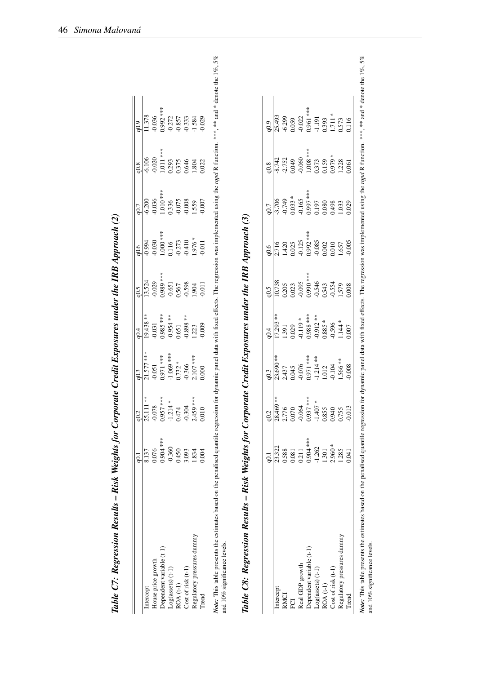| Table C7: Regression Results – Risk Weights for Corporate Credit Exposures under the IRB Approach (2)                                                                                                                                                    |           |                   |              |            |           |           |                      |           |                  |  |
|----------------------------------------------------------------------------------------------------------------------------------------------------------------------------------------------------------------------------------------------------------|-----------|-------------------|--------------|------------|-----------|-----------|----------------------|-----------|------------------|--|
|                                                                                                                                                                                                                                                          | $\Xi$     | q0.2              | q0.3         | 64         | 6.5       | 9.06      | q0.7                 | q0.8      | 6.0 <sub>p</sub> |  |
| Intercept                                                                                                                                                                                                                                                | 8.137     | 25.111 **         | 21.577 ***   | $19.438**$ | 13.524    | $-0.994$  | $-6.200$             | $-6.106$  | 1.378            |  |
| House price growth                                                                                                                                                                                                                                       | 0.076     | $-0.078$          | $-0.051$     | $-0.031$   | 0.029     | $-0.030$  | 0.036                | $-0.020$  | 0.036            |  |
| Dependent variable (t-1)                                                                                                                                                                                                                                 | 0.904 *** | $57*7*$<br>0.95   | $0.971$ ***  | $0.985***$ | 1.989 *** | 1.000 *** | $1.010***$           | 1.011 *** | 1.992 ***        |  |
| Log(assets) (t-1)                                                                                                                                                                                                                                        | $-0.360$  | $-1.214*$         | $-1.069$ *** | $-0.954**$ | $-0.651$  | 0.116     | 1.336                | 0.293     | 0.272            |  |
| $ROA(t-1)$                                                                                                                                                                                                                                               | 0.450     | 0.47              | $0.732 *$    | 0.651      | 0.567     | $-0.273$  |                      | 0.375     | 0.857            |  |
| Cost of risk (t-1)                                                                                                                                                                                                                                       | 3.093     | $-0.304$          | $-0.366$     | $0.898**$  | 0.598     | $-0.410$  | $-0.075$<br>$-0.008$ | 0.646     | 0.333            |  |
| Regulatory pressures dummy                                                                                                                                                                                                                               | 1.834     | 2.459 ***         | 2.107 ***    | 1.223      | 1.904     | $*976.$   | 1.559                | 1.804     | 1.584            |  |
| Trend                                                                                                                                                                                                                                                    | 0.004     | $\overline{0.01}$ | 0.000        | 0.009      | 0.011     | $-0.011$  | 0.007                | 0.022     | 0.029            |  |
| Note: This table presents the estimates based on the penalised quantile regression for dynamic panel data with fixed effects. The regression was implemented using the rapd R function. ***, *** and * denote the 1%, 5%<br>and 10% significance levels. |           |                   |              |            |           |           |                      |           |                  |  |
| Table C8: Regression Results – Risk Weights for Corporate Credit Exposures under the IRB Approach (3)                                                                                                                                                    |           |                   |              |            |           |           |                      |           |                  |  |

| $\frac{1}{2}$            |
|--------------------------|
|                          |
|                          |
|                          |
|                          |
|                          |
|                          |
|                          |
|                          |
|                          |
|                          |
|                          |
|                          |
|                          |
|                          |
|                          |
|                          |
|                          |
|                          |
|                          |
| ļ                        |
|                          |
|                          |
|                          |
|                          |
|                          |
|                          |
|                          |
|                          |
|                          |
|                          |
|                          |
|                          |
|                          |
|                          |
|                          |
|                          |
|                          |
|                          |
|                          |
|                          |
|                          |
|                          |
|                          |
|                          |
|                          |
|                          |
|                          |
| $\overline{1}$           |
|                          |
|                          |
|                          |
| $\overline{\phantom{a}}$ |
|                          |
| ļ                        |
|                          |
|                          |
|                          |
|                          |
|                          |
| ľ                        |
|                          |
|                          |
|                          |
|                          |
|                          |
|                          |
|                          |
|                          |
|                          |
|                          |
|                          |
| ľ                        |
|                          |
| í                        |
|                          |
| 1                        |
|                          |
|                          |
| ļ<br>ľ                   |

|                            |                                                                    | q0.2                                  | q0.3                                                                                                   | q0.4                                          | $-0.5$                                                                              | q0.6                                                                              | q0.7                                                     | q0.8                                                                                                                                | $\frac{1}{9}$                                                                                                    |
|----------------------------|--------------------------------------------------------------------|---------------------------------------|--------------------------------------------------------------------------------------------------------|-----------------------------------------------|-------------------------------------------------------------------------------------|-----------------------------------------------------------------------------------|----------------------------------------------------------|-------------------------------------------------------------------------------------------------------------------------------------|------------------------------------------------------------------------------------------------------------------|
| ntercept                   | 23.322                                                             | 28.469 **                             | 23.690 **                                                                                              | 17.293 **                                     | 10.738                                                                              | 2.716                                                                             | $-3.706$                                                 |                                                                                                                                     |                                                                                                                  |
| <b>RMCI</b>                |                                                                    |                                       |                                                                                                        | 1.391                                         |                                                                                     |                                                                                   | $-0.749$                                                 |                                                                                                                                     |                                                                                                                  |
| ECI                        |                                                                    | 2.776<br>0.070                        |                                                                                                        | 0.029                                         |                                                                                     |                                                                                   | $0.033 *$                                                |                                                                                                                                     |                                                                                                                  |
| Real GDP growth            | $\begin{array}{c} 0.588 \\ 0.081 \\ 0.211 \\ 0.904*** \end{array}$ | $-0.064$                              | $2.437$<br>$0.045$<br>$0.076$<br>$0.071$ ***<br>$1.214$ **<br>$1.214$<br>$0.012$<br>$0.104$<br>$0.104$ | $-0.119*$                                     | 0.205<br>0.023<br>0.095<br>0.990 <sup>***</sup><br>0.545<br>0.554<br>1.579<br>1.579 | 1.420<br>0.025<br>0.125<br>0.992 ***<br>0.002<br>0.000<br>0.000<br>0.000<br>1.657 |                                                          | $\begin{array}{c c} \hline 1,742 \\ -2.752 \\ -0.049 \\ 0.049 \\ -0.060 \\ -0.08 \\ -0.373 \\ -0.59 \\ -0.59 \\ \hline \end{array}$ |                                                                                                                  |
| Dependent variable (t-1)   |                                                                    | $0.937***$                            |                                                                                                        |                                               |                                                                                     |                                                                                   |                                                          |                                                                                                                                     |                                                                                                                  |
| $Log(assets)$ $(t-1)$      |                                                                    |                                       |                                                                                                        |                                               |                                                                                     |                                                                                   |                                                          |                                                                                                                                     |                                                                                                                  |
| $ROA(t-1)$                 | $-1.262$<br>1.301<br>2.960*                                        | $-1.407$ *<br>0.855<br>0.940<br>0.755 |                                                                                                        | $0.988$ ****<br>-0.912 **<br>0.885 *<br>0.596 |                                                                                     |                                                                                   | $-0.165$<br>$0.997$ ***<br>$0.197$<br>$0.080$<br>$0.498$ |                                                                                                                                     |                                                                                                                  |
| Cost of risk (t-1)         |                                                                    |                                       |                                                                                                        |                                               |                                                                                     |                                                                                   |                                                          |                                                                                                                                     |                                                                                                                  |
| Regulatory pressures dummy | 1.285                                                              |                                       |                                                                                                        | $1.144 *$                                     |                                                                                     |                                                                                   | 1.033                                                    | 1.228                                                                                                                               | 25.493<br>$-6.299$<br>$-6.059$<br>$-0.052$<br>$-1.191$<br>$-1.191$<br>$-1.71$<br>$-1.71$<br>$-1.573$<br>$-0.573$ |
| Trend                      | 0.041                                                              | $-0.013$                              | 0.008                                                                                                  | 1.007                                         | 1.008                                                                               | 0.005                                                                             | 0.029                                                    |                                                                                                                                     |                                                                                                                  |

*Note*: This table presents the estimates based on the penalised quantile regression for dynamic panel data with fixed effects. The regression was implemented using the *rqpd* R function. \*\*\*, \*\*\* and \* denote the 1%, 5% a Note: This table presents the estimates based on the penalised operalised quantile regression for dynamic panel data with fixed effects. The regression was implemented using the rapd R function. \*\*\* and \* denote the 1%, 5 and 10% significance levels.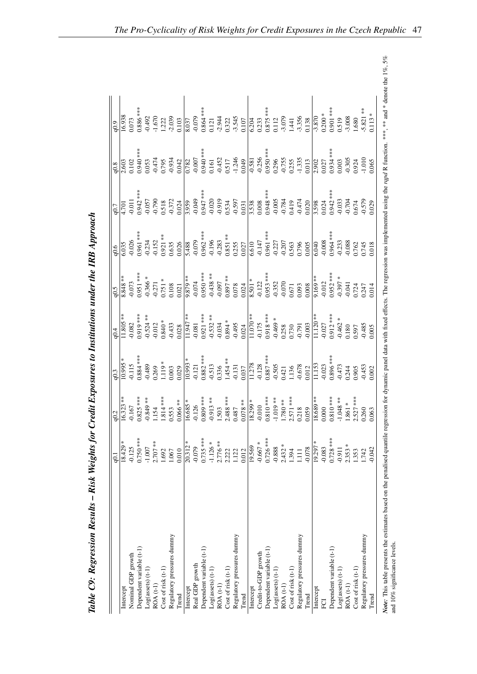|                            | ر<br>ခ      |                                                                                                                         | 0.3                                                                                                                                                                                                                                                                                                                                     |                                                                                                                                                                                                                                                                                                                                                                                                   |                                                                                                                             |                                                                                                                                                                                                                                                                                        |                        | 0.8 |                                                                                                                                                                                                        |
|----------------------------|-------------|-------------------------------------------------------------------------------------------------------------------------|-----------------------------------------------------------------------------------------------------------------------------------------------------------------------------------------------------------------------------------------------------------------------------------------------------------------------------------------|---------------------------------------------------------------------------------------------------------------------------------------------------------------------------------------------------------------------------------------------------------------------------------------------------------------------------------------------------------------------------------------------------|-----------------------------------------------------------------------------------------------------------------------------|----------------------------------------------------------------------------------------------------------------------------------------------------------------------------------------------------------------------------------------------------------------------------------------|------------------------|-----|--------------------------------------------------------------------------------------------------------------------------------------------------------------------------------------------------------|
| Intercept                  | $18.429 *$  | $16.323**$                                                                                                              | $*6600$                                                                                                                                                                                                                                                                                                                                 | $1.805**$                                                                                                                                                                                                                                                                                                                                                                                         | 1.848 **                                                                                                                    | .035                                                                                                                                                                                                                                                                                   | 10/1                   |     |                                                                                                                                                                                                        |
| Nominal GDP growth         | $-0.125$    | 0.167                                                                                                                   | 0.115                                                                                                                                                                                                                                                                                                                                   | 0.082                                                                                                                                                                                                                                                                                                                                                                                             |                                                                                                                             |                                                                                                                                                                                                                                                                                        |                        |     |                                                                                                                                                                                                        |
| Dependent variable (t-1)   | $0.750$ *** | $0.825$ ***                                                                                                             | $0.884$ ***                                                                                                                                                                                                                                                                                                                             | $0.919***$                                                                                                                                                                                                                                                                                                                                                                                        |                                                                                                                             |                                                                                                                                                                                                                                                                                        | $-0.011$<br>$0.942***$ |     | $\frac{16.938}{0.073}$<br>0.073<br>0.886 ***                                                                                                                                                           |
| Log(assets) (t-1)          | $-1.007$    |                                                                                                                         |                                                                                                                                                                                                                                                                                                                                         |                                                                                                                                                                                                                                                                                                                                                                                                   |                                                                                                                             |                                                                                                                                                                                                                                                                                        |                        |     |                                                                                                                                                                                                        |
| ROA (t-1)                  | $2.707***$  |                                                                                                                         |                                                                                                                                                                                                                                                                                                                                         |                                                                                                                                                                                                                                                                                                                                                                                                   |                                                                                                                             |                                                                                                                                                                                                                                                                                        |                        |     |                                                                                                                                                                                                        |
| Cost of risk (t-1)         | 1.692       |                                                                                                                         |                                                                                                                                                                                                                                                                                                                                         |                                                                                                                                                                                                                                                                                                                                                                                                   |                                                                                                                             |                                                                                                                                                                                                                                                                                        |                        |     |                                                                                                                                                                                                        |
| Regulatory pressures dummy | 1.067       |                                                                                                                         |                                                                                                                                                                                                                                                                                                                                         |                                                                                                                                                                                                                                                                                                                                                                                                   |                                                                                                                             |                                                                                                                                                                                                                                                                                        |                        |     |                                                                                                                                                                                                        |
| Trend                      | 0.010       | $-0.849$ **<br>1.154<br>1.814***<br>0.553<br>0.066**                                                                    | $0.489$<br>$0.269$<br>$1.119$ *<br>$0.003$<br>$0.029$                                                                                                                                                                                                                                                                                   | $-0.524**$<br>$-0.012$<br>$0.840*$<br>$-0.433$<br>$0.028$                                                                                                                                                                                                                                                                                                                                         | $\begin{array}{l} -0.073 \\ 0.951 { \;***\;} \\ -0.366{*} \\ -0.271 \\ 0.751{*} \\ 0.108 \\ 0.0021 \\ 0.021 \\ \end{array}$ | $\begin{array}{r} 0.026 \\ 0.961** \\ 0.234 \\ 0.051** \\ 0.053 \\ 0.055 \\ 0.035 \\ 0.035 \\ 0.036 \\ 0.037\\ 0.037\\ 0.0381** \\ 0.037\\ 0.03831** \\ 0.037\\ 0.037\\ 0.037\\ 0.037\\ 0.0381** \\ 0.037\\ 0.037\\ 0.037\\ 0.0381** \\ 0.037\\ 0.030\\ 0.030\\ 0.030\\ 0.030\\ 0.030$ |                        |     | $-0.492\n-1.670\n-1.670\n-1.670\n-1.670\n-1.670\n-1.670\n-1.670\n-1.670\n-1.670\n-1.670\n-1.670\n-1.670\n-1.670\n-1.670\n-1.670\n-1.670\n-1.670\n-1.670\n-1.670\n-1.670\n-1.670\n-1.670\n-1.670\n-1.6$ |
| Intercept                  | $20.312*$   |                                                                                                                         |                                                                                                                                                                                                                                                                                                                                         |                                                                                                                                                                                                                                                                                                                                                                                                   |                                                                                                                             |                                                                                                                                                                                                                                                                                        |                        |     |                                                                                                                                                                                                        |
| Real GDP growth            | $-0.079$    | $\frac{16.685}{-0.126}$                                                                                                 |                                                                                                                                                                                                                                                                                                                                         |                                                                                                                                                                                                                                                                                                                                                                                                   |                                                                                                                             |                                                                                                                                                                                                                                                                                        |                        |     |                                                                                                                                                                                                        |
| Dependent variable (t-1)   | $0.735***$  |                                                                                                                         |                                                                                                                                                                                                                                                                                                                                         |                                                                                                                                                                                                                                                                                                                                                                                                   |                                                                                                                             |                                                                                                                                                                                                                                                                                        |                        |     |                                                                                                                                                                                                        |
| $Log(assets)$ (t-1)        | $-1.126*$   |                                                                                                                         |                                                                                                                                                                                                                                                                                                                                         |                                                                                                                                                                                                                                                                                                                                                                                                   |                                                                                                                             |                                                                                                                                                                                                                                                                                        |                        |     |                                                                                                                                                                                                        |
| ROA (t-1)                  | 2.776 **    |                                                                                                                         |                                                                                                                                                                                                                                                                                                                                         |                                                                                                                                                                                                                                                                                                                                                                                                   |                                                                                                                             |                                                                                                                                                                                                                                                                                        |                        |     |                                                                                                                                                                                                        |
| Cost of risk (t-1)         | 2.222       |                                                                                                                         |                                                                                                                                                                                                                                                                                                                                         |                                                                                                                                                                                                                                                                                                                                                                                                   |                                                                                                                             |                                                                                                                                                                                                                                                                                        |                        |     |                                                                                                                                                                                                        |
| Regulatory pressures dummy | 1.122       | $0.809$ ***<br>-0.913 **<br>1.503<br>1.508 ***<br>0.487<br>0.078 **                                                     |                                                                                                                                                                                                                                                                                                                                         |                                                                                                                                                                                                                                                                                                                                                                                                   |                                                                                                                             |                                                                                                                                                                                                                                                                                        |                        |     |                                                                                                                                                                                                        |
| Trend                      | 0.012       |                                                                                                                         |                                                                                                                                                                                                                                                                                                                                         |                                                                                                                                                                                                                                                                                                                                                                                                   |                                                                                                                             |                                                                                                                                                                                                                                                                                        |                        |     |                                                                                                                                                                                                        |
| Intercept                  | 19.569      |                                                                                                                         |                                                                                                                                                                                                                                                                                                                                         |                                                                                                                                                                                                                                                                                                                                                                                                   |                                                                                                                             |                                                                                                                                                                                                                                                                                        |                        |     |                                                                                                                                                                                                        |
| Credit-to-GDP growth       | $-0.667 *$  |                                                                                                                         |                                                                                                                                                                                                                                                                                                                                         |                                                                                                                                                                                                                                                                                                                                                                                                   |                                                                                                                             |                                                                                                                                                                                                                                                                                        |                        |     |                                                                                                                                                                                                        |
| Dependent variable (t-1)   | $0.726$ *** |                                                                                                                         |                                                                                                                                                                                                                                                                                                                                         |                                                                                                                                                                                                                                                                                                                                                                                                   |                                                                                                                             |                                                                                                                                                                                                                                                                                        |                        |     |                                                                                                                                                                                                        |
| $Log(assets)$ (t-1)        | $-0.888$    |                                                                                                                         |                                                                                                                                                                                                                                                                                                                                         |                                                                                                                                                                                                                                                                                                                                                                                                   |                                                                                                                             |                                                                                                                                                                                                                                                                                        |                        |     |                                                                                                                                                                                                        |
| $ROA(t-1)$                 | $2.432 *$   |                                                                                                                         |                                                                                                                                                                                                                                                                                                                                         |                                                                                                                                                                                                                                                                                                                                                                                                   |                                                                                                                             |                                                                                                                                                                                                                                                                                        |                        |     |                                                                                                                                                                                                        |
| Cost of risk (t-1)         | 1.394       |                                                                                                                         |                                                                                                                                                                                                                                                                                                                                         |                                                                                                                                                                                                                                                                                                                                                                                                   |                                                                                                                             |                                                                                                                                                                                                                                                                                        |                        |     |                                                                                                                                                                                                        |
| Regulatory pressures dummy | $\Xi$       | $\begin{array}{l} \n \hline\n 18.299 *\n -0.010\n 0.810 ***\n -1.019 **\n 1.780 **\n 2.571 ***\n 0.218\n 0.059\n 0.059$ |                                                                                                                                                                                                                                                                                                                                         |                                                                                                                                                                                                                                                                                                                                                                                                   |                                                                                                                             |                                                                                                                                                                                                                                                                                        |                        |     |                                                                                                                                                                                                        |
| Trend                      | $-0.078$    |                                                                                                                         | $\begin{array}{r} \n 10.993 \ast \atop -0.121 \atop -0.512 \atop -0.513 \atop -0.513 \atop -0.121 \atop -0.121 \atop -0.121 \atop -0.121 \atop -0.121 \atop -0.121 \atop -0.121 \atop -0.121 \atop -0.121 \atop -0.121 \atop -0.122 \atop -0.123 \atop -0.123 \atop -0.123 \atop -0.123 \atop -0.123 \atop -0.123 \atop -0.123 \atop -$ | $\begin{array}{l} \mbox{\tt\#} \texttt{347} \texttt{\#} \texttt{347} \texttt{348} \\ \mbox{\tt\#} \texttt{48} \texttt{35} \texttt{49} \texttt{48} \\ \mbox{\tt\#} \texttt{639} \texttt{49} \texttt{48} \texttt{59} \\ \mbox{\tt\#} \texttt{78} \texttt{639} \texttt{78} \texttt{66} \texttt{78} \texttt{87} \texttt{88} \\ \mbox{\tt\#} \texttt{85} \texttt{76} \texttt{87} \texttt{78} \texttt{$ |                                                                                                                             |                                                                                                                                                                                                                                                                                        |                        |     |                                                                                                                                                                                                        |
| Intercept                  | 19.297 *    |                                                                                                                         |                                                                                                                                                                                                                                                                                                                                         |                                                                                                                                                                                                                                                                                                                                                                                                   |                                                                                                                             |                                                                                                                                                                                                                                                                                        |                        |     |                                                                                                                                                                                                        |
| ECI                        | $-0.083$    |                                                                                                                         |                                                                                                                                                                                                                                                                                                                                         |                                                                                                                                                                                                                                                                                                                                                                                                   |                                                                                                                             |                                                                                                                                                                                                                                                                                        |                        |     |                                                                                                                                                                                                        |
| Dependent variable (t-1)   | $0.728$ *** |                                                                                                                         |                                                                                                                                                                                                                                                                                                                                         |                                                                                                                                                                                                                                                                                                                                                                                                   |                                                                                                                             |                                                                                                                                                                                                                                                                                        |                        |     |                                                                                                                                                                                                        |
| Log(assert)                | $-0.911$    |                                                                                                                         |                                                                                                                                                                                                                                                                                                                                         |                                                                                                                                                                                                                                                                                                                                                                                                   |                                                                                                                             |                                                                                                                                                                                                                                                                                        |                        |     |                                                                                                                                                                                                        |
| $ROA(t-1)$                 | $2.353 *$   | $\frac{18.689**}{10.000}$<br>0.000<br>0.810 ***<br>-1.048 **                                                            |                                                                                                                                                                                                                                                                                                                                         |                                                                                                                                                                                                                                                                                                                                                                                                   |                                                                                                                             |                                                                                                                                                                                                                                                                                        |                        |     | $\begin{array}{c c}\n-3.870 \\ \hline\n0.200 * \\ 0.901 ** \\ 0.519 \\ -3.008 \\ \hline\n1.680\n\end{array}$                                                                                           |
| Cost of risk (t-1)         | 1.353       | $2.527$ ***                                                                                                             |                                                                                                                                                                                                                                                                                                                                         |                                                                                                                                                                                                                                                                                                                                                                                                   |                                                                                                                             |                                                                                                                                                                                                                                                                                        |                        |     |                                                                                                                                                                                                        |
| Regulatory pressures dummy | 1.742       | 0.260                                                                                                                   |                                                                                                                                                                                                                                                                                                                                         | 1,597<br>0.485<br>1,005                                                                                                                                                                                                                                                                                                                                                                           |                                                                                                                             |                                                                                                                                                                                                                                                                                        |                        |     | $5.821**$                                                                                                                                                                                              |
| Trend                      | 0.042       |                                                                                                                         |                                                                                                                                                                                                                                                                                                                                         |                                                                                                                                                                                                                                                                                                                                                                                                   |                                                                                                                             |                                                                                                                                                                                                                                                                                        |                        |     | $0.113 *$                                                                                                                                                                                              |

Table C9: Regression Results - Risk Weights for Credit Exposures to Institutions under the IRB Approach Table C9: Regression Results – Risk Weights for Credit Exposures to Institutions under the IRB Approach Note: This table presents the estimates based on the penalised quantile regression for dynamic panel data with fixed effects. The regression was implemented using the rapd R function. \*\*\*, \*\*\* and \* denote the 1%, 5% and 1 Note: This table presents the estimates based on the penalised operalised quantile regression for dynamic panel data with fixed effects. The regression was implemented using the rapid R function. \*\*\* and \* denote the 1%, and 10% significance levels.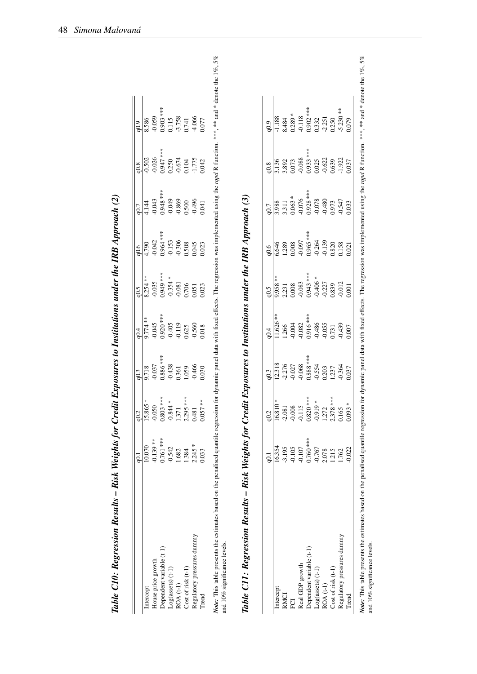| $0.903***$<br>$-0.059$<br>0.115<br>8.586<br>$0.947$ ***<br>0.026<br>0.502<br>$-0.674$<br>0.250<br>$0.948$ ***<br>$-0.049$<br>$-0.043$<br>$-0.869$<br>4.144<br>$0.964***$<br>$-0.042$<br>$-0.153$<br>$-0.306$<br>4.790<br>1.949 ***<br>$8.254$ **<br>$-0.354 *$<br>0.035<br>$-0.081$<br>$0.920$ ***<br>$9.774**$<br>$-0.045$<br>$-0.405$<br>$-0.119$<br>$0.886$ ***<br>$-0.037$<br>$-0.438$<br>9.718<br>0.361<br>0.803 ***<br>15.865 *<br>$-0.844 *$<br>$-0.050$<br>1.37<br>$0.761$ ***<br>$-0.139**$<br>10.070<br>$-0.542$<br>1.682<br>Dependent variable (t-1)<br>House price growth<br>$Log(assets)$ $(t-1)$<br>$ROA(t-1)$<br>Intercept |          |
|-------------------------------------------------------------------------------------------------------------------------------------------------------------------------------------------------------------------------------------------------------------------------------------------------------------------------------------------------------------------------------------------------------------------------------------------------------------------------------------------------------------------------------------------------------------------------------------------------------------------------------------------|----------|
|                                                                                                                                                                                                                                                                                                                                                                                                                                                                                                                                                                                                                                           |          |
|                                                                                                                                                                                                                                                                                                                                                                                                                                                                                                                                                                                                                                           |          |
|                                                                                                                                                                                                                                                                                                                                                                                                                                                                                                                                                                                                                                           |          |
|                                                                                                                                                                                                                                                                                                                                                                                                                                                                                                                                                                                                                                           |          |
|                                                                                                                                                                                                                                                                                                                                                                                                                                                                                                                                                                                                                                           | $-3.758$ |
| 0.741<br>0.104<br>0.500<br>0.508<br>0.706<br>0.625<br>1.059<br>2.295 ***<br>1.384<br>Cost of risk (t-1)                                                                                                                                                                                                                                                                                                                                                                                                                                                                                                                                   |          |
| $-4.066$<br>1.775<br>$-0.496$<br>0.045<br>0.051<br>$-0.560$<br>$-0.466$<br>0.48<br>$2.245 *$<br>Regulatory pressures dummy                                                                                                                                                                                                                                                                                                                                                                                                                                                                                                                |          |
| 0.077<br>0.042<br>0.041<br>0.023<br>0.023<br>0.018<br>0.030<br>$57**$<br>0.05<br>0.033<br>Trend                                                                                                                                                                                                                                                                                                                                                                                                                                                                                                                                           |          |

|                            |                                                                                        |            | q0.3                                    | $\dot{q}^4$                                                              | 6.5                                                     | $-0.6$                                                     | q0.7                                                                                            | q0.8                                                   | 6.0 <sub>p</sub>                                          |
|----------------------------|----------------------------------------------------------------------------------------|------------|-----------------------------------------|--------------------------------------------------------------------------|---------------------------------------------------------|------------------------------------------------------------|-------------------------------------------------------------------------------------------------|--------------------------------------------------------|-----------------------------------------------------------|
| Intercept                  | 16.354                                                                                 | $16.810*$  | 12.318                                  | $1.626**$                                                                | ** 856'                                                 |                                                            | ,988                                                                                            | 136                                                    | 1.188                                                     |
| <b>RMCI</b>                |                                                                                        | $-2.081$   |                                         | 1.266                                                                    |                                                         | .289                                                       |                                                                                                 |                                                        | 8.484                                                     |
| FCI                        |                                                                                        | $-0.008$   | $-2.276$<br>$-0.027$<br>$-0.068$        |                                                                          | $\begin{array}{c} 2.231 \\ 0.008 \\ -0.083 \end{array}$ | 1.008                                                      |                                                                                                 |                                                        | $0.289 *$                                                 |
| <b>Real GDP</b> growth     | -3.195<br>-0.105<br>-0.107<br>-0.767<br>-0.767<br>-2.078<br>-1.215<br>-1.762<br>-1.762 | $-0.115$   |                                         | $-0.004$<br>$-0.082$<br>$-0.916$ ***<br>$-0.486$<br>$-0.055$<br>$-0.055$ |                                                         |                                                            | 3.311<br>$0.063$ *<br>$0.076$<br>$0.076$<br>$0.078$<br>$0.078$<br>$0.073$<br>$0.973$<br>$0.973$ | 3.892<br>0.073<br>0.088<br>0.933 ***<br>0.025<br>0.639 |                                                           |
| Oependent variable (t-1)   |                                                                                        | $0.820***$ |                                         |                                                                          |                                                         |                                                            |                                                                                                 |                                                        |                                                           |
| Log(assets) (t-1)          |                                                                                        | $-0.919*$  | $0.888$ ***<br>-0.554<br>0.203<br>1.237 |                                                                          | $0.943$ ***<br>-0.406 *<br>-0.227<br>-0.227             | $-0.097$<br>$0.965$ ***<br>$-0.264$<br>$-0.139$<br>$0.820$ |                                                                                                 |                                                        | $-0.118$<br>$0.902$ ***<br>$0.332$<br>$-2.251$<br>$0.250$ |
| $ROA(t-1)$                 |                                                                                        | 1.272      |                                         |                                                                          |                                                         |                                                            |                                                                                                 |                                                        |                                                           |
| Cost of risk (t-1)         |                                                                                        | $2.378***$ |                                         |                                                                          |                                                         |                                                            |                                                                                                 |                                                        |                                                           |
| Regulatory pressures dummy |                                                                                        | 0.165      | $-0.364$<br>$0.037$                     | 0.439                                                                    | 0.012                                                   | 1.158                                                      |                                                                                                 | $\frac{1.922}{0.037}$                                  | $-5.230**$                                                |
| <b>Fend</b>                | $-0.022$                                                                               | $0.093*$   |                                         | 1.007                                                                    | 001                                                     | 1.021                                                      | 033                                                                                             |                                                        | 0.079                                                     |

Note: This table presents the estimates based on the penalised quantile regression data with fixed effects. The regression was implemented using the rqpd R function. \*\*\*, \*\*\* and \* denote the 1%, 5% and 1%, 5% Note: This table presents the estimates based on the penalised operalised quantile regression for dynamic panel data with fixed effects. The regression was implemented using the rapd R function. \*\*\* and \* denote the 1%, 5 and 10% significance levels.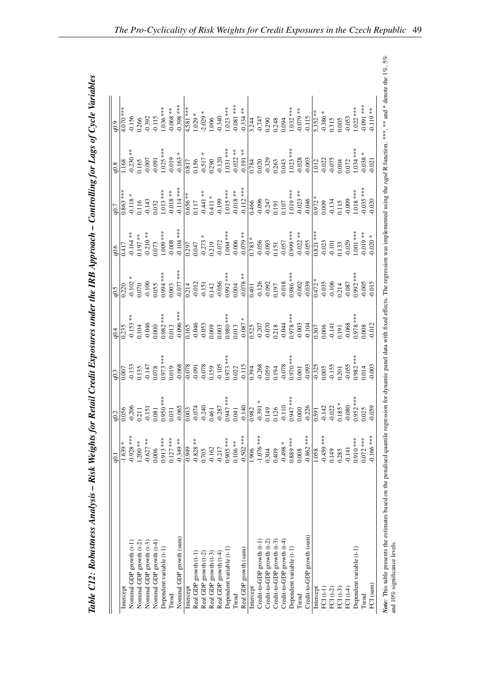<span id="page-52-0"></span>

| ļ                                                           |
|-------------------------------------------------------------|
| سمرت المناسب                                                |
|                                                             |
|                                                             |
|                                                             |
| $\mathbf{S}_{\mathbf{m}}$<br>I                              |
|                                                             |
|                                                             |
| ֧֧֧֧֧֧֪֚֚֚֚֚֚֚֚֚֚֚֚֚֚֚֚֚֚֚֚֚֚֚֚֚֚֚֚֚֝֟֟֓֟֓֝֟֓֝֟֓֝֟֓֝֟֓֟֓֝֬֝ |
|                                                             |
|                                                             |
|                                                             |
|                                                             |
|                                                             |
| ļ                                                           |
|                                                             |
| I                                                           |
|                                                             |
|                                                             |
|                                                             |
|                                                             |
| $\overline{1}$                                              |
|                                                             |
| <u>טער בוות מוק</u><br>$\frac{1}{2}$                        |
|                                                             |
|                                                             |
|                                                             |
| $1$ and $\theta$ is the fact of $\theta$                    |
|                                                             |
|                                                             |
|                                                             |
|                                                             |
|                                                             |
| コンティア つうりょう コ                                               |
|                                                             |
|                                                             |
| l                                                           |
|                                                             |
|                                                             |
|                                                             |
| $\frac{1}{2}$                                               |
| יי ייזו<br>י<br>;                                           |
| $\ddot{\phantom{0}}$                                        |
| $\sim$ for $R$ .                                            |
|                                                             |
|                                                             |
|                                                             |
|                                                             |
|                                                             |
|                                                             |
|                                                             |
| $\ddot{\phantom{a}}$                                        |
|                                                             |
|                                                             |
|                                                             |
|                                                             |
| ı                                                           |
|                                                             |
|                                                             |
|                                                             |
|                                                             |
|                                                             |
|                                                             |
|                                                             |
|                                                             |
|                                                             |
|                                                             |
|                                                             |
|                                                             |
|                                                             |
|                                                             |
| l                                                           |
|                                                             |
|                                                             |
|                                                             |
| F 27 - F F                                                  |
|                                                             |

|                            | ç            | q0.2                                                                                                                                                   |             | 0.4                                             | 6.5                             |             | 0.7                                |                                 |                                                            |
|----------------------------|--------------|--------------------------------------------------------------------------------------------------------------------------------------------------------|-------------|-------------------------------------------------|---------------------------------|-------------|------------------------------------|---------------------------------|------------------------------------------------------------|
| Intercept                  | $-1.639*$    |                                                                                                                                                        | 0.007       | 0.235                                           | 0.220                           | 0.417       | $0.863$ ***                        | 1.168                           | $4.070***$                                                 |
| Nominal GDP growth (t-1)   | $-0.928$ *** | 0.056<br>-0.206                                                                                                                                        | 0.133       | $* *$<br>$-0.153$                               | $0.102 *$                       | $0.164***$  | 0.118                              | $0.230**$                       | $-0.156$                                                   |
| Nominal GDP growth (t-2)   | 1.200 **     | 0.21                                                                                                                                                   | 0.135       | 0.104                                           | 0.070                           | $0.197***$  | 0.116                              | 0.165                           | 0.266                                                      |
| Nominal GDP growth (t-3)   | $-0.627$ **  | $-0.151$                                                                                                                                               | $-0.147$    | 0.046                                           | 0.100                           | $-0.210**$  | 0.143                              | $-0.007$                        | $-0.392$                                                   |
| Nominal GDP growth $(t-4)$ | 0.006        | 0.081                                                                                                                                                  | 0.078       | 0.000                                           | 0.055                           | 0.073       | 0.32                               | 0.091                           | $-0.115$                                                   |
| Dependent variable (t-1)   | $0.913***$   |                                                                                                                                                        | $0.973$ *** | $0.982$ ***                                     | $0.994***$                      | 1.009 ***   | $.013***$                          | $1.025$ ***                     | $1.036***$                                                 |
| Trend                      | $0.127***$   |                                                                                                                                                        | 0.019       | 0.013                                           | 0.003                           | $-0.008$    | $-0.018**$                         | $-0.019$                        | $-0.068**$                                                 |
| Nominal GDP growth (sum)   | $0.349**$    |                                                                                                                                                        | $-0.068$    | $0.096***$                                      | $-0.077$ ***                    | $0.104***$  | $0.114***$                         | $-0.163 *$                      | $0.398$ ***                                                |
| Intercept                  | $-0.949$     |                                                                                                                                                        | $-0.078$    | 0.165                                           | 0.214                           | 0.297       | $0.656**$                          | 0.817                           | $4.581$ ***                                                |
| Real GDP growth (t-1)      | $-0.828**$   |                                                                                                                                                        | $-0.091$    | $-0.046$                                        |                                 | 0.047       | 0.117                              |                                 | $1.029 *$                                                  |
| Real GDP growth (t-2)      | 0.705        |                                                                                                                                                        | $-0.078$    | $-0.053$                                        | $-0.012$<br>$-0.151$            | $-0.273 *$  | $-0.441**$                         | $0.156$<br>$-0.517$ *           | $-2.029 *$                                                 |
| Real GDP growth (t-3)      | $-0.162$     |                                                                                                                                                        | 0.159       | 0.009                                           | 0.142<br>-0.056                 | 0.219       | $0.411 *$                          | 0.290                           | 1.006                                                      |
| Real GDP growth (t-4)      | $-0.217$     |                                                                                                                                                        | $-0.105$    | 0.003                                           |                                 | $-0.072$    | $-0.199$                           | $-0.120$                        | $-0.340$                                                   |
| Dependent variable (t-1)   | $0.905***$   |                                                                                                                                                        | $0.973$ *** | $0.980***$                                      | $0.992***$<br>$0.004$           | $1.004$ *** | 1.015 ***                          | $1.031$ ***                     | $1.023$ ***                                                |
| Trend                      | $0.106**$    |                                                                                                                                                        | 0.022       | 0.013                                           |                                 | $-0.006$    | $-0.018**$                         | $-0.022**$                      | $-0.081$ ***                                               |
| Real GDP growth (sum)      | $-0.502$ *** | $\begin{array}{r l} -0.140 \\ \hline 0.982 \\ -0.391 \\ \hline 0.149 \\ 0.149 \\ 0.126 \\ -0.110 \\ 0.947 \\ \text{***}\\ 0.000 \\ -0.226 \end{array}$ | $-0.115$    | $-0.087$ *                                      | $-0.078**$                      | $-0.079**$  | $-0.112$ ***                       | $-0.191**$                      | $-0.334**$                                                 |
| Intercept                  | 1.906        |                                                                                                                                                        | 0.394       | 0.525                                           | 0.401                           | $0.783 *$   | 0.466                              | $\frac{1}{0.784}$               | 3.244                                                      |
| Credit-to-GDP growth (t-1) | $-1.076$ *** |                                                                                                                                                        | $-0.268$    | $-0.207$<br>$-0.070$                            |                                 | $-0.056$    | $-0.096$                           | 0.020                           | $-0.747$                                                   |
| Credit-to-GDP growth (t-2) | 0.304        |                                                                                                                                                        | 0.059       |                                                 | $-0.126$<br>$-0.092$<br>$0.197$ | $-0.093$    |                                    | $-0.329$                        |                                                            |
| Credit-to-GDP growth (t-3) | 0.409        |                                                                                                                                                        | 0.194       | $\begin{array}{c} 0.218 \\ -0.044 \\ 0.978$ *** |                                 | 0.151       | $-0.247$<br>0.191                  | 0.263                           | $0.290$<br>$0.248$<br>$0.094$<br>$1.032***$<br>$-0.079***$ |
| Credit-to-GDP growth (t-4) | $*86+0$ -    |                                                                                                                                                        | $-0.078$    |                                                 | $-0.018$<br>0.986 ***           | $-0.057$    | $0.107\,$                          | 0.043                           |                                                            |
| Dependent variable (t-1)   | $0.889***$   |                                                                                                                                                        | $0.970$ *** |                                                 |                                 | $0.999***$  | $1.019$ ***<br>-0.023 **<br>-0.046 | $1.023$ ***<br>-0.028<br>-0.003 |                                                            |
| Trend                      | 0.008        |                                                                                                                                                        | $0.001$     |                                                 | $-0.002$                        | $-0.022**$  |                                    |                                 |                                                            |
| Credit-to-GDP growth (sum) | $-0.862$ *** |                                                                                                                                                        | $-0.093$    | $-0.104$                                        | 0.039                           | $-0.055$    |                                    |                                 | $-0.115$                                                   |
| Intercept                  | 1.058        |                                                                                                                                                        | $-0.325$    | $\overline{0.307}$                              | $0.472 *$                       | $0.821$ *** | $0.972 *$                          | 1.012                           | $5.352**$                                                  |
| $FCI(t-1)$                 | $-0.459$ *** |                                                                                                                                                        | 0.005       | 0.006                                           | $-0.035$                        | $-0.023$    | 0.009                              | $-0.022$                        | $-0.386$ *                                                 |
| FCI $(t-2)$                | 0.149        |                                                                                                                                                        | $-0.155$    | $-0.141$                                        | $-0.106$                        | $-0.101$    | $-0.134$                           | $-0.075$                        | 0.315                                                      |
| $FCI(t-3)$                 | 0.285        | $\begin{array}{c} 0.591 \\ -0.142 \\ -0.022 \\ 0.185 \\ -0.080 \end{array}$                                                                            | 0.201       | 0.191                                           | 0.214                           | 0.133       | 0.115                              | 0.004                           | 0.005                                                      |
| $FCI(t-4)$                 | $-0.141$     |                                                                                                                                                        | $-0.055$    | $-0.068$                                        | $-0.087$                        | $-0.029$    | $-0.009$                           | 0.072                           | $-0.053$                                                   |
| Dependent variable (t-1)   | $0.910***$   | $0.952***$<br>$0.025$<br>$-0.059$                                                                                                                      | $0.982**$   | $0.978***$                                      | $0.992***$                      | $0.001$ *** | $-0.018$ ***                       | $.034**$                        | $1.022$ ***                                                |
| Trend                      | $0.072***$   |                                                                                                                                                        | 0.014       | 0.008                                           | 0.005                           | $0.019***$  | $0.035$ ***                        | $0.038 *$                       | $0.091$ ***                                                |
| FCI (sum)                  | $0.166***$   |                                                                                                                                                        | 0.003       | $-0.012$                                        | 0.015                           | $0.020 *$   | 0.020                              | 0.021                           | $0.119**$                                                  |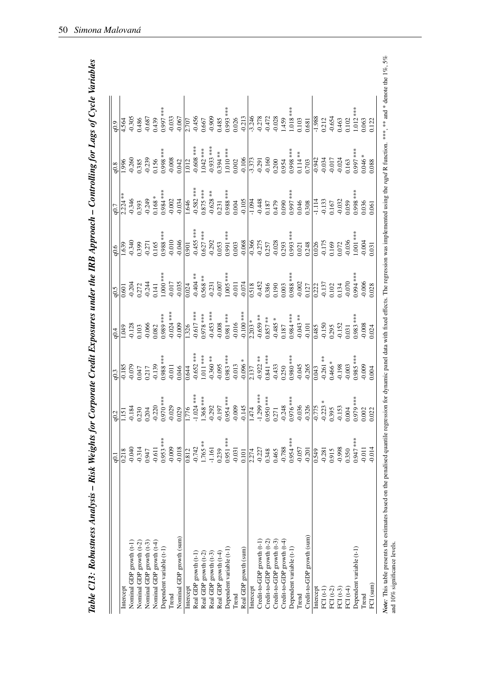| ì                                               |
|-------------------------------------------------|
|                                                 |
| ייי קט ניי                                      |
| $\alpha r$   $\alpha r$ $\alpha r$   $\alpha r$ |
|                                                 |
|                                                 |
|                                                 |
| )                                               |
|                                                 |
| I                                               |
|                                                 |
|                                                 |
| )                                               |
|                                                 |
| i                                               |
|                                                 |
|                                                 |
|                                                 |
| Ì                                               |
|                                                 |
| ī                                               |
|                                                 |
|                                                 |
|                                                 |
|                                                 |
| $\overline{1}$                                  |
| י                                               |
|                                                 |
| $\frac{1}{2}$                                   |
| $\frac{1}{2}$                                   |
|                                                 |
|                                                 |
| :<br>:<br>:                                     |
|                                                 |
|                                                 |
|                                                 |
|                                                 |
|                                                 |
|                                                 |
|                                                 |
|                                                 |
| 1                                               |
|                                                 |
| $\overline{a}$                                  |
|                                                 |
|                                                 |
|                                                 |
| Ì                                               |
| $\ddotsc$                                       |
|                                                 |
|                                                 |
|                                                 |
|                                                 |
| 1                                               |
| 5<br>ì                                          |
| <b>AMAN</b>                                     |
|                                                 |
|                                                 |
|                                                 |
|                                                 |
|                                                 |
|                                                 |
|                                                 |
| j                                               |
|                                                 |
| ì                                               |
|                                                 |
|                                                 |
|                                                 |
|                                                 |
|                                                 |
|                                                 |
|                                                 |
|                                                 |
|                                                 |
|                                                 |
|                                                 |
|                                                 |
|                                                 |
|                                                 |
|                                                 |
|                                                 |
|                                                 |
|                                                 |
| $\zeta$                                         |
|                                                 |
| こくりく こうし                                        |

|                            | 61          | q0.2                                                                                                                                                                                                                                                                                                                               | $q$ 0.3           | q0.4              | 6.5                             | 0.6                                                                            | q0.7                  | q0.8                                 | ါ်<br>၁၉                                    |
|----------------------------|-------------|------------------------------------------------------------------------------------------------------------------------------------------------------------------------------------------------------------------------------------------------------------------------------------------------------------------------------------|-------------------|-------------------|---------------------------------|--------------------------------------------------------------------------------|-----------------------|--------------------------------------|---------------------------------------------|
| Intercept                  | 0.218       |                                                                                                                                                                                                                                                                                                                                    |                   | <b>670</b>        | 0.601                           | 1.639                                                                          |                       | 996                                  | .564                                        |
| Nominal GDP growth (t-1)   | $-0.040$    |                                                                                                                                                                                                                                                                                                                                    | $-0.079$          |                   | $-0.204$                        |                                                                                | $-0.346$              | 0.260                                | 0.305                                       |
| Nominal GDP growth (t-2)   | $-0.314$    | $\begin{array}{c c} \hline 1.151 \\ -0.184 \\ -0.230 \\ -0.204 \\ -0.220 \\ -0.020 \\ -0.029 \\ -0.029 \\ -0.029 \\ -0.029 \\ -0.029 \\ -0.029 \\ -0.029 \\ -0.029 \\ -0.029 \\ -0.029 \\ -0.029 \\ -0.029 \\ -0.029 \\ -0.029 \\ -0.029 \\ -0.029 \\ -0.029 \\ -0.029 \\ -0.029 \\ -0.029 \\ -0.029 \\ -0.029 \\ -0.029 \\ -0.02$ | 0.047             | $-0.128$<br>0.103 | 0.272                           | $0.340$<br>$0.399$                                                             | 0.393                 | 0.385                                | 0.486                                       |
| Nominal GDP growth (t-3)   | 0.947       |                                                                                                                                                                                                                                                                                                                                    | 0.217             | $-0.066$          | $-0.244$                        |                                                                                | $-0.249$              | $-0.239$                             | $-0.687$                                    |
| Nominal GDP growth (t-4)   | $-0.611$    |                                                                                                                                                                                                                                                                                                                                    | $-0.139$          | 0.082             | 0.141                           |                                                                                | $0.168 *$             |                                      | 0.439                                       |
| Dependent variable (t-1)   | $0.953$ *** |                                                                                                                                                                                                                                                                                                                                    | $0.988**$         | $0.989***$        | $1.000**$                       | $-0.271$<br>0.165<br>0.988 ***                                                 | $0.984***$            | $0.156$<br>0.998 ***                 | $0.997***$                                  |
| Trend                      | $-0.009$    |                                                                                                                                                                                                                                                                                                                                    | $-0.011$          | $-0.024$ ***      | $-0.017$                        | $-0.010$                                                                       | $-0.002$              | $-0.008$                             | $-0.033$                                    |
| Nominal GDP growth (sum)   | $-0.018$    |                                                                                                                                                                                                                                                                                                                                    | 0.046             | $-0.009$          | $-0.035$                        | $-0.046$                                                                       | $-0.034$              | 0.042                                | $-0.067$                                    |
| Intercept                  | 0.812       | $\frac{9L}{110}$                                                                                                                                                                                                                                                                                                                   | 0.644             | 1.326             | 0.024                           | $\frac{1060}{100}$                                                             | 1.646                 | $\overline{1.012}$                   | 2.707<br>-0.456                             |
| Real GDP growth (t-1)      | $-0.742$    |                                                                                                                                                                                                                                                                                                                                    | $-0.652$ ***      | $-0.617$ ***      | $-0.404**$                      | $-0.455$ ***                                                                   | $-0.582$ ***          | $-0.608$ ***                         |                                             |
| Real GDP growth (t-2)      | 1.765 **    |                                                                                                                                                                                                                                                                                                                                    | $1.011***$        | $0.978***$        | $0.568$ **                      | $0.627$ ***                                                                    | $0.875$ ***           | $1.042$ ***                          | 0.667                                       |
| Real GDP growth (t-3)      | $-1.161$    |                                                                                                                                                                                                                                                                                                                                    |                   | $-0.453$ ***      |                                 | $-0.292$                                                                       |                       | $-0.933$ ***                         | $-0.909$                                    |
| Real GDP growth (t-4)      | 0.239       |                                                                                                                                                                                                                                                                                                                                    | $-0.360**$        | $-0.008$          | $-0.231$<br>$-0.007$            | 0.053                                                                          | $-0.628$ **<br>0.231  | $0.394***$                           | 0.485                                       |
| Dependent variable (t-1)   | $0.951***$  |                                                                                                                                                                                                                                                                                                                                    | $0.983***$        | $0.981$ ***       | $1.005$ ***                     |                                                                                |                       | $1.010***$                           |                                             |
| Trend                      | $-0.031$    |                                                                                                                                                                                                                                                                                                                                    | $-0.013$          | $-0.016$          |                                 | $0.991***$<br>$0.003$                                                          | $0.988***$<br>$0.004$ | $0.002$                              | $0.993***$<br>$0.026$                       |
| Real GDP growth (sum)      | 0.101       | $-1.024$ ***<br>$-1.368$ ***<br>$-0.292$<br>$-0.197$<br>$-0.0954$ ***<br>$-0.009$<br>$-0.145$                                                                                                                                                                                                                                      | $*800.0$ -        | $-0.100$ ***      | $-0.011$<br>$-0.074$<br>$0.518$ | $-0.068$                                                                       | $-0.105$              | $-0.106$                             | $-0.213$                                    |
| Intercept                  | 2.274       |                                                                                                                                                                                                                                                                                                                                    | $\frac{2.137}{ }$ | $2.203 *$         |                                 |                                                                                | $-1.094$              |                                      |                                             |
| Credit-to-GDP growth (t-1  | $-0.227$    |                                                                                                                                                                                                                                                                                                                                    | $-0.922**$        | $-0.659**$        |                                 |                                                                                | $-0.448$              |                                      |                                             |
| Credit-to-GDP growth (t-2) | 0.348       |                                                                                                                                                                                                                                                                                                                                    | $0.841$ ***       | $0.857$ **        | $-0.452$<br>0.386               | $\frac{0.366}{0.275}$                                                          | 0.187                 | $\frac{1}{3}$ .373<br>0.291<br>0.160 |                                             |
| Credit-to-GDP growth (t-3) | 0.465       | $\frac{1.299}{0.950***}$                                                                                                                                                                                                                                                                                                           | $-0.433$          | $-0.485$ *        | 0.190                           | $-0.028$                                                                       | 0.479                 | 0.200<br>0.954                       | $\frac{1}{3.278}$<br>$\frac{0.278}{0.472}$  |
| Credit-to-GDP growth (t-4) | $-0.788$    | $-0.248$<br>0.976***                                                                                                                                                                                                                                                                                                               | 0.250             | $0.187\,$         | $0.003$                         |                                                                                | 0.090                 |                                      |                                             |
| Dependent variable (t-1)   | $0.954$ *** |                                                                                                                                                                                                                                                                                                                                    | $0.980***$        | $0.984***$        | $0.988***$                      |                                                                                | $0.997***$            | $0.998***$                           |                                             |
| Trend                      | $-0.057$    |                                                                                                                                                                                                                                                                                                                                    | $-0.045$          | $-0.043**$        | $-0.002$                        |                                                                                |                       |                                      |                                             |
| Credit-to-GDP growth (sum) | $-0.201$    | $\frac{0.036}{0.326}$<br>$\frac{0.326}{0.775}$<br>$\frac{0.223}{0.395}$                                                                                                                                                                                                                                                            | $-0.265$          | $-0.101$          | 0.127                           | $0.293$<br>$0.993$ ***<br>$0.021$<br>$0.248$<br>$0.248$<br>$0.026$<br>$-0.175$ | 0.046<br>0.308        | $0.114***$<br>0.703                  | $1.459$<br>$1.018***$<br>$0.103$<br>$0.681$ |
| Intercept                  | 0.549       |                                                                                                                                                                                                                                                                                                                                    | 0.043             | $\frac{6}{1485}$  | 0.222                           |                                                                                | $-1.114$              | $-0.942$                             | $-1.988$                                    |
| $FCI(t-1)$                 | $-0.281$    |                                                                                                                                                                                                                                                                                                                                    | $-0.261**$        | $-0.150$          | $-0.137$                        |                                                                                | $-0.133$              |                                      | 0.212                                       |
| FCI $(t-2)$                | 0.915       |                                                                                                                                                                                                                                                                                                                                    | $0.466 *$         | 0.295             | 0.102                           | 0.169                                                                          | $0.167\,$             | $-0.034$<br>$+0.017$                 | $-0.654$                                    |
| FCI $(t-3)$                | $-0.998$    | 0.153                                                                                                                                                                                                                                                                                                                              | $-0.198$          | $-0.152$          | 0.134                           | 0.072                                                                          | $-0.032$              | $-0.024$                             | 0.463                                       |
| FCI $(t-4)$                | 0.350       | 0.004                                                                                                                                                                                                                                                                                                                              | $-0.003$          | 0.031             | $-0.070$                        | $-0.036$                                                                       | 0.059                 | 0.163                                | 0.102                                       |
| Dependent variable (t-1)   | $0.947$ *** | **** 646'                                                                                                                                                                                                                                                                                                                          | $0.985$ **        | $0.983$ ***       | 1.994 **                        | $1.001$ ***                                                                    | $0.998$ ***           | $0.997***$                           | $1.012***$                                  |
| Trend                      | $-0.011$    | $0.002$<br>$0.022$                                                                                                                                                                                                                                                                                                                 | $-0.009$          | $-0.008$          | $-0.006$<br>$0.028$             | $-0.004$                                                                       | 0.036<br>0.061        | $0.046**0.088$                       | 0.063<br>0.122                              |
| FCI (sum)                  | $-0.014$    |                                                                                                                                                                                                                                                                                                                                    | 0.004             | 0.024             |                                 | 0.031                                                                          |                       |                                      |                                             |

of Note: This table presents the estimates based on the penalised operalised quantile regression for dynamic panel data with fixed effects. The regression was implemented using the rapid R function. \*\*\* and \* denote the 1%, ે l. ž  $\frac{1}{\alpha}$  $\frac{5}{10}$ Š. ā *xvue*: Illis table presents ule<br>and 10% significance levels. and 10% significance levels.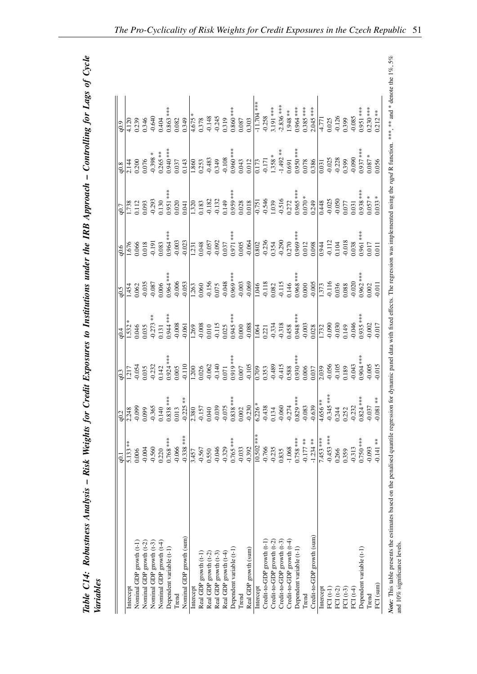| J                                 |  |
|-----------------------------------|--|
|                                   |  |
|                                   |  |
| ・ ししく 一 さくし<br>i                  |  |
|                                   |  |
|                                   |  |
|                                   |  |
|                                   |  |
| $\frac{1}{1}$                     |  |
|                                   |  |
| ı                                 |  |
|                                   |  |
| $\frac{1}{2}$<br>i                |  |
|                                   |  |
|                                   |  |
|                                   |  |
|                                   |  |
|                                   |  |
|                                   |  |
|                                   |  |
|                                   |  |
|                                   |  |
| l                                 |  |
|                                   |  |
|                                   |  |
|                                   |  |
|                                   |  |
|                                   |  |
|                                   |  |
| $\therefore$ Risk Weights $\int$  |  |
|                                   |  |
| $\boldsymbol{M}$ $\boldsymbol{M}$ |  |
|                                   |  |
| ר מדתמת ה                         |  |
|                                   |  |
|                                   |  |
|                                   |  |
|                                   |  |
| ble C14: R                        |  |
| i                                 |  |

|                            | $\overline{6}$ | q <sub>0.2</sub>                                                                                                                                                                                                                                                                                                                  |                            |                                                           | 0.5                 | 0.6                                                     | q0.7                                                                                                                                                                                                                                      |                         | 0.9                                     |
|----------------------------|----------------|-----------------------------------------------------------------------------------------------------------------------------------------------------------------------------------------------------------------------------------------------------------------------------------------------------------------------------------|----------------------------|-----------------------------------------------------------|---------------------|---------------------------------------------------------|-------------------------------------------------------------------------------------------------------------------------------------------------------------------------------------------------------------------------------------------|-------------------------|-----------------------------------------|
| Intercept                  | $5.133**$      |                                                                                                                                                                                                                                                                                                                                   | 1.217                      | 1.532                                                     | .454                | $-676$                                                  | 1.738                                                                                                                                                                                                                                     | 2.144                   | 4.120                                   |
| Nominal GDP growth (t-1)   | 0.006          |                                                                                                                                                                                                                                                                                                                                   | $-0.054$                   | 0.046                                                     | 1.062               | 0.066                                                   | 0.112                                                                                                                                                                                                                                     | 0.200                   | 0.239                                   |
| Nominal GDP growth (t-2)   | $-0.004$       | $\begin{array}{r} 2.248 \\ -0.099 \\ 0.099 \\ 0.140 \\ 0.140 \\ 0.838*** \\ \end{array}$                                                                                                                                                                                                                                          | 0.035                      | $0.035$<br>-0.273 **                                      | 0.035               | 0.018                                                   | 0.93                                                                                                                                                                                                                                      | 0.076                   | 0.346                                   |
| Nominal GDP growth (t-3)   | $-0.560$       |                                                                                                                                                                                                                                                                                                                                   | $-0.232$                   |                                                           | $-0.087$            | $-0.191$                                                | 0.293                                                                                                                                                                                                                                     | $-0.398 *$              | $-0.640$                                |
| Nominal GDP growth (t-4)   | 0.220          |                                                                                                                                                                                                                                                                                                                                   | 0.142                      | $0.131$<br>$0.944***$                                     | 0.006               | $0.083$<br>$0.964***$                                   | 0.130                                                                                                                                                                                                                                     | $0.265***$<br>0.940 *** | 0.404                                   |
| Dependent variable (t-1)   | $0.768$ ***    |                                                                                                                                                                                                                                                                                                                                   | $0.924***$                 |                                                           | $0.964***$          |                                                         | $0.951$ ***                                                                                                                                                                                                                               |                         | $0.863***$                              |
| Trend                      | $-0.066$       |                                                                                                                                                                                                                                                                                                                                   | 0.005                      | 0.008                                                     | $-0.006$            | $-0.003$                                                | 0.020                                                                                                                                                                                                                                     | 0.037                   | 0.082                                   |
| Nominal GDP growth (sum)   | $-0.338$ ***   |                                                                                                                                                                                                                                                                                                                                   | $-0.110$                   | 0.061                                                     | 0.053               | 0.023                                                   | 1.041                                                                                                                                                                                                                                     | 0.143                   | 0.349                                   |
| Intercept                  | 3.457          |                                                                                                                                                                                                                                                                                                                                   | $\overline{1.200}$         |                                                           | 1.263               | 1.231                                                   |                                                                                                                                                                                                                                           |                         |                                         |
| Real GDP growth (t-1)      | $-0.567$       |                                                                                                                                                                                                                                                                                                                                   | 0.026                      | $\frac{1.269}{-0.008}$<br>0.010<br>0.0115                 | 0.060               | 0.048                                                   |                                                                                                                                                                                                                                           | 1.860<br>0.253          | $\frac{4.675}{0.378}$<br>0.378<br>0.345 |
| Real GDP growth (t-2)      | 0.550          |                                                                                                                                                                                                                                                                                                                                   | $-0.062$<br>$-0.140$       |                                                           | $-0.156$<br>$0.075$ | $-0.057$<br>$-0.092$                                    |                                                                                                                                                                                                                                           |                         |                                         |
| Real GDP growth (t-3)      | $-0.046$       |                                                                                                                                                                                                                                                                                                                                   |                            |                                                           |                     |                                                         |                                                                                                                                                                                                                                           | $-0.483$<br>0.349       |                                         |
| Real GDP growth (t-4)      | $-0.329$       |                                                                                                                                                                                                                                                                                                                                   | 0.071                      | 0.025                                                     | $-0.048$            |                                                         |                                                                                                                                                                                                                                           |                         | 0.319                                   |
| Dependent variable (t-1)   | $0.765***$     |                                                                                                                                                                                                                                                                                                                                   | 0.919 ***                  | $0.945$ ***                                               | $0.969***$          | $\frac{0.037}{0.971***}$                                | $\begin{array}{c c} 1.320 & \phantom{-0.000} \phantom{-0.000} & 0.183 & \phantom{-0.000} \phantom{-0.000} & 0.132 & \phantom{-0.000} \phantom{-0.000} & 0.028 & \phantom{-0.000} \phantom{-0.000} & 0.018 & \phantom{-0.000} \end{array}$ | $-0.108$<br>0.960 ***   | $0.860***$                              |
| Trend                      | $-0.033$       |                                                                                                                                                                                                                                                                                                                                   | $0.007\,$                  | $0.000$                                                   | $-0.003$            | $0.005$                                                 |                                                                                                                                                                                                                                           | 0.043                   | $0.087\,$                               |
| Real GDP growth (sum)      | $-0.392$       | $\begin{array}{r} +3.25* \\ -0.225* \\ -0.157 \\ -0.040 \\ -0.039 \\ -0.039 \\ -0.075 \\ 0.083* \\ -0.023 \\ -0.230 \\ -0.230 \\ -0.039 \\ -0.030 \\ -0.030 \\ -0.030 \\ -0.030 \\ -0.030 \\ -0.030 \\ -0.030 \\ -0.030 \\ -0.030 \\ -0.030 \\ -0.030 \\ -0.030 \\ -0.030 \\ -0.030 \\ -0.030 \\ -0.030 \\ -0.030 \\ -0.030 \\ -$ | $-0.105$                   | $-0.088$                                                  | $-0.069$            | $-0.064$                                                |                                                                                                                                                                                                                                           | 0.012                   | 0.303                                   |
| Intercept                  | $10.502$ ***   | $\overline{6.226*}$<br>$-0.438$<br>$-0.134$<br>$-0.060$<br>$-0.274$<br>$-0.829***$<br>$-0.083$                                                                                                                                                                                                                                    | 0.709                      | $\frac{1.064}{0.221}$<br>0.221<br>0.334<br>0.318<br>0.458 | 1.046               | 0.802                                                   | $\frac{0.751}{0.546}$<br>0.546<br>1.039<br>0.516                                                                                                                                                                                          | 0.173                   | $-11.704***$                            |
| Credit-to-GDP growth (t-1) | $-0.766$       |                                                                                                                                                                                                                                                                                                                                   | 0.353                      |                                                           | $-0.118$            | $-0.236$                                                |                                                                                                                                                                                                                                           |                         | $-0.258$                                |
| Credit-to-GDP growth (t-2) | $-0.235$       |                                                                                                                                                                                                                                                                                                                                   | $-0.489$<br>0.415<br>0.588 |                                                           | 0.082               | $\begin{array}{c} 0.354 \\ -0.290 \\ 0.270 \end{array}$ |                                                                                                                                                                                                                                           | $-0.171$<br>1.358 *     | 3.191 ***                               |
| Credit-to-GDP growth (t-3) | 0.835          |                                                                                                                                                                                                                                                                                                                                   |                            |                                                           | $-0.115$            |                                                         |                                                                                                                                                                                                                                           | $-1.492**$              | $-2.836$ ***                            |
| Credit-to-GDP growth (t-4) | $-1.068$       |                                                                                                                                                                                                                                                                                                                                   |                            |                                                           | 0.146               |                                                         |                                                                                                                                                                                                                                           | 0.691                   | 1.948 **                                |
| Dependent variable (t-1)   | $0.758$ ***    |                                                                                                                                                                                                                                                                                                                                   | $0.930***$                 | 0.948 ***                                                 | $0.968***$          | $0.969***$                                              |                                                                                                                                                                                                                                           | $0.950$ ***             | 0.964 ***                               |
| Trend                      | $-0.177$ **    |                                                                                                                                                                                                                                                                                                                                   | 0.006                      |                                                           | 0.000               | 0.012                                                   |                                                                                                                                                                                                                                           | 0.078                   | $0.385$ ***                             |
| Credit-to-GDP growth (sum) | $-1.234**$     | $-0.639$                                                                                                                                                                                                                                                                                                                          | 0.037                      | $-0.003$<br>$0.028$<br>$1.732$<br>$-0.090$                | $-0.005$            | 0.098                                                   | $\frac{0.965}{0.070}$ ***<br>0.070 *<br>0.249                                                                                                                                                                                             | 0.386                   | $\frac{2.045***}{-4.771}$               |
| Intercept                  | 7.453 ***      | 4.656 **                                                                                                                                                                                                                                                                                                                          | $\frac{2.039}{2}$          |                                                           | .373                | 0.944                                                   | $\frac{1}{0.448}$<br>0.025<br>0.050                                                                                                                                                                                                       | 0.031                   |                                         |
| $FCI(t-1)$                 | $-0.453$ ***   |                                                                                                                                                                                                                                                                                                                                   | $-0.056$                   |                                                           | $-0.116$            | $-0.112$                                                |                                                                                                                                                                                                                                           | $-0.025$                | 0.025                                   |
| FCI $(t-2)$                | 0.266          |                                                                                                                                                                                                                                                                                                                                   | $-0.105$                   | $-0.030$                                                  | 0.036               | 0.104                                                   |                                                                                                                                                                                                                                           | $-0.228$                | $-0.126$                                |
| FCI $(t-3)$                | 0.359          |                                                                                                                                                                                                                                                                                                                                   | 0.189                      | 0.149                                                     | 0.088               | $-0.018$<br>0.038                                       | 1.077                                                                                                                                                                                                                                     | 0.399                   | 0.399                                   |
| $FCI(t-4)$                 | $-0.313$       |                                                                                                                                                                                                                                                                                                                                   | $-0.043$                   | $-0.046$                                                  | $-0.020$            |                                                         | 0.031                                                                                                                                                                                                                                     | $-0.090$                | $-0.085$                                |
| Dependent variable (t-1)   | $0.750***$     |                                                                                                                                                                                                                                                                                                                                   | $0.904**$                  | $0.935$ **                                                | $0.962***$          | $0.961***$                                              | $0.938***$                                                                                                                                                                                                                                | $0.937$ ***             | $0.951***$                              |
| Trend                      | $-0.093$       | $-0.345$ ***<br>0.244<br>0.252<br>0.252<br>$-0.232$<br>0.824 ***                                                                                                                                                                                                                                                                  | 0.005                      | $-0.002$                                                  | 0.002               | 0.017                                                   | $0.057 *$                                                                                                                                                                                                                                 | $0.087 *$               | $0.230***$                              |
| FCI (sum)                  | $0.141**$      | $-0.081**$                                                                                                                                                                                                                                                                                                                        | 0.015                      | 0.017                                                     | 0.011               | 0.011                                                   | $0.033 *$                                                                                                                                                                                                                                 | 0.056                   | $0.212**$                               |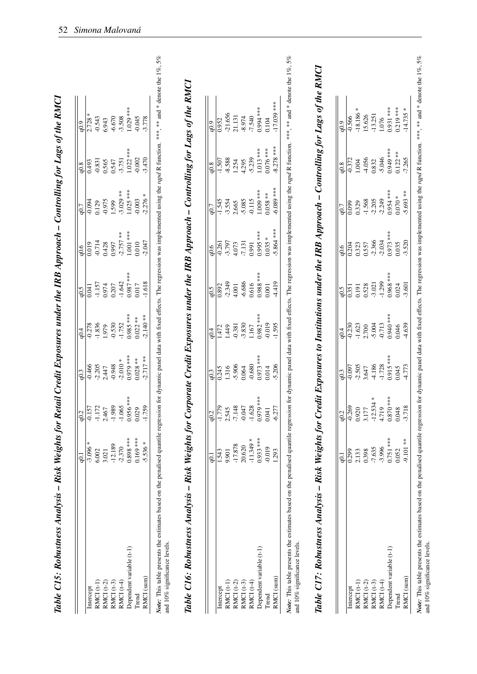|                                                                                                                                                                                                                                                      | q0.1             |                                                  | q <sub>0.3</sub> | q0.4        | q <sub>0.5</sub> | q0.6                 | q0.7           | q0.8                 | q0.9        |  |
|------------------------------------------------------------------------------------------------------------------------------------------------------------------------------------------------------------------------------------------------------|------------------|--------------------------------------------------|------------------|-------------|------------------|----------------------|----------------|----------------------|-------------|--|
| Intercept                                                                                                                                                                                                                                            | $-3.096$         | $\frac{q0.2}{-0.157}$<br>1.172<br>1.172<br>2.467 | $-0.466$         | $-0.278$    | 0.041            | 0.019                | $-0.094$       | 0.493                | 2.728       |  |
| RMCI (t-1)                                                                                                                                                                                                                                           | 6.002            |                                                  | $-2.205$         | $-1.836$    | $-1.157$         | $-0.714$             | 0.129          | $-0.831$             | $-0.543$    |  |
| RMCI (t-2)                                                                                                                                                                                                                                           | 3.021            |                                                  | 2.447            | 1.979       | 0.974            | 0.428                | $-0.975$       | 0.565                | 6.943       |  |
| $RMCI$ $(t-3)$                                                                                                                                                                                                                                       | $-12.189$        | $-1.989$                                         | $-0.948$         | $-0.530$    | 0.207            | 0.997                | 1.599          | 0.547                | $-6.670$    |  |
| RMCI (t-4)                                                                                                                                                                                                                                           | $-2.370$         | $-1.065$                                         | $-2.010*$        | $-1.752$    | $-1.642$         | $-2.757$ **          | $-3.029**$     | $-3.751$             | $-3.508$    |  |
| Dependent variable (t-1)                                                                                                                                                                                                                             | $0.898$ ***      | $0.956***$                                       | $0.979***$       | $0.985***$  | $0.987$ ***      | $1.001***$           | $1.025$ ***    | $1.022$ ***          | 1.029 ***   |  |
| Trend                                                                                                                                                                                                                                                | $0.169***$       | 0.029                                            | $0.028**$        | $0.022**$   | 0.017            | 0.010                | $-0.003$       | $-0.002$             | $-0.045$    |  |
| RMCI (sum)                                                                                                                                                                                                                                           | $-5.536*$        | $-1.759$                                         | $-2.717**$       | $-2.140**$  | $-1.618$         | $-2.047$             | $-2.276*$      | $-3.470$             | $-3.778$    |  |
| Note: This table presents the estimates based on the penalised quantile regression for dynamic panel data with fixed effects. The regression was implemented using the rapd R function. **** and * denote the 1%, 5%<br>and 10% significance levels. |                  |                                                  |                  |             |                  |                      |                |                      |             |  |
|                                                                                                                                                                                                                                                      |                  |                                                  |                  |             |                  |                      |                |                      |             |  |
| Table C16: Robustness Analysis – Risk Weights for Corporate Credit Exposures under the IRB Approach – Controlling for Lags of the RMCI                                                                                                               |                  |                                                  |                  |             |                  |                      |                |                      |             |  |
|                                                                                                                                                                                                                                                      | q0.1             | q0.2                                             | q0.3             | q0.4        | q0.5             | q0.6                 | q0.7           | q0.8                 | 0.9         |  |
|                                                                                                                                                                                                                                                      | 1.543            | $-1.779$                                         | 0.245            | 1.472       | 0.892            |                      | $-1.545$       |                      | 0.952       |  |
| RMCI (t-1)<br>Intercept                                                                                                                                                                                                                              | 9.901            | 2.545                                            | 1.316            | 1.449       | $-2.349$         | $-3.797$<br>$-0.261$ | $-3.554$       | $-8.588$<br>$-1.507$ | $-21.656$   |  |
| RMCI $(t-2)$                                                                                                                                                                                                                                         | $-17.878$        | $-7.148$                                         | $-5.906$         | $-0.381$    | 4.001            | 4.073                | 2.665          | 1.254                | 21.131      |  |
| RMCI (t-3)                                                                                                                                                                                                                                           | 20.620           | $-0.047$                                         | 0.064            | $-3.830$    | $-6.686$         | $-7.131$             | $-5.085$       | 4.295                | $-8.974$    |  |
| RMCI (t-4)                                                                                                                                                                                                                                           | ∗<br>$-11.349$   | $-1.628$                                         | $-0.680$         | 1.167       | 0.616            | 0.991                | $-0.115$       | $-5.239$             | $-7.540$    |  |
| Dependent variable (t-1)                                                                                                                                                                                                                             | $0.933***$       | $0.979***$                                       | $0.973***$       | $0.982$ *** | $0.988$ ***      | $0.995***$           | $1.009***$     | 1.013 ***            | $0.994***$  |  |
| Trend                                                                                                                                                                                                                                                | $-0.019$         | 0.041                                            | 0.014            | $-0.019$    | $0.001\,$        | $0.035 *$            | $0.058**$      | $0.076$ ***          | 0.104       |  |
| RMCI (sum)                                                                                                                                                                                                                                           | 1.293            | $-6.277$                                         | $-5.206$         | $-1.595$    | $-4.419$         | $-5.864$ ***         | $-6.089$ ***   | $-8.278$ ***         | -17.039 *** |  |
| Note: This table presents the estimates based on the penalised quantile regression for dynamic panel data with fixed effects. The regression was implemented using the rapd R function. **** and * denote the 1%, 5%<br>and 10% significance levels. |                  |                                                  |                  |             |                  |                      |                |                      |             |  |
|                                                                                                                                                                                                                                                      |                  |                                                  |                  |             |                  |                      |                |                      |             |  |
| Table C17: Robustness Analysis – Risk Weights for Credit Exposures to Institutions under the IRB Approach – Controlling for Lags of the RMCI                                                                                                         |                  |                                                  |                  |             |                  |                      |                |                      |             |  |
|                                                                                                                                                                                                                                                      |                  |                                                  |                  |             |                  |                      |                |                      |             |  |
|                                                                                                                                                                                                                                                      | $\overline{0.1}$ |                                                  | q0.3             | q0.4        | q0.5             | q0.6                 | q0.7           | q0.8                 | 6.0         |  |
| Intercept                                                                                                                                                                                                                                            | $\frac{1}{299}$  | $\frac{q0.2}{0.269}$                             | $-0.097$         | $-0.230$    | 0.351            | 0.204                | $\frac{1}{20}$ | $-0.372$             | $-0.566$    |  |
| RMCI (t-1)                                                                                                                                                                                                                                           | 2.133            | 0.920<br>3.177                                   | $-2.505$         | $-1.623$    | 0.191            | 0.323                | 0.329          | 1.004                | $-18.186$   |  |
| RMCI (t-2)                                                                                                                                                                                                                                           | 0.398            |                                                  | 3.647            | 2.700       | 0.528            | 0.557                | $-1.568$       | $-4.056$             | 15.626      |  |
| RMCI $(t-3)$                                                                                                                                                                                                                                         | $-7.635$         | $-12.534$ *<br>4.719                             | $-4.186$         | $-5.004$    | $-3.021$         | $-2.366$             | $-2.205$       | 0.832                | $-13.251$   |  |
| RMCI (t-4)                                                                                                                                                                                                                                           | $-3.996$         |                                                  | $-1.728$         | $-0.713$    | $-1.299$         | $-2.034$             | $-2.249$       | $-5.046$             | 1.076       |  |
| Dependent variable (t-1)                                                                                                                                                                                                                             | $0.751$ ***      | $0.870***$                                       | $0.915***$       | 0.940 ***   | $0.968$ ***      | $0.973***$           | $0.954***$     | $0.949***$           | $0.931***$  |  |
| Trend                                                                                                                                                                                                                                                | 0.052            | 0.048                                            | 0.045            | 0.046       | 0.024            | 0.035                | $0.070 *$      | $0.122**$            | $0.219$ *** |  |
| RMCI (sum)                                                                                                                                                                                                                                           | $-9.101$ **      | $-3.718$                                         | $-4.773$         | $-4.639$    | $-3.601$         | $-3.520$             | $-5.693**$     | $-7.265$             | $-14.735*$  |  |

Table C15: Robustness Analysis - Risk Weights for Retail Credit Exposures under the IRB Approach - Controlling for Lags of the RMCI

52 *Simona Malovaná*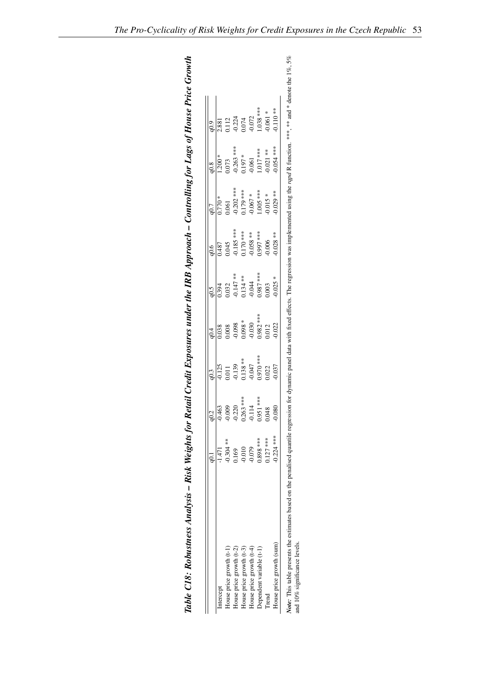<span id="page-56-0"></span>

|                          |              | ں<br>20     | q0.3      |            | q0.5        | 0.6          |             | q0.8        |             |
|--------------------------|--------------|-------------|-----------|------------|-------------|--------------|-------------|-------------|-------------|
| Intercept                | $-1.471$     | $-0.463$    | 0.125     | 038        | 1.394       | 1,487        | $0.770*$    | $.200 *$    | .881        |
| House price growth (t-1) | $-0.304**$   | $-0.009$    | 1101      | 1.008      | 0.032       | 1.045        | 1.061       | 1.073       | 112         |
| House price growth (t-2) | 1169         | $-0.220$    | 0.139     | 0.098      | $-0.147$ ** | $-0.185$ *** | $0.202$ *** | $0.263$ *** | 0.224       |
| House price growth (t-3) | 0.010        | $0.263$ *** | $1.138**$ | $0.098 *$  | $0.134**$   | $0.170$ ***  | 179 ***     | $0.197*$    | 1.074       |
| House price growth (t-4) | 0.079        |             | 0.047     | 0.030      | 0.044       | $-0.058**$   | $0.067 *$   | 0.061       |             |
| Dependent variable (t-1) | $0.898***$   | $0.951***$  | $0.970**$ | $0.982***$ | $0.987***$  | **** 766'    | *** 500'1   | $1.017***$  | $-0.38$ *** |
| Trend                    | $0.127$ ***  | D.<br>О     | 022       | .012       | 003         | 0.006        | $0.015 *$   | $0.021**$   | $0.061 *$   |
| House price growth (sum) | $-0.224$ *** | o.o         | 0.037     |            | $0.025 *$   | $0.028**$    | $0.029**$   | $0.054$ *** | $0.110**$   |

| ;                              |
|--------------------------------|
|                                |
|                                |
|                                |
| I<br>$\overline{a}$            |
|                                |
|                                |
| r Hol<br>)<br>)<br>)<br>)<br>j |
|                                |
|                                |
| こくこうしょう こうこう                   |
| i                              |
|                                |
|                                |
| ì                              |
|                                |
|                                |
|                                |
|                                |
| $\ddot{\phantom{0}}$           |
|                                |
| I                              |
|                                |
|                                |
|                                |
|                                |
| ا<br>ا                         |
|                                |
|                                |
| $\frac{1}{2}$                  |
|                                |
|                                |
|                                |
|                                |
|                                |
|                                |
|                                |
|                                |
|                                |
|                                |
| l                              |
| $\overline{a}$                 |
|                                |
|                                |
| Ì                              |
|                                |
|                                |
|                                |
|                                |
|                                |
|                                |
| TOT K                          |
|                                |
|                                |
| ١                              |
|                                |
|                                |
| ֕                              |
|                                |
|                                |
|                                |
| ١                              |
| i                              |
| í                              |
|                                |
| ׇ֚֓                            |
|                                |
|                                |
|                                |
|                                |
|                                |
| ׇ֚֘֝֬<br>I<br>l                |
|                                |
| )                              |
| くして                            |
| ;<br>)                         |
| $\boldsymbol{\it{vbe}}$        |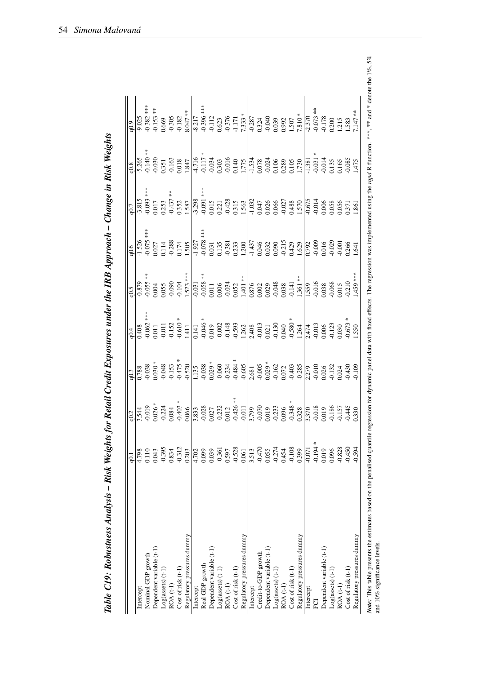<span id="page-57-0"></span>

|                            | $Q_{1}$  |                                                                                                                                                                                                                                                                                                              | q <sub>0.3</sub>                                                                                                                                                                                                                                                                                                                                    | 0.4                                                                                                     | 0.5                                                                                                                                                                                                                                                                           | 0.6                                                                                                                              | q0.7                                                                     | q0.8                                                                                                                                                  | 0.9                                                                                  |
|----------------------------|----------|--------------------------------------------------------------------------------------------------------------------------------------------------------------------------------------------------------------------------------------------------------------------------------------------------------------|-----------------------------------------------------------------------------------------------------------------------------------------------------------------------------------------------------------------------------------------------------------------------------------------------------------------------------------------------------|---------------------------------------------------------------------------------------------------------|-------------------------------------------------------------------------------------------------------------------------------------------------------------------------------------------------------------------------------------------------------------------------------|----------------------------------------------------------------------------------------------------------------------------------|--------------------------------------------------------------------------|-------------------------------------------------------------------------------------------------------------------------------------------------------|--------------------------------------------------------------------------------------|
| Intercept                  | 4.798    |                                                                                                                                                                                                                                                                                                              | 0.788                                                                                                                                                                                                                                                                                                                                               | $\frac{408}{5}$                                                                                         | $\frac{6.810}{2}$                                                                                                                                                                                                                                                             |                                                                                                                                  | $\frac{-3.815}{-0.093***}$                                               | $\frac{1}{5.265}$<br>$\frac{0.140}{0.351}$<br>$\frac{0.351}{0.351}$                                                                                   | $-9.025$                                                                             |
| Nominal GDP growth         | 0.110    |                                                                                                                                                                                                                                                                                                              |                                                                                                                                                                                                                                                                                                                                                     |                                                                                                         | $-0.055***$                                                                                                                                                                                                                                                                   | ***                                                                                                                              |                                                                          |                                                                                                                                                       |                                                                                      |
| Dependent variable (t-1)   | 0.043    |                                                                                                                                                                                                                                                                                                              |                                                                                                                                                                                                                                                                                                                                                     |                                                                                                         | 0.004                                                                                                                                                                                                                                                                         |                                                                                                                                  |                                                                          |                                                                                                                                                       | $-0.382$ ***<br>$-0.153$ **                                                          |
| $Log(assets)$ $(t-1)$      | $-0.395$ |                                                                                                                                                                                                                                                                                                              |                                                                                                                                                                                                                                                                                                                                                     |                                                                                                         |                                                                                                                                                                                                                                                                               |                                                                                                                                  | 0.253                                                                    |                                                                                                                                                       | 0.669                                                                                |
| ROA (t-1)                  | 0.834    |                                                                                                                                                                                                                                                                                                              |                                                                                                                                                                                                                                                                                                                                                     |                                                                                                         | 0.055<br>-0.090                                                                                                                                                                                                                                                               |                                                                                                                                  | $-0.437$                                                                 |                                                                                                                                                       |                                                                                      |
| Cost of risk (t-1)         | $-0.312$ |                                                                                                                                                                                                                                                                                                              |                                                                                                                                                                                                                                                                                                                                                     |                                                                                                         | $-0.104$                                                                                                                                                                                                                                                                      | $\frac{1.526}{1.527}$<br>$\frac{0.075}{0.027}$<br>$\frac{1.14}{0.028}$                                                           | 0.352                                                                    |                                                                                                                                                       | $-0.305$<br>$-0.182$                                                                 |
| Regulatory pressures dummy | 0.203    |                                                                                                                                                                                                                                                                                                              | $-0.038$<br>$0.030$ *<br>$-0.048$<br>$-0.153$<br>$-0.475$ *                                                                                                                                                                                                                                                                                         | $-0.062$ ***<br>0.011<br>0.011<br>$-0.011$<br>$-0.152$<br>$-0.510$ *<br>$1.411$                         | $\frac{1.523}{-0.031}$<br>$\frac{0.031}{-0.058}$<br>$\frac{0.058}{-0.011}$<br>0.006<br>-0.034                                                                                                                                                                                 | 1.505                                                                                                                            | 1.587                                                                    | 0.018<br>1.847                                                                                                                                        | 8.047 **                                                                             |
| Intercept                  | 4.702    |                                                                                                                                                                                                                                                                                                              |                                                                                                                                                                                                                                                                                                                                                     |                                                                                                         |                                                                                                                                                                                                                                                                               |                                                                                                                                  |                                                                          |                                                                                                                                                       |                                                                                      |
| Real GDP growth            | 0.099    |                                                                                                                                                                                                                                                                                                              |                                                                                                                                                                                                                                                                                                                                                     |                                                                                                         |                                                                                                                                                                                                                                                                               | ***                                                                                                                              |                                                                          |                                                                                                                                                       |                                                                                      |
| Dependent variable (t-1)   | 0.039    |                                                                                                                                                                                                                                                                                                              |                                                                                                                                                                                                                                                                                                                                                     |                                                                                                         |                                                                                                                                                                                                                                                                               |                                                                                                                                  | $\frac{1}{-3.298}$<br>-0.091 ***<br>0.015<br>0.221                       |                                                                                                                                                       |                                                                                      |
| $Log(assets)$ $(t-1)$      | $-0.361$ |                                                                                                                                                                                                                                                                                                              |                                                                                                                                                                                                                                                                                                                                                     |                                                                                                         |                                                                                                                                                                                                                                                                               |                                                                                                                                  |                                                                          |                                                                                                                                                       |                                                                                      |
| ROA (t-1)                  | 0.597    |                                                                                                                                                                                                                                                                                                              |                                                                                                                                                                                                                                                                                                                                                     |                                                                                                         |                                                                                                                                                                                                                                                                               |                                                                                                                                  | $-0.428$                                                                 |                                                                                                                                                       |                                                                                      |
| Cost of risk (t-1)         | $-0.528$ |                                                                                                                                                                                                                                                                                                              |                                                                                                                                                                                                                                                                                                                                                     |                                                                                                         | 0.052                                                                                                                                                                                                                                                                         |                                                                                                                                  |                                                                          |                                                                                                                                                       |                                                                                      |
| Regulatory pressures dummy | 0.061    | $\begin{array}{c l l} & & & & \\ \hline 90.3 & 0.019 & * & * & * \\ 90.01 & 0.01 & 0.01 & * \\ 90.01 & 0.01 & 0.01 & * \\ 90.01 & 0.01 & 0.01 & * \\ 90.01 & 0.01 & 0.01 & * \\ 90.01 & 0.01 & 0.01 & * \\ 90.01 & 0.01 & 0.01 & * \\ 90.01 & 0.01 & 0.01 & * \\ 90.01 & 0.01 & 0.01 & * \\ 90.01 & 0.01 & $ | $\begin{array}{c c} & & \\ \hline 1.135 & & \\ -0.038 & & \\ 0.029 & & \\ 0.000 & & \\ -0.038 & & \\ 0.000 & & \\ -0.038 & & \\ 0.005 & & \\ 0.005 & & \\ -0.000 & & \\ 0.005 & & \\ -0.005 & & \\ 0.005 & & \\ -0.005 & & \\ 0.005 & & \\ -0.005 & & \\ 0.005 & & \\ -0.005 & & \\ 0.005 & & \\ -0.005 & & \\ 0.005 & & \\ -0.005 & & \\ -0.005 &$ | $\begin{array}{r} 0.141 \\ -0.046 \\ 0.019 \\ -0.002 \\ -0.148 \\ -0.593 \\ 1.262 \\ 1.262 \end{array}$ | $1.401**$                                                                                                                                                                                                                                                                     | $\frac{1}{1,927}$<br>$\frac{0.078}{0.031}$<br>0.031<br>0.135<br>0.233<br>1.200                                                   | 0.315<br>1.563                                                           | $\begin{array}{c c}\n\hline\n4.716 \\ \hline\n7.117 \\ \hline\n9.034 \\ \hline\n9.033 \\ \hline\n0.303 \\ \hline\n0.40 \\ \hline\n1.775\n\end{array}$ | $-8.217$<br>$-0.396$ ***<br>$-0.112$<br>$-0.623$<br>$-0.376$<br>$-1.171$<br>$-1.171$ |
| Intercept                  | 3.513    |                                                                                                                                                                                                                                                                                                              |                                                                                                                                                                                                                                                                                                                                                     | $\frac{2.408}{-0.013}$                                                                                  |                                                                                                                                                                                                                                                                               | $\frac{1}{1.437}$<br>0.046<br>0.032                                                                                              | $\frac{1.032}{0.047}$                                                    | $\frac{1.534}{0.078}$                                                                                                                                 | $\frac{1}{0.324}$<br>0.324<br>-0.040                                                 |
| Credit-to-GDP growth       | $-0.470$ |                                                                                                                                                                                                                                                                                                              |                                                                                                                                                                                                                                                                                                                                                     |                                                                                                         |                                                                                                                                                                                                                                                                               |                                                                                                                                  |                                                                          |                                                                                                                                                       |                                                                                      |
| Dependent variable (t-1)   | 0.055    |                                                                                                                                                                                                                                                                                                              |                                                                                                                                                                                                                                                                                                                                                     |                                                                                                         |                                                                                                                                                                                                                                                                               |                                                                                                                                  | 0.026                                                                    |                                                                                                                                                       |                                                                                      |
| Log(assets) (t-1           | $-0.274$ |                                                                                                                                                                                                                                                                                                              |                                                                                                                                                                                                                                                                                                                                                     |                                                                                                         |                                                                                                                                                                                                                                                                               |                                                                                                                                  |                                                                          |                                                                                                                                                       | 0.039                                                                                |
| ROA (t-1)                  | 0.454    |                                                                                                                                                                                                                                                                                                              |                                                                                                                                                                                                                                                                                                                                                     |                                                                                                         |                                                                                                                                                                                                                                                                               |                                                                                                                                  | $\begin{array}{c} 0.066 \\ -0.027 \\ 0.488 \end{array}$                  |                                                                                                                                                       | 0.992                                                                                |
| Cost of risk (t-1)         | $-0.108$ |                                                                                                                                                                                                                                                                                                              |                                                                                                                                                                                                                                                                                                                                                     |                                                                                                         |                                                                                                                                                                                                                                                                               |                                                                                                                                  |                                                                          |                                                                                                                                                       |                                                                                      |
| Regulatory pressures dummy | 0.399    |                                                                                                                                                                                                                                                                                                              |                                                                                                                                                                                                                                                                                                                                                     | $-0.130$<br>$0.040$<br>$-0.580$<br>$+1.264$<br>$-1.264$<br>$-0.013$<br>$-0.0123$<br>$-0.030$            | $\begin{array}{r l} & 0.876 & \text{ } \\ 0.002 & 0.002 & 0.003 & 0.003 & 0.003 & 0.014 \\ 0.038 & 0.038 & 0.141 & 0.016 & 0.006 & 0.006 & 0.006 & 0.006 & 0.006 & 0.006 & 0.006 & 0.006 & 0.006 & 0.006 & 0.006 & 0.006 & 0.006 & 0.006 & 0.006 & 0.006 & 0.006 & 0.006 & 0$ | $\begin{array}{l} 0.090 \\ -0.215 \\ 0.429 \\ 1.629 \\ \hline 0.792 \\ -0.009 \\ 0.016 \\ -0.029 \\ -0.001 \\ 0.266 \end{array}$ | $\frac{1570}{-0.675}$                                                    | 0.106<br>0.289<br>0.105<br>0.1.730<br>1.381<br>-0.031                                                                                                 | $\frac{1.507}{7.810}$                                                                |
| Intercept                  | $-0.071$ |                                                                                                                                                                                                                                                                                                              |                                                                                                                                                                                                                                                                                                                                                     |                                                                                                         |                                                                                                                                                                                                                                                                               |                                                                                                                                  |                                                                          |                                                                                                                                                       |                                                                                      |
| EOI                        | $-0.194$ |                                                                                                                                                                                                                                                                                                              |                                                                                                                                                                                                                                                                                                                                                     |                                                                                                         |                                                                                                                                                                                                                                                                               |                                                                                                                                  |                                                                          |                                                                                                                                                       |                                                                                      |
| Dependent variable (t-1)   | 0.019    |                                                                                                                                                                                                                                                                                                              |                                                                                                                                                                                                                                                                                                                                                     |                                                                                                         | 0.038<br>-0.068                                                                                                                                                                                                                                                               |                                                                                                                                  | $\begin{array}{c} 0.006 \\ 0.058 \\ 0.056 \\ 0.371 \\ 1.861 \end{array}$ | $\begin{array}{c} 0.014 \\ 0.135 \\ 0.165 \\ -0.085 \\ 1.475 \end{array}$                                                                             | $-0.073$<br>$-0.178$<br>$0.200$<br>$1.215$<br>$1.583$                                |
| $Log(assets)$ $(t-1)$      | 0.096    |                                                                                                                                                                                                                                                                                                              |                                                                                                                                                                                                                                                                                                                                                     |                                                                                                         |                                                                                                                                                                                                                                                                               |                                                                                                                                  |                                                                          |                                                                                                                                                       |                                                                                      |
| ROA (t-1)                  | $-0.828$ |                                                                                                                                                                                                                                                                                                              |                                                                                                                                                                                                                                                                                                                                                     |                                                                                                         | 0.015<br>0.210                                                                                                                                                                                                                                                                |                                                                                                                                  |                                                                          |                                                                                                                                                       |                                                                                      |
| Cost of risk (t-1)         | $-0.450$ | $-0.445$<br>0.330                                                                                                                                                                                                                                                                                            |                                                                                                                                                                                                                                                                                                                                                     | $\frac{0.673}{1.550}$                                                                                   |                                                                                                                                                                                                                                                                               |                                                                                                                                  |                                                                          |                                                                                                                                                       |                                                                                      |
| Regulatory pressures dummy | 0.594    |                                                                                                                                                                                                                                                                                                              |                                                                                                                                                                                                                                                                                                                                                     |                                                                                                         | 1.459 ***                                                                                                                                                                                                                                                                     | 1.641                                                                                                                            |                                                                          |                                                                                                                                                       | $7.147***$                                                                           |

Table C19: Robustness Analysis - Risk Weights for Retail Credit Exposures under the IRB Approach - Change in Risk Weights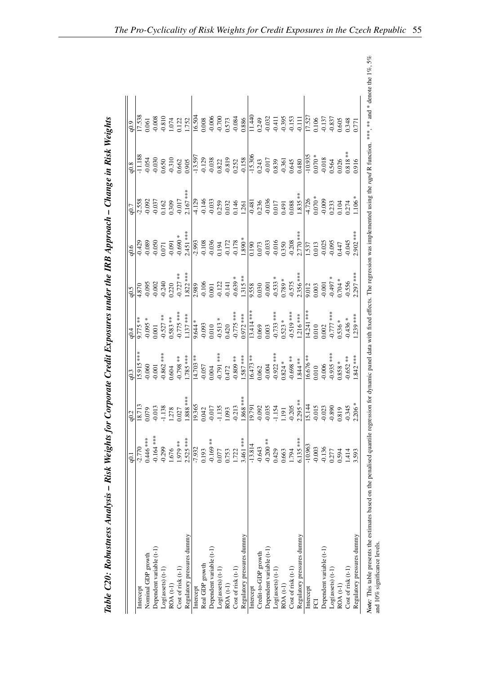|                            | q0.1                      | q0.2                                                                                                                                                                                                                                                                                                           | q0.3                                                                                                              | $^{10.4}$                                                                                                                                                                                                                  |                                                                                                                                                                                                                                                               |                                                                                                                                                                                                                                                                                 |                                                                                                                                                                                                                                                                                                                        |                                                                                                                                                                                                                                                                                                                                         |
|----------------------------|---------------------------|----------------------------------------------------------------------------------------------------------------------------------------------------------------------------------------------------------------------------------------------------------------------------------------------------------------|-------------------------------------------------------------------------------------------------------------------|----------------------------------------------------------------------------------------------------------------------------------------------------------------------------------------------------------------------------|---------------------------------------------------------------------------------------------------------------------------------------------------------------------------------------------------------------------------------------------------------------|---------------------------------------------------------------------------------------------------------------------------------------------------------------------------------------------------------------------------------------------------------------------------------|------------------------------------------------------------------------------------------------------------------------------------------------------------------------------------------------------------------------------------------------------------------------------------------------------------------------|-----------------------------------------------------------------------------------------------------------------------------------------------------------------------------------------------------------------------------------------------------------------------------------------------------------------------------------------|
| Intercept                  | $-2.770$                  |                                                                                                                                                                                                                                                                                                                |                                                                                                                   | $-1.775**$                                                                                                                                                                                                                 |                                                                                                                                                                                                                                                               |                                                                                                                                                                                                                                                                                 |                                                                                                                                                                                                                                                                                                                        |                                                                                                                                                                                                                                                                                                                                         |
| Nominal GDP growth         | $0.446$ ***               |                                                                                                                                                                                                                                                                                                                |                                                                                                                   |                                                                                                                                                                                                                            |                                                                                                                                                                                                                                                               |                                                                                                                                                                                                                                                                                 |                                                                                                                                                                                                                                                                                                                        |                                                                                                                                                                                                                                                                                                                                         |
| Dependent variable (t-1)   | $-0.164$                  |                                                                                                                                                                                                                                                                                                                | $\frac{15.915}{-0.060}$<br>-0.060<br>-0.001<br>-0.862 ***                                                         |                                                                                                                                                                                                                            | $\frac{9.5}{4.870}$<br>4.870<br>4.955<br>9.240<br>9.240                                                                                                                                                                                                       |                                                                                                                                                                                                                                                                                 |                                                                                                                                                                                                                                                                                                                        |                                                                                                                                                                                                                                                                                                                                         |
| $Log(assets)$ (t-1)        | $-0.299$                  |                                                                                                                                                                                                                                                                                                                |                                                                                                                   |                                                                                                                                                                                                                            |                                                                                                                                                                                                                                                               |                                                                                                                                                                                                                                                                                 |                                                                                                                                                                                                                                                                                                                        |                                                                                                                                                                                                                                                                                                                                         |
| <b>ROA</b> (t-1)           | 1.676                     |                                                                                                                                                                                                                                                                                                                |                                                                                                                   |                                                                                                                                                                                                                            |                                                                                                                                                                                                                                                               |                                                                                                                                                                                                                                                                                 |                                                                                                                                                                                                                                                                                                                        |                                                                                                                                                                                                                                                                                                                                         |
| Cost of risk (t-1)         | 1.979 **                  |                                                                                                                                                                                                                                                                                                                |                                                                                                                   |                                                                                                                                                                                                                            |                                                                                                                                                                                                                                                               |                                                                                                                                                                                                                                                                                 |                                                                                                                                                                                                                                                                                                                        |                                                                                                                                                                                                                                                                                                                                         |
| Regulatory pressures dummy | $2.525***$                | $\begin{array}{c l l} \hline \text{R} & \text{R} & \text{R} & \text{R} & \text{R} & \text{R} & \text{R} & \text{R} \\ \hline 0.079 & 0.013 & 0.027 & 0.038 & 0.013 & 0.036 & 0.013 & 0.036 & 0.013 & 0.000 & 0.000 & 0.000 & 0.000 & 0.000 & 0.000 & 0.000 & 0.000 & 0.000 & 0.000 & 0.000 & 0.000 & 0.000 & $ | $-0.798$ **<br>$1.785$ ***<br>$+1.703$ ***<br>$-0.057$<br>$-0.057$<br>$-0.791$ ***<br>$-0.809$ **<br>$-0.809$ *** | $-0.095$ *<br>$-0.527$ ***<br>$-0.573$ ***<br>$-0.775$ ***<br>$-0.775$ ***<br>$-0.093$<br>$-0.0010$<br>$-0.513$ ****<br>$-0.513$ ****<br>$-0.775$ ****<br>$-0.775$ ****<br>$-0.775$ ****<br>$-0.775$ ****<br>$-0.775$ **** | $-6.727$ **<br>$+2.822$ ***<br>$-1.822$ ***<br>$-1.822$ ***<br>$-1.213$<br>$-1.315$ ***<br>$-1.315$ ***<br>$-1.315$ ***<br>$-1.315$ ***<br>$-1.315$ ***<br>$-1.315$ ***<br>$-1.315$ ***<br>$-1.315$ ***<br>$-1.315$ ***<br>$-1.315$ ****<br>$-1.315$ ****<br> | $\begin{array}{r rrrr} \hline 0.6 & 0.89 & 0.80 & 0.80 & 0.80 & 0.80 & 0.80 & 0.80 & 0.80 & 0.80 & 0.80 & 0.80 & 0.80 & 0.80 & 0.80 & 0.80 & 0.80 & 0.80 & 0.80 & 0.80 & 0.80 & 0.80 & 0.80 & 0.80 & 0.80 & 0.80 & 0.80 & 0.80 & 0.80 & 0.80 & 0.80 & 0.80 & 0.80 & 0.80 & 0.8$ | $\frac{8}{9}$ $\frac{1}{11}$ $\frac{188}{189}$ $\frac{3}{9}$ $\frac{3}{9}$ $\frac{3}{9}$ $\frac{3}{9}$ $\frac{3}{9}$ $\frac{3}{9}$ $\frac{3}{9}$ $\frac{3}{9}$ $\frac{3}{9}$ $\frac{3}{9}$ $\frac{3}{9}$ $\frac{3}{9}$ $\frac{3}{9}$ $\frac{3}{9}$ $\frac{3}{9}$ $\frac{3}{9}$ $\frac{3}{9}$ $\frac{3}{9}$ $\frac{3}{$ | $\frac{9}{9}$<br>$\frac{1}{17}$<br>$\frac{17}{17}$<br>$\frac{17}{17}$<br>$\frac{17}{17}$<br>$\frac{17}{17}$<br>$\frac{17}{17}$<br>$\frac{17}{17}$<br>$\frac{17}{17}$<br>$\frac{17}{17}$<br>$\frac{17}{17}$<br>$\frac{17}{17}$<br>$\frac{17}{17}$<br>$\frac{17}{17}$<br>$\frac{17}{17}$<br>$\frac{17}{17}$<br>$\frac{17}{17}$<br>$\frac$ |
| Intercept                  | $-7.932$                  |                                                                                                                                                                                                                                                                                                                |                                                                                                                   |                                                                                                                                                                                                                            |                                                                                                                                                                                                                                                               |                                                                                                                                                                                                                                                                                 |                                                                                                                                                                                                                                                                                                                        |                                                                                                                                                                                                                                                                                                                                         |
| Real GDP growth            | 0.193                     |                                                                                                                                                                                                                                                                                                                |                                                                                                                   |                                                                                                                                                                                                                            |                                                                                                                                                                                                                                                               |                                                                                                                                                                                                                                                                                 |                                                                                                                                                                                                                                                                                                                        |                                                                                                                                                                                                                                                                                                                                         |
| Dependent variable (t-1)   | $\frac{*}{*}$<br>$-0.169$ |                                                                                                                                                                                                                                                                                                                |                                                                                                                   |                                                                                                                                                                                                                            |                                                                                                                                                                                                                                                               |                                                                                                                                                                                                                                                                                 |                                                                                                                                                                                                                                                                                                                        |                                                                                                                                                                                                                                                                                                                                         |
| Log(assets) (t-1)          | 0.077                     |                                                                                                                                                                                                                                                                                                                |                                                                                                                   |                                                                                                                                                                                                                            |                                                                                                                                                                                                                                                               |                                                                                                                                                                                                                                                                                 |                                                                                                                                                                                                                                                                                                                        |                                                                                                                                                                                                                                                                                                                                         |
| ROA (t-1)                  | 0.753                     |                                                                                                                                                                                                                                                                                                                |                                                                                                                   |                                                                                                                                                                                                                            |                                                                                                                                                                                                                                                               |                                                                                                                                                                                                                                                                                 |                                                                                                                                                                                                                                                                                                                        |                                                                                                                                                                                                                                                                                                                                         |
| Cost of risk (t-1)         | 1.722                     |                                                                                                                                                                                                                                                                                                                |                                                                                                                   |                                                                                                                                                                                                                            |                                                                                                                                                                                                                                                               |                                                                                                                                                                                                                                                                                 |                                                                                                                                                                                                                                                                                                                        |                                                                                                                                                                                                                                                                                                                                         |
| Regulatory pressures dummy | 3.461 ***                 |                                                                                                                                                                                                                                                                                                                |                                                                                                                   |                                                                                                                                                                                                                            |                                                                                                                                                                                                                                                               |                                                                                                                                                                                                                                                                                 |                                                                                                                                                                                                                                                                                                                        |                                                                                                                                                                                                                                                                                                                                         |
| Intercept                  | 13.814                    |                                                                                                                                                                                                                                                                                                                | $\frac{16.473**}{0.062}$<br>0.002<br>-0.004<br>-0.922 ***<br>0.824 ***                                            |                                                                                                                                                                                                                            |                                                                                                                                                                                                                                                               |                                                                                                                                                                                                                                                                                 |                                                                                                                                                                                                                                                                                                                        |                                                                                                                                                                                                                                                                                                                                         |
| Credit-to-GDP growth       | $-0.643$                  |                                                                                                                                                                                                                                                                                                                |                                                                                                                   |                                                                                                                                                                                                                            |                                                                                                                                                                                                                                                               |                                                                                                                                                                                                                                                                                 |                                                                                                                                                                                                                                                                                                                        |                                                                                                                                                                                                                                                                                                                                         |
| Dependent variable (t-1)   | $-0.200$                  |                                                                                                                                                                                                                                                                                                                |                                                                                                                   |                                                                                                                                                                                                                            |                                                                                                                                                                                                                                                               |                                                                                                                                                                                                                                                                                 |                                                                                                                                                                                                                                                                                                                        |                                                                                                                                                                                                                                                                                                                                         |
| $Log(assets)$ (t-1)        | 0.429                     |                                                                                                                                                                                                                                                                                                                |                                                                                                                   |                                                                                                                                                                                                                            |                                                                                                                                                                                                                                                               |                                                                                                                                                                                                                                                                                 |                                                                                                                                                                                                                                                                                                                        |                                                                                                                                                                                                                                                                                                                                         |
| $ROA(t-1)$                 | 0.663                     |                                                                                                                                                                                                                                                                                                                |                                                                                                                   |                                                                                                                                                                                                                            |                                                                                                                                                                                                                                                               |                                                                                                                                                                                                                                                                                 |                                                                                                                                                                                                                                                                                                                        |                                                                                                                                                                                                                                                                                                                                         |
| Cost of risk (t-1)         | 1.794                     |                                                                                                                                                                                                                                                                                                                |                                                                                                                   |                                                                                                                                                                                                                            |                                                                                                                                                                                                                                                               |                                                                                                                                                                                                                                                                                 |                                                                                                                                                                                                                                                                                                                        |                                                                                                                                                                                                                                                                                                                                         |
| Regulatory pressures dummy | $6.135***$                |                                                                                                                                                                                                                                                                                                                |                                                                                                                   |                                                                                                                                                                                                                            |                                                                                                                                                                                                                                                               |                                                                                                                                                                                                                                                                                 |                                                                                                                                                                                                                                                                                                                        |                                                                                                                                                                                                                                                                                                                                         |
| Intercept                  | $-10.963$                 |                                                                                                                                                                                                                                                                                                                | $\frac{16.676}{0.010}$<br>0.010<br>-0.006<br>-0.935 ***                                                           |                                                                                                                                                                                                                            |                                                                                                                                                                                                                                                               |                                                                                                                                                                                                                                                                                 |                                                                                                                                                                                                                                                                                                                        |                                                                                                                                                                                                                                                                                                                                         |
| <b>PO</b>                  | $-0.003$                  |                                                                                                                                                                                                                                                                                                                |                                                                                                                   |                                                                                                                                                                                                                            |                                                                                                                                                                                                                                                               |                                                                                                                                                                                                                                                                                 |                                                                                                                                                                                                                                                                                                                        |                                                                                                                                                                                                                                                                                                                                         |
| Dependent variable (t-1)   | $-0.136$                  |                                                                                                                                                                                                                                                                                                                |                                                                                                                   |                                                                                                                                                                                                                            |                                                                                                                                                                                                                                                               |                                                                                                                                                                                                                                                                                 |                                                                                                                                                                                                                                                                                                                        |                                                                                                                                                                                                                                                                                                                                         |
| $Log(assets)$ $(t-1)$      | 0.277                     |                                                                                                                                                                                                                                                                                                                |                                                                                                                   |                                                                                                                                                                                                                            |                                                                                                                                                                                                                                                               |                                                                                                                                                                                                                                                                                 |                                                                                                                                                                                                                                                                                                                        |                                                                                                                                                                                                                                                                                                                                         |
| ROA (t-1)                  | 0.594                     |                                                                                                                                                                                                                                                                                                                |                                                                                                                   |                                                                                                                                                                                                                            |                                                                                                                                                                                                                                                               |                                                                                                                                                                                                                                                                                 |                                                                                                                                                                                                                                                                                                                        |                                                                                                                                                                                                                                                                                                                                         |
| Cost of risk (t-1)         | 1.414                     |                                                                                                                                                                                                                                                                                                                | $-0.652$ **<br>1.842 ***                                                                                          | $\frac{14.241}{14.241}$ ***<br>0.010<br>0.002<br>0.536 *<br>0.536 *<br>0.436 *                                                                                                                                             |                                                                                                                                                                                                                                                               |                                                                                                                                                                                                                                                                                 |                                                                                                                                                                                                                                                                                                                        |                                                                                                                                                                                                                                                                                                                                         |
| Regulatory pressures dummy | 3.593                     |                                                                                                                                                                                                                                                                                                                |                                                                                                                   |                                                                                                                                                                                                                            |                                                                                                                                                                                                                                                               |                                                                                                                                                                                                                                                                                 |                                                                                                                                                                                                                                                                                                                        |                                                                                                                                                                                                                                                                                                                                         |

Note: This table presents the estimates based on the penalised penalised quantile regression for dynamic panel data with fixed effects. The regression was implemented using the rapd R function. \*\*\* and \* denote the 1%, 5%

Note: This table presents the estimates based on the penalised quantile regression vit in the affects. The regression was implemented using the *rapd* R function. \*\*\*, \*\* and \* denote the 1%, 5% and 1%, 5% and 1%, 5%

and 10% significance levels.

| $\mathbf{D}$ $\mathbf{L}$ $\mathbf{W}$ $\mathbf{L}$<br>) |
|----------------------------------------------------------|
|                                                          |
| n in N<br>$\mu -$ Change in $\mu$                        |
| ة                                                        |
| $\ddot{ }$                                               |
| $\sim$ and the sum $\sim$<br>$\frac{1}{2}$               |
|                                                          |
| $\ddot{ }$                                               |
| しょうとうてん エス・エート<br>ł                                      |
| $\frac{1}{1}$<br>İ<br>Ì                                  |
| s for Corpoi<br>4<br>Ì                                   |
| ,                                                        |
| isk Weight<br>$\ddot{\phantom{0}}$                       |
| i<br>ı                                                   |
|                                                          |
|                                                          |
|                                                          |
|                                                          |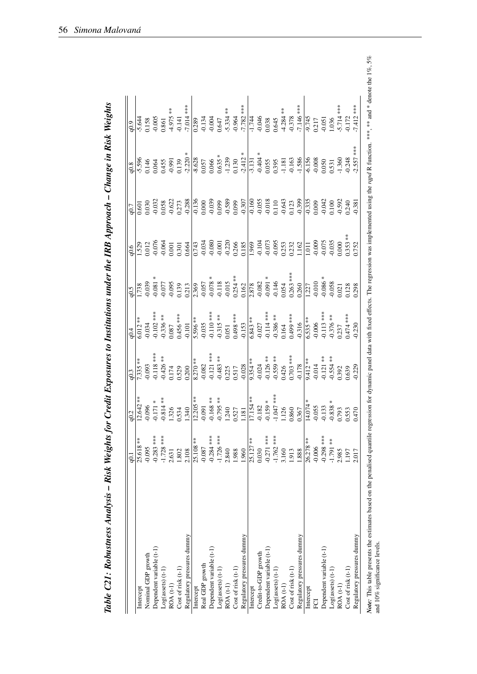<span id="page-59-0"></span>

|                            | $\overline{6}$              | q0.2                                                                                                                                                                                                                                                                                                                                                                                                                                         | q <sub>0.3</sub>                                                                                                                                                                                                                                               | 0.4                                                                                                                                                                                                                                                              | 6.5                                                                                                                                                                                                                                                                                                                                                                                                 | 0.6              | 10.7                                                                                                                                                                                                                                                                                        | q0.8                                                                                                                                                                                                                                                                                                                                                                                                          | 6.0 <sub>p</sub>                                                                                                                                                                                                                                                                                                                                                                                 |
|----------------------------|-----------------------------|----------------------------------------------------------------------------------------------------------------------------------------------------------------------------------------------------------------------------------------------------------------------------------------------------------------------------------------------------------------------------------------------------------------------------------------------|----------------------------------------------------------------------------------------------------------------------------------------------------------------------------------------------------------------------------------------------------------------|------------------------------------------------------------------------------------------------------------------------------------------------------------------------------------------------------------------------------------------------------------------|-----------------------------------------------------------------------------------------------------------------------------------------------------------------------------------------------------------------------------------------------------------------------------------------------------------------------------------------------------------------------------------------------------|------------------|---------------------------------------------------------------------------------------------------------------------------------------------------------------------------------------------------------------------------------------------------------------------------------------------|---------------------------------------------------------------------------------------------------------------------------------------------------------------------------------------------------------------------------------------------------------------------------------------------------------------------------------------------------------------------------------------------------------------|--------------------------------------------------------------------------------------------------------------------------------------------------------------------------------------------------------------------------------------------------------------------------------------------------------------------------------------------------------------------------------------------------|
| Intercept                  | 25.618 **                   |                                                                                                                                                                                                                                                                                                                                                                                                                                              |                                                                                                                                                                                                                                                                |                                                                                                                                                                                                                                                                  |                                                                                                                                                                                                                                                                                                                                                                                                     |                  | $\frac{1}{100}$                                                                                                                                                                                                                                                                             |                                                                                                                                                                                                                                                                                                                                                                                                               |                                                                                                                                                                                                                                                                                                                                                                                                  |
| Nominal GDP growth         | $-0.095$                    |                                                                                                                                                                                                                                                                                                                                                                                                                                              |                                                                                                                                                                                                                                                                |                                                                                                                                                                                                                                                                  |                                                                                                                                                                                                                                                                                                                                                                                                     |                  |                                                                                                                                                                                                                                                                                             |                                                                                                                                                                                                                                                                                                                                                                                                               |                                                                                                                                                                                                                                                                                                                                                                                                  |
| Dependent variable (t-1)   | $-0.283$ ***                |                                                                                                                                                                                                                                                                                                                                                                                                                                              |                                                                                                                                                                                                                                                                |                                                                                                                                                                                                                                                                  |                                                                                                                                                                                                                                                                                                                                                                                                     |                  |                                                                                                                                                                                                                                                                                             |                                                                                                                                                                                                                                                                                                                                                                                                               |                                                                                                                                                                                                                                                                                                                                                                                                  |
| $Log(assets)$ (t-1)        | $-1.728$ ***                |                                                                                                                                                                                                                                                                                                                                                                                                                                              |                                                                                                                                                                                                                                                                |                                                                                                                                                                                                                                                                  |                                                                                                                                                                                                                                                                                                                                                                                                     |                  |                                                                                                                                                                                                                                                                                             |                                                                                                                                                                                                                                                                                                                                                                                                               |                                                                                                                                                                                                                                                                                                                                                                                                  |
| ROA (t-1)                  | 2.631                       |                                                                                                                                                                                                                                                                                                                                                                                                                                              |                                                                                                                                                                                                                                                                | $\overline{6.012}_{***}$<br>$-0.034$<br>$-0.102_{***}$<br>$-0.356_{***}$<br>$-0.356_{***}$<br>0.456 ***                                                                                                                                                          |                                                                                                                                                                                                                                                                                                                                                                                                     |                  |                                                                                                                                                                                                                                                                                             |                                                                                                                                                                                                                                                                                                                                                                                                               |                                                                                                                                                                                                                                                                                                                                                                                                  |
| $Cost of risk (t-1)$       | 1.802                       |                                                                                                                                                                                                                                                                                                                                                                                                                                              |                                                                                                                                                                                                                                                                |                                                                                                                                                                                                                                                                  |                                                                                                                                                                                                                                                                                                                                                                                                     |                  |                                                                                                                                                                                                                                                                                             |                                                                                                                                                                                                                                                                                                                                                                                                               |                                                                                                                                                                                                                                                                                                                                                                                                  |
| Regulatory pressures dummy | 2.108                       | $12.642$ **<br>-0.096<br>-0.171 *<br>-0.814 **<br>-1.326<br>-1.340                                                                                                                                                                                                                                                                                                                                                                           | $\begin{array}{l} \hline \overline{7.335} \\ 7.335 \\ -0.093 \\ -0.118 \\ -0.126 \\ -0.174 \\ -0.529 \\ -0.529 \\ 0.020 \\ \hline \end{array}$                                                                                                                 | 0.101                                                                                                                                                                                                                                                            |                                                                                                                                                                                                                                                                                                                                                                                                     |                  | $-0.032$<br>$-0.632$<br>$-0.622$<br>$-0.273$<br>$-0.136$<br>$-0.000$<br>$-0.039$                                                                                                                                                                                                            | $\begin{array}{c l l} \hline \text{596} & \text{*} & \text{*} & \text{*} \\ \hline \text{6145} & \text{635} & \text{*} & \text{*} \\ \hline \text{6365} & \text{638} & \text{635} & \text{*} \\ \hline \text{6475} & \text{658} & \text{658} & \text{658} & \text{*} \\ \hline \text{6585} & \text{6585} & \text{6585} & \text{6585} & \text{*} \\ \hline \text{6685} & \text{6685} & \text{6685} & \text{66$ | $\begin{array}{c l l} \hline \text{54} & \text{56} & \text{57} & \text{58} & \text{59} & \text{57} & \text{58} & \text{58} & \text{59} & \text{59} & \text{59} & \text{59} & \text{59} & \text{59} & \text{59} & \text{59} & \text{59} & \text{59} & \text{59} & \text{59} & \text{59} & \text{59} & \text{59} & \text{59} & \text{59} & \text{59} & \text{59} & \text{59} & \text{59} & \text{$ |
| Intercept                  | 25.108 **                   |                                                                                                                                                                                                                                                                                                                                                                                                                                              |                                                                                                                                                                                                                                                                |                                                                                                                                                                                                                                                                  |                                                                                                                                                                                                                                                                                                                                                                                                     |                  |                                                                                                                                                                                                                                                                                             |                                                                                                                                                                                                                                                                                                                                                                                                               |                                                                                                                                                                                                                                                                                                                                                                                                  |
| Real GDP growth            | $-0.087$                    |                                                                                                                                                                                                                                                                                                                                                                                                                                              |                                                                                                                                                                                                                                                                |                                                                                                                                                                                                                                                                  |                                                                                                                                                                                                                                                                                                                                                                                                     |                  |                                                                                                                                                                                                                                                                                             |                                                                                                                                                                                                                                                                                                                                                                                                               |                                                                                                                                                                                                                                                                                                                                                                                                  |
| Dependent variable (t-1)   | $-0.284$ ***                |                                                                                                                                                                                                                                                                                                                                                                                                                                              |                                                                                                                                                                                                                                                                |                                                                                                                                                                                                                                                                  |                                                                                                                                                                                                                                                                                                                                                                                                     |                  |                                                                                                                                                                                                                                                                                             |                                                                                                                                                                                                                                                                                                                                                                                                               |                                                                                                                                                                                                                                                                                                                                                                                                  |
| $Log(assets)$ (t-1)        | $-1.726$ ***                |                                                                                                                                                                                                                                                                                                                                                                                                                                              |                                                                                                                                                                                                                                                                |                                                                                                                                                                                                                                                                  |                                                                                                                                                                                                                                                                                                                                                                                                     |                  |                                                                                                                                                                                                                                                                                             |                                                                                                                                                                                                                                                                                                                                                                                                               |                                                                                                                                                                                                                                                                                                                                                                                                  |
| $ROA(t-1)$                 | 2.840                       |                                                                                                                                                                                                                                                                                                                                                                                                                                              |                                                                                                                                                                                                                                                                |                                                                                                                                                                                                                                                                  |                                                                                                                                                                                                                                                                                                                                                                                                     |                  |                                                                                                                                                                                                                                                                                             |                                                                                                                                                                                                                                                                                                                                                                                                               |                                                                                                                                                                                                                                                                                                                                                                                                  |
| Cost of risk (t-1)         | 1.988                       |                                                                                                                                                                                                                                                                                                                                                                                                                                              |                                                                                                                                                                                                                                                                |                                                                                                                                                                                                                                                                  |                                                                                                                                                                                                                                                                                                                                                                                                     |                  |                                                                                                                                                                                                                                                                                             |                                                                                                                                                                                                                                                                                                                                                                                                               |                                                                                                                                                                                                                                                                                                                                                                                                  |
| Regulatory pressures dummy | 1.960                       |                                                                                                                                                                                                                                                                                                                                                                                                                                              | $\begin{array}{l} \hline \text{8:270} \ast\ast \\ \text{9:20} \ast\ast\ast \\ \text{-0:121} \ast\ast\ast\ast \\ \text{-0:121} \ast\ast\ast \\ \text{-0:233} \ast\ast \\ \text{-0:235} \phantom{0} \phantom{0} \phantom{0} \phantom{0} \phantom{0} \end{array}$ |                                                                                                                                                                                                                                                                  |                                                                                                                                                                                                                                                                                                                                                                                                     |                  |                                                                                                                                                                                                                                                                                             |                                                                                                                                                                                                                                                                                                                                                                                                               |                                                                                                                                                                                                                                                                                                                                                                                                  |
| Intercept                  | 25.127 **                   |                                                                                                                                                                                                                                                                                                                                                                                                                                              |                                                                                                                                                                                                                                                                |                                                                                                                                                                                                                                                                  |                                                                                                                                                                                                                                                                                                                                                                                                     |                  |                                                                                                                                                                                                                                                                                             |                                                                                                                                                                                                                                                                                                                                                                                                               |                                                                                                                                                                                                                                                                                                                                                                                                  |
| Credit-to-GDP growth       | 0.030                       |                                                                                                                                                                                                                                                                                                                                                                                                                                              |                                                                                                                                                                                                                                                                |                                                                                                                                                                                                                                                                  |                                                                                                                                                                                                                                                                                                                                                                                                     |                  |                                                                                                                                                                                                                                                                                             |                                                                                                                                                                                                                                                                                                                                                                                                               |                                                                                                                                                                                                                                                                                                                                                                                                  |
| Dependent variable (t-1)   | $-0.271$ ***                |                                                                                                                                                                                                                                                                                                                                                                                                                                              |                                                                                                                                                                                                                                                                |                                                                                                                                                                                                                                                                  |                                                                                                                                                                                                                                                                                                                                                                                                     |                  |                                                                                                                                                                                                                                                                                             |                                                                                                                                                                                                                                                                                                                                                                                                               |                                                                                                                                                                                                                                                                                                                                                                                                  |
| $Log(assets)$ $(t-1)$      | $-1.762$ ***                |                                                                                                                                                                                                                                                                                                                                                                                                                                              |                                                                                                                                                                                                                                                                |                                                                                                                                                                                                                                                                  |                                                                                                                                                                                                                                                                                                                                                                                                     |                  |                                                                                                                                                                                                                                                                                             |                                                                                                                                                                                                                                                                                                                                                                                                               |                                                                                                                                                                                                                                                                                                                                                                                                  |
| ROA (t-1)                  | 3.160                       |                                                                                                                                                                                                                                                                                                                                                                                                                                              |                                                                                                                                                                                                                                                                |                                                                                                                                                                                                                                                                  |                                                                                                                                                                                                                                                                                                                                                                                                     |                  |                                                                                                                                                                                                                                                                                             |                                                                                                                                                                                                                                                                                                                                                                                                               |                                                                                                                                                                                                                                                                                                                                                                                                  |
| Cost of risk (t-1)         | 1.913                       |                                                                                                                                                                                                                                                                                                                                                                                                                                              |                                                                                                                                                                                                                                                                |                                                                                                                                                                                                                                                                  |                                                                                                                                                                                                                                                                                                                                                                                                     |                  |                                                                                                                                                                                                                                                                                             |                                                                                                                                                                                                                                                                                                                                                                                                               |                                                                                                                                                                                                                                                                                                                                                                                                  |
| Regulatory pressures dummy | 1.888                       | $\begin{array}{r} \n 12.205 \n \stackrel{***}{\longrightarrow} 54.84 \\  - 0.091 \\  - 0.168 \n \stackrel{***}{\longrightarrow} 54.9 \\  - 0.795 \n \stackrel{***}{\longrightarrow} 1.240 \\  - 0.181 \\  - 1.181 \\  - 0.159 \n \stackrel{***}{\longrightarrow} 1.047 \\  - 0.159 \n \stackrel{***}{\longrightarrow} 1.26 \\  - 0.159 \n \stackrel{***}{\longrightarrow} 1.26 \\  - 0.0360 \\  - 0.055 \\  - 0.035 \\  - 0.036 \\  - 0.036$ | $9.354**$<br>$-0.024$<br>$-0.126**$<br>$-0.559**$<br>$-0.559**$<br>$-0.703**$<br>$-0.178$<br>$-0.174$<br>$-0.014$<br>$-0.014$<br>$-0.014$                                                                                                                      | $\frac{5.596***}{-0.15***}$<br>$-0.15***$<br>$-0.35***$<br>$-0.15***$<br>$-0.153***$<br>$-0.153***$<br>$-0.153***$<br>$-0.153***$<br>$-0.14***$<br>$-0.36**$<br>$-0.36***$<br>$-0.36***$<br>$-0.316$<br>$-0.316$<br>$-0.316$<br>$-0.316$<br>$-0.316$<br>$-0.316$ | $\begin{array}{c l} & * & * & * & * & * \\ \hline 2878 & * & * & * & * & * \\ 3082 & * & * & * & * \\ 4091 & * & * & * & * \\ 5091 & * & * & * & * \\ 6091 & * & * & * & * \\ 6091 & * & * & * & * \\ 6091 & * & * & * & * \\ 6091 & * & * & * & * \\ 6091 & * & * & * & * \\ 6091 & * & * & * & * \\ 6091 & * & * & * & * \\ 6091 & * & * & * & * \\ 6091 & * & * & * & * \\ 6091 & * & * & * & *$ |                  | $\begin{array}{l} 0.999 \\ 0.999 \\ 0.3099 \\ 0.0099 \\ 0.0099 \\ 0.0099 \\ 0.0009 \\ 0.0009 \\ 0.0009 \\ 0.0009 \\ 0.0009 \\ 0.0009 \\ 0.0009 \\ 0.0009 \\ 0.0009 \\ 0.0009 \\ 0.0009 \\ 0.0009 \\ 0.0009 \\ 0.0009 \\ 0.0009 \\ 0.0009 \\ 0.0009 \\ 0.0009 \\ 0.0009 \\ 0.0009 \\ 0.0009$ |                                                                                                                                                                                                                                                                                                                                                                                                               |                                                                                                                                                                                                                                                                                                                                                                                                  |
| Intercept                  | 26.278 **                   |                                                                                                                                                                                                                                                                                                                                                                                                                                              |                                                                                                                                                                                                                                                                |                                                                                                                                                                                                                                                                  |                                                                                                                                                                                                                                                                                                                                                                                                     |                  |                                                                                                                                                                                                                                                                                             |                                                                                                                                                                                                                                                                                                                                                                                                               |                                                                                                                                                                                                                                                                                                                                                                                                  |
| ECI                        | $-0.006$                    |                                                                                                                                                                                                                                                                                                                                                                                                                                              |                                                                                                                                                                                                                                                                |                                                                                                                                                                                                                                                                  |                                                                                                                                                                                                                                                                                                                                                                                                     |                  |                                                                                                                                                                                                                                                                                             |                                                                                                                                                                                                                                                                                                                                                                                                               |                                                                                                                                                                                                                                                                                                                                                                                                  |
| Dependent variable (t-1)   | $-0.298$ ***<br>$-1.791$ ** |                                                                                                                                                                                                                                                                                                                                                                                                                                              |                                                                                                                                                                                                                                                                |                                                                                                                                                                                                                                                                  |                                                                                                                                                                                                                                                                                                                                                                                                     |                  |                                                                                                                                                                                                                                                                                             |                                                                                                                                                                                                                                                                                                                                                                                                               |                                                                                                                                                                                                                                                                                                                                                                                                  |
| $Log(assets)$ $(t-1)$      |                             |                                                                                                                                                                                                                                                                                                                                                                                                                                              |                                                                                                                                                                                                                                                                |                                                                                                                                                                                                                                                                  |                                                                                                                                                                                                                                                                                                                                                                                                     |                  |                                                                                                                                                                                                                                                                                             |                                                                                                                                                                                                                                                                                                                                                                                                               |                                                                                                                                                                                                                                                                                                                                                                                                  |
| $ROA(t-1)$                 | 2.985                       | 0.793                                                                                                                                                                                                                                                                                                                                                                                                                                        |                                                                                                                                                                                                                                                                |                                                                                                                                                                                                                                                                  |                                                                                                                                                                                                                                                                                                                                                                                                     |                  |                                                                                                                                                                                                                                                                                             |                                                                                                                                                                                                                                                                                                                                                                                                               | $-5.714$ ***<br>-0.172<br>-7.412 ***                                                                                                                                                                                                                                                                                                                                                             |
| Cost of risk (t-1)         | 1.197                       | 0.553<br>0.470                                                                                                                                                                                                                                                                                                                                                                                                                               | 0.392<br>0.639<br>-0.229                                                                                                                                                                                                                                       | $0.474***$<br>-0.230                                                                                                                                                                                                                                             |                                                                                                                                                                                                                                                                                                                                                                                                     | 0.353 *<br>0.752 |                                                                                                                                                                                                                                                                                             |                                                                                                                                                                                                                                                                                                                                                                                                               |                                                                                                                                                                                                                                                                                                                                                                                                  |
| Regulatory pressures dummy | 2.017                       |                                                                                                                                                                                                                                                                                                                                                                                                                                              |                                                                                                                                                                                                                                                                |                                                                                                                                                                                                                                                                  |                                                                                                                                                                                                                                                                                                                                                                                                     |                  |                                                                                                                                                                                                                                                                                             |                                                                                                                                                                                                                                                                                                                                                                                                               |                                                                                                                                                                                                                                                                                                                                                                                                  |

Table C21: Robustness Analysis - Risk Weights for Credit Exposures to Institutions under the IRB Approach - Change in Risk Weights

 $= 1\%, 5\%$ Note: This table presents the estimates based on the penalised penalised quantile regression for dynamic panel data with fixed effects. The regression was implemented using the rapd R function. \*\*\* and \* denote the 1%, 5% *xvue*: 1111s table presents ule<br>and 10% significance levels. and 10% significance levels.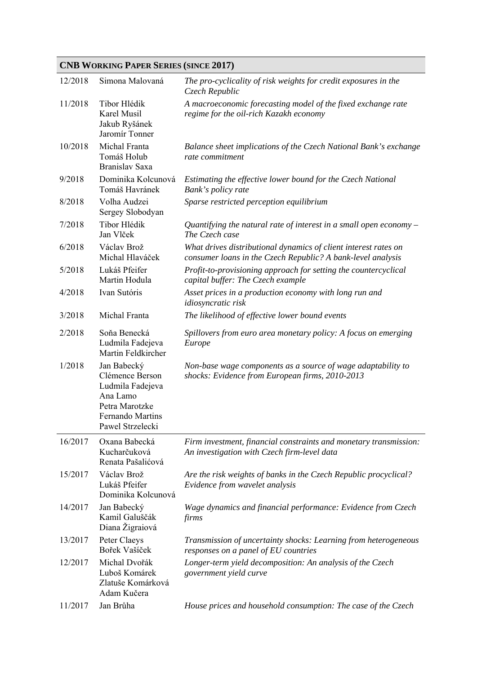## **CNB WORKING PAPER SERIES (SINCE 2017)**

| 12/2018 | Simona Malovaná                                                                                                          | The pro-cyclicality of risk weights for credit exposures in the<br>Czech Republic                                              |
|---------|--------------------------------------------------------------------------------------------------------------------------|--------------------------------------------------------------------------------------------------------------------------------|
| 11/2018 | Tibor Hlédik<br>Karel Musil<br>Jakub Ryšánek<br>Jaromír Tonner                                                           | A macroeconomic forecasting model of the fixed exchange rate<br>regime for the oil-rich Kazakh economy                         |
| 10/2018 | Michal Franta<br>Tomáš Holub<br>Branislav Saxa                                                                           | Balance sheet implications of the Czech National Bank's exchange<br>rate commitment                                            |
| 9/2018  | Dominika Kolcunová<br>Tomáš Havránek                                                                                     | Estimating the effective lower bound for the Czech National<br>Bank's policy rate                                              |
| 8/2018  | Volha Audzei<br>Sergey Slobodyan                                                                                         | Sparse restricted perception equilibrium                                                                                       |
| 7/2018  | Tibor Hlédik<br>Jan Vlček                                                                                                | Quantifying the natural rate of interest in a small open economy $-$<br>The Czech case                                         |
| 6/2018  | Václav Brož<br>Michal Hlaváček                                                                                           | What drives distributional dynamics of client interest rates on<br>consumer loans in the Czech Republic? A bank-level analysis |
| 5/2018  | Lukáš Pfeifer<br>Martin Hodula                                                                                           | Profit-to-provisioning approach for setting the countercyclical<br>capital buffer: The Czech example                           |
| 4/2018  | Ivan Sutóris                                                                                                             | Asset prices in a production economy with long run and<br><i>idiosyncratic risk</i>                                            |
| 3/2018  | Michal Franta                                                                                                            | The likelihood of effective lower bound events                                                                                 |
| 2/2018  | Soňa Benecká<br>Ludmila Fadejeva<br>Martin Feldkircher                                                                   | Spillovers from euro area monetary policy: A focus on emerging<br>Europe                                                       |
| 1/2018  | Jan Babecký<br>Clémence Berson<br>Ludmila Fadejeva<br>Ana Lamo<br>Petra Marotzke<br>Fernando Martins<br>Pawel Strzelecki | Non-base wage components as a source of wage adaptability to<br>shocks: Evidence from European firms, 2010-2013                |
| 16/2017 | Oxana Babecká<br>Kucharčuková<br>Renata Pašalićová                                                                       | Firm investment, financial constraints and monetary transmission:<br>An investigation with Czech firm-level data               |
| 15/2017 | Václav Brož<br>Lukáš Pfeifer<br>Dominika Kolcunová                                                                       | Are the risk weights of banks in the Czech Republic procyclical?<br>Evidence from wavelet analysis                             |
| 14/2017 | Jan Babecký<br>Kamil Galuščák<br>Diana Žigraiová                                                                         | Wage dynamics and financial performance: Evidence from Czech<br>firms                                                          |
| 13/2017 | Peter Claeys<br>Bořek Vašíček                                                                                            | Transmission of uncertainty shocks: Learning from heterogeneous<br>responses on a panel of EU countries                        |
| 12/2017 | Michal Dvořák<br>Luboš Komárek<br>Zlatuše Komárková<br>Adam Kučera                                                       | Longer-term yield decomposition: An analysis of the Czech<br>government yield curve                                            |
| 11/2017 | Jan Brůha                                                                                                                | House prices and household consumption: The case of the Czech                                                                  |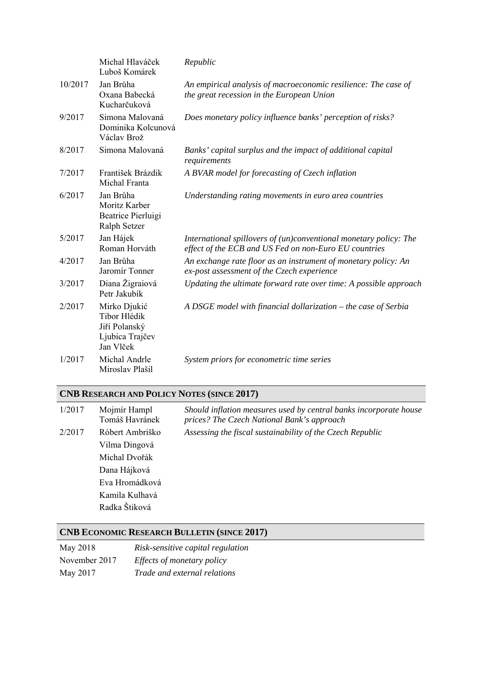|         | Michal Hlaváček<br>Luboš Komárek                                              | Republic                                                                                                                   |
|---------|-------------------------------------------------------------------------------|----------------------------------------------------------------------------------------------------------------------------|
| 10/2017 | Jan Brůha<br>Oxana Babecká<br>Kucharčuková                                    | An empirical analysis of macroeconomic resilience: The case of<br>the great recession in the European Union                |
| 9/2017  | Simona Malovaná<br>Dominika Kolcunová<br>Václav Brož                          | Does monetary policy influence banks' perception of risks?                                                                 |
| 8/2017  | Simona Malovaná                                                               | Banks' capital surplus and the impact of additional capital<br>requirements                                                |
| 7/2017  | František Brázdik<br>Michal Franta                                            | A BVAR model for forecasting of Czech inflation                                                                            |
| 6/2017  | Jan Brůha<br>Moritz Karber<br>Beatrice Pierluigi<br>Ralph Setzer              | Understanding rating movements in euro area countries                                                                      |
| 5/2017  | Jan Hájek<br>Roman Horváth                                                    | International spillovers of (un)conventional monetary policy: The<br>effect of the ECB and US Fed on non-Euro EU countries |
| 4/2017  | Jan Brůha<br>Jaromír Tonner                                                   | An exchange rate floor as an instrument of monetary policy: An<br>ex-post assessment of the Czech experience               |
| 3/2017  | Diana Žigraiová<br>Petr Jakubík                                               | Updating the ultimate forward rate over time: A possible approach                                                          |
| 2/2017  | Mirko Djukić<br>Tibor Hlédik<br>Jiří Polanský<br>Ljubica Trajčev<br>Jan Vlček | A DSGE model with financial dollarization – the case of Serbia                                                             |
| 1/2017  | Michal Andrle<br>Miroslav Plašil                                              | System priors for econometric time series                                                                                  |

# **CNB RESEARCH AND POLICY NOTES (SINCE 2017)**

| 1/2017 | Mojmír Hampl<br>Tomáš Havránek | Should inflation measures used by central banks incorporate house<br>prices? The Czech National Bank's approach |
|--------|--------------------------------|-----------------------------------------------------------------------------------------------------------------|
| 2/2017 | Róbert Ambriško                | Assessing the fiscal sustainability of the Czech Republic                                                       |
|        | Vilma Dingová                  |                                                                                                                 |
|        | Michal Dvořák                  |                                                                                                                 |
|        | Dana Hájková                   |                                                                                                                 |
|        | Eva Hromádková                 |                                                                                                                 |
|        | Kamila Kulhavá                 |                                                                                                                 |
|        | Radka Štiková                  |                                                                                                                 |

# **CNB ECONOMIC RESEARCH BULLETIN (SINCE 2017)**

| May 2018      | Risk-sensitive capital regulation |
|---------------|-----------------------------------|
| November 2017 | Effects of monetary policy        |
| May 2017      | Trade and external relations      |